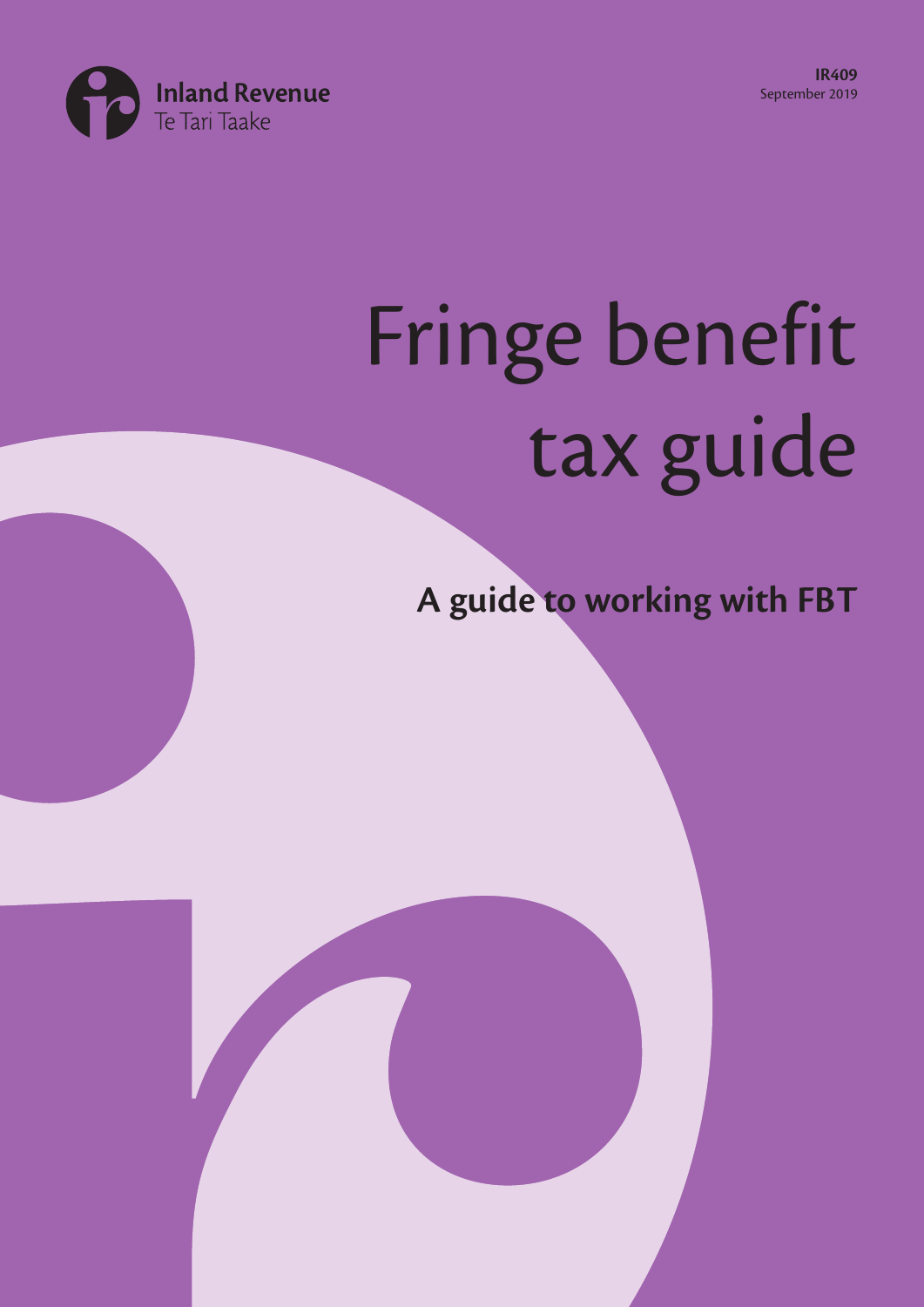**IR409** September 2019



# Fringe benefit tax guide

**A guide to working with FBT**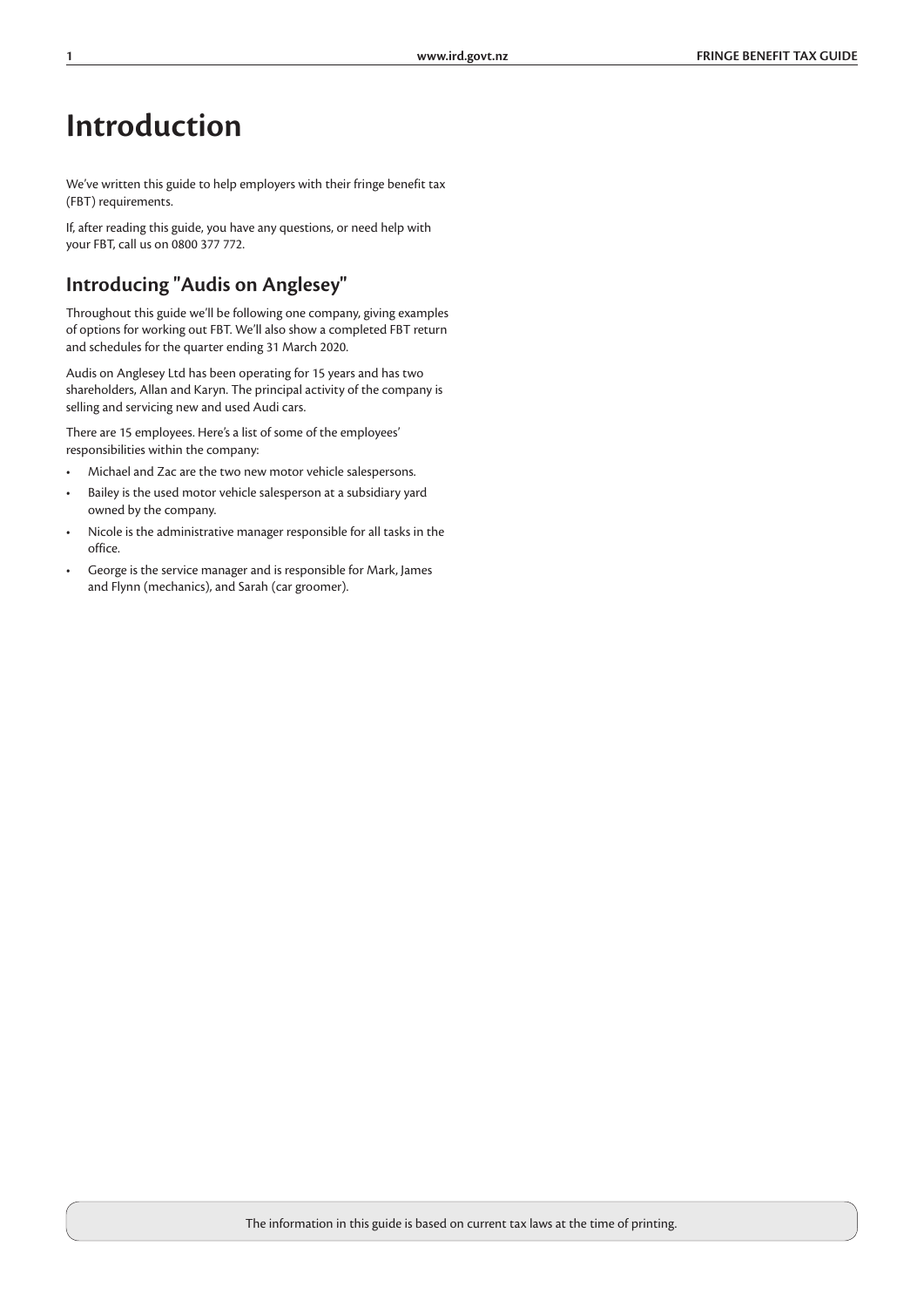# **Introduction**

We've written this guide to help employers with their fringe benefit tax (FBT) requirements.

If, after reading this guide, you have any questions, or need help with your FBT, call us on 0800 377 772.

### **Introducing "Audis on Anglesey"**

Throughout this guide we'll be following one company, giving examples of options for working out FBT. We'll also show a completed FBT return and schedules for the quarter ending 31 March 2020.

Audis on Anglesey Ltd has been operating for 15 years and has two shareholders, Allan and Karyn. The principal activity of the company is selling and servicing new and used Audi cars.

There are 15 employees. Here's a list of some of the employees' responsibilities within the company:

- Michael and Zac are the two new motor vehicle salespersons.
- Bailey is the used motor vehicle salesperson at a subsidiary yard owned by the company.
- Nicole is the administrative manager responsible for all tasks in the office.
- George is the service manager and is responsible for Mark, James and Flynn (mechanics), and Sarah (car groomer).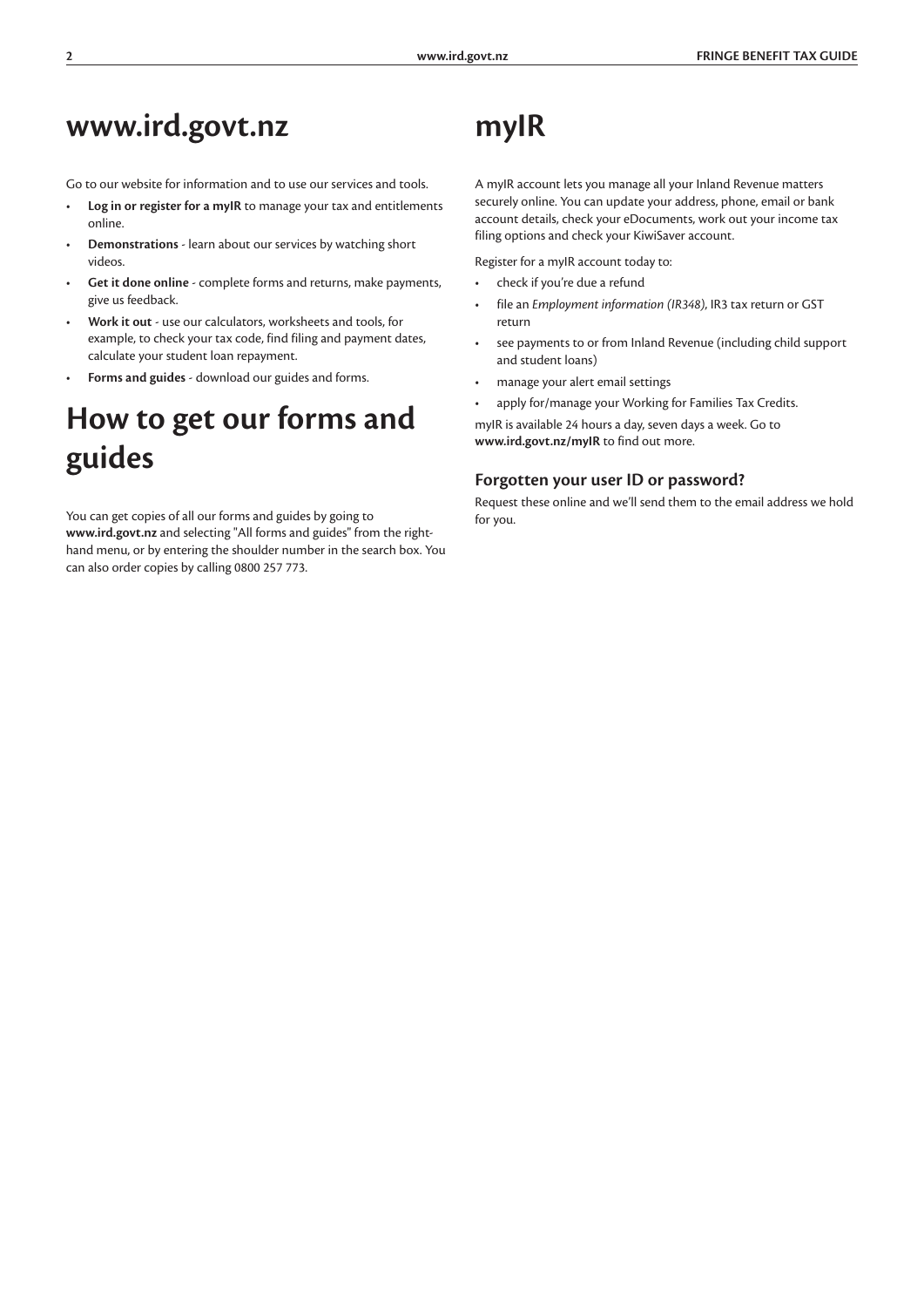# **www.ird.govt.nz**

Go to our website for information and to use our services and tools.

- **Log in or register for a myIR** to manage your tax and entitlements online.
- **Demonstrations** learn about our services by watching short videos.
- **Get it done online** complete forms and returns, make payments, give us feedback.
- **Work it out** use our calculators, worksheets and tools, for example, to check your tax code, find filing and payment dates, calculate your student loan repayment.
- **Forms and guides** download our guides and forms.

# **How to get our forms and guides**

You can get copies of all our forms and guides by going to **www.ird.govt.nz** and selecting "All forms and guides" from the righthand menu, or by entering the shoulder number in the search box. You can also order copies by calling 0800 257 773.

# **myIR**

A myIR account lets you manage all your Inland Revenue matters securely online. You can update your address, phone, email or bank account details, check your eDocuments, work out your income tax filing options and check your KiwiSaver account.

Register for a myIR account today to:

- check if you're due a refund
- file an *Employment information (IR348)*, IR3 tax return or GST return
- see payments to or from Inland Revenue (including child support and student loans)
- manage your alert email settings
- apply for/manage your Working for Families Tax Credits.

myIR is available 24 hours a day, seven days a week. Go to **www.ird.govt.nz/myIR** to find out more.

#### **Forgotten your user ID or password?**

Request these online and we'll send them to the email address we hold for you.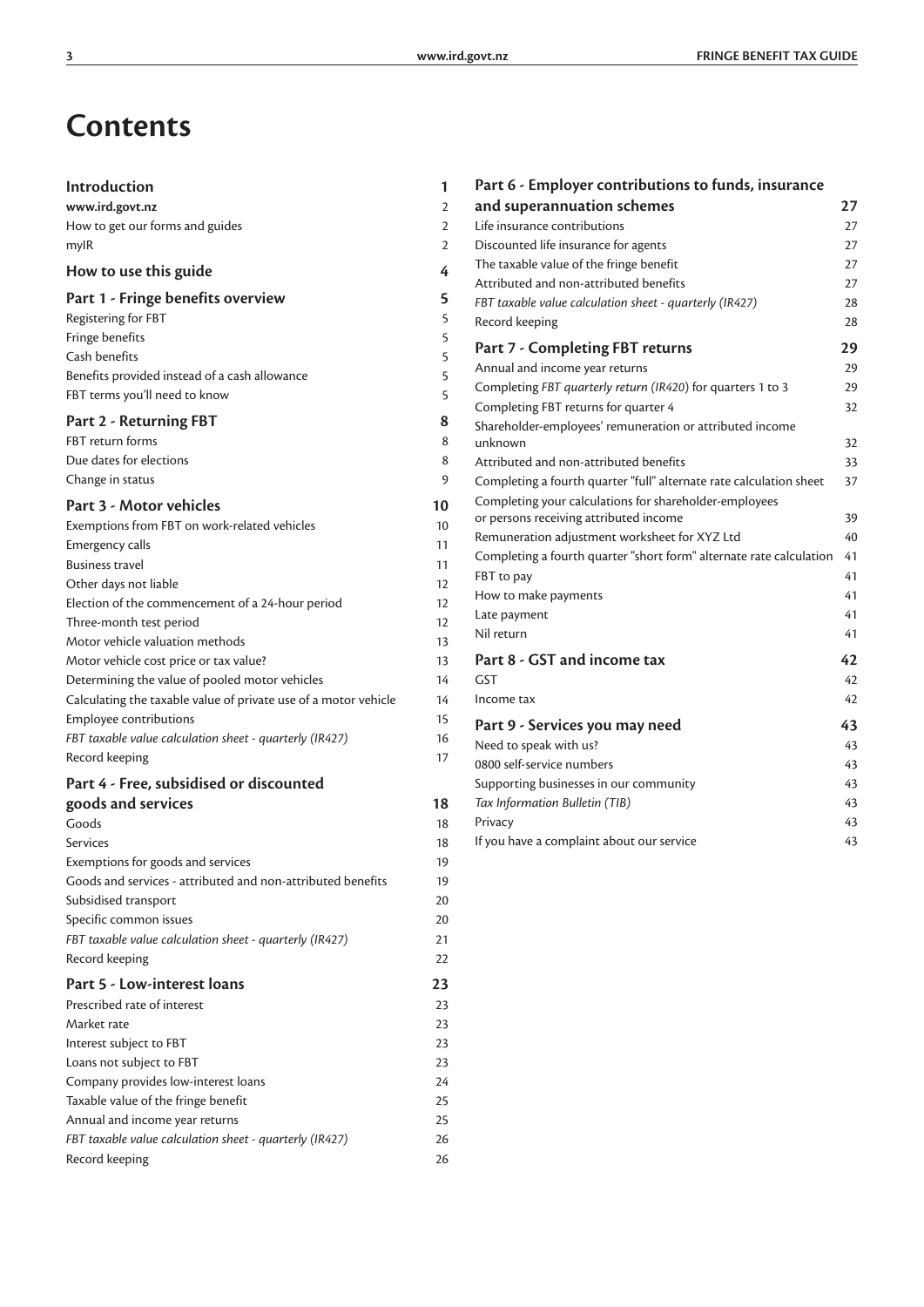# **Contents**

| Introduction                                                              | 1              |
|---------------------------------------------------------------------------|----------------|
| www.ird.govt.nz                                                           | $\overline{2}$ |
| How to get our forms and guides                                           | $\overline{2}$ |
| mylR                                                                      | $\overline{2}$ |
| How to use this guide                                                     | 4              |
| Part 1 - Fringe benefits overview                                         | 5              |
| Registering for FBT                                                       | 5              |
| Fringe benefits                                                           | 5              |
| Cash benefits                                                             | 5              |
| Benefits provided instead of a cash allowance                             | 5              |
| FBT terms you'll need to know                                             | 5              |
| Part 2 - Returning FBT                                                    | 8              |
| FBT return forms                                                          | 8              |
| Due dates for elections                                                   | 8              |
| Change in status                                                          | 9              |
| Part 3 - Motor vehicles                                                   | 10             |
| Exemptions from FBT on work-related vehicles                              | 10             |
| Emergency calls                                                           | 11             |
| <b>Business travel</b>                                                    | 11             |
| Other days not liable                                                     | 12             |
| Election of the commencement of a 24-hour period                          | 12             |
| Three-month test period                                                   | 12             |
| Motor vehicle valuation methods                                           | 13             |
| Motor vehicle cost price or tax value?                                    | 13             |
| Determining the value of pooled motor vehicles                            | 14             |
| Calculating the taxable value of private use of a motor vehicle           | 14             |
| <b>Employee contributions</b>                                             | 15             |
| FBT taxable value calculation sheet - quarterly (IR427)                   | 16             |
| Record keeping                                                            | 17             |
| Part 4 - Free, subsidised or discounted                                   |                |
| goods and services                                                        | 18             |
| Goods                                                                     | 18             |
| <b>Services</b>                                                           | 18             |
| Exemptions for goods and services                                         | 19             |
| Goods and services - attributed and non-attributed benefits               | 19             |
| Subsidised transport                                                      | 20             |
| Specific common issues                                                    | 20             |
| FBT taxable value calculation sheet - quarterly (IR427)<br>Record keeping | 21<br>22       |
|                                                                           |                |
| Part 5 - Low-interest loans<br>Prescribed rate of interest                | 23<br>23       |
| Market rate                                                               | 23             |
| Interest subject to FBT                                                   | 23             |
| Loans not subject to FBT                                                  | 23             |
| Company provides low-interest loans                                       | 24             |
| Taxable value of the fringe benefit                                       | 25             |
| Annual and income year returns                                            | 25             |
| FBT taxable value calculation sheet - quarterly (IR427)                   | 26             |
| Record keeping                                                            | 26             |

| Part 6 - Employer contributions to funds, insurance                 |    |
|---------------------------------------------------------------------|----|
| and superannuation schemes                                          | 27 |
| Life insurance contributions                                        | 27 |
| Discounted life insurance for agents                                | 27 |
| The taxable value of the fringe benefit                             | 27 |
| Attributed and non-attributed benefits                              | 27 |
| FBT taxable value calculation sheet - quarterly (IR427)             | 28 |
| Record keeping                                                      | 28 |
| Part 7 - Completing FBT returns                                     | 29 |
| Annual and income year returns                                      | 29 |
| Completing FBT quarterly return (IR420) for quarters 1 to 3         | 29 |
| Completing FBT returns for quarter 4                                | 32 |
| Shareholder-employees' remuneration or attributed income            |    |
| unknown                                                             | 32 |
| Attributed and non-attributed benefits                              | 33 |
| Completing a fourth quarter "full" alternate rate calculation sheet | 37 |
| Completing your calculations for shareholder-employees              |    |
| or persons receiving attributed income                              | 39 |
| Remuneration adjustment worksheet for XYZ Ltd                       | 40 |
| Completing a fourth quarter "short form" alternate rate calculation | 41 |
| FBT to pay                                                          | 41 |
| How to make payments                                                | 41 |
| Late payment                                                        | 41 |
| Nil return                                                          | 41 |
| Part 8 - GST and income tax                                         | 42 |
| <b>GST</b>                                                          | 42 |
| Income tax                                                          | 42 |
| Part 9 - Services you may need                                      | 43 |
| Need to speak with us?                                              | 43 |
| 0800 self-service numbers                                           | 43 |
| Supporting businesses in our community                              | 43 |
| Tax Information Bulletin (TIB)                                      | 43 |
| Privacy                                                             | 43 |
| If you have a complaint about our service                           | 43 |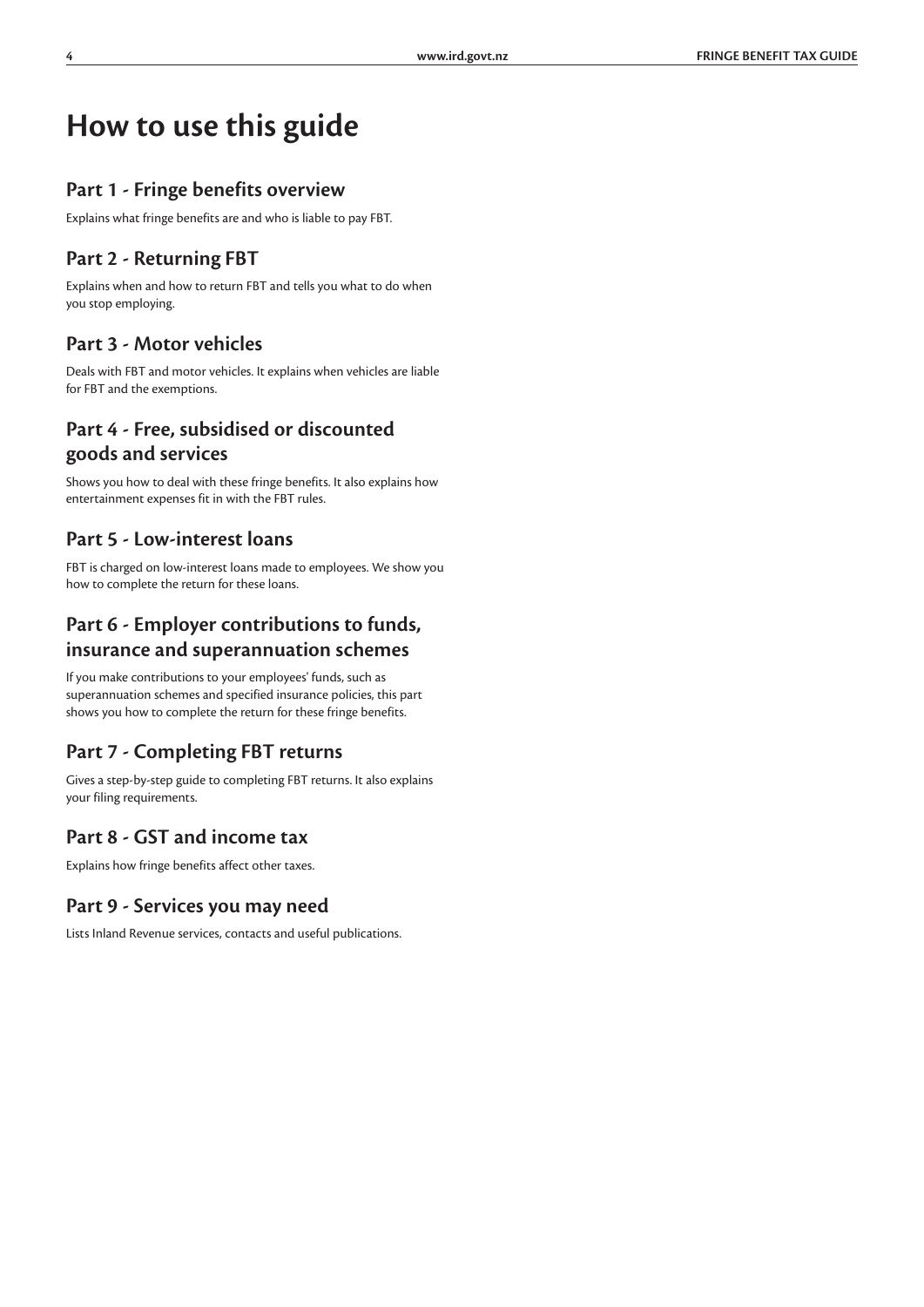# **How to use this guide**

#### **Part 1 - Fringe benefits overview**

Explains what fringe benefits are and who is liable to pay FBT.

### **Part 2 - Returning FBT**

Explains when and how to return FBT and tells you what to do when you stop employing.

### **Part 3 - Motor vehicles**

Deals with FBT and motor vehicles. It explains when vehicles are liable for FBT and the exemptions.

### **Part 4 - Free, subsidised or discounted goods and services**

Shows you how to deal with these fringe benefits. It also explains how entertainment expenses fit in with the FBT rules.

### **Part 5 - Low-interest loans**

FBT is charged on low-interest loans made to employees. We show you how to complete the return for these loans.

### **Part 6 - Employer contributions to funds, insurance and superannuation schemes**

If you make contributions to your employees' funds, such as superannuation schemes and specified insurance policies, this part shows you how to complete the return for these fringe benefits.

### **Part 7 - Completing FBT returns**

Gives a step-by-step guide to completing FBT returns. It also explains your filing requirements.

### **Part 8 - GST and income tax**

Explains how fringe benefits affect other taxes.

### **Part 9 - Services you may need**

Lists Inland Revenue services, contacts and useful publications.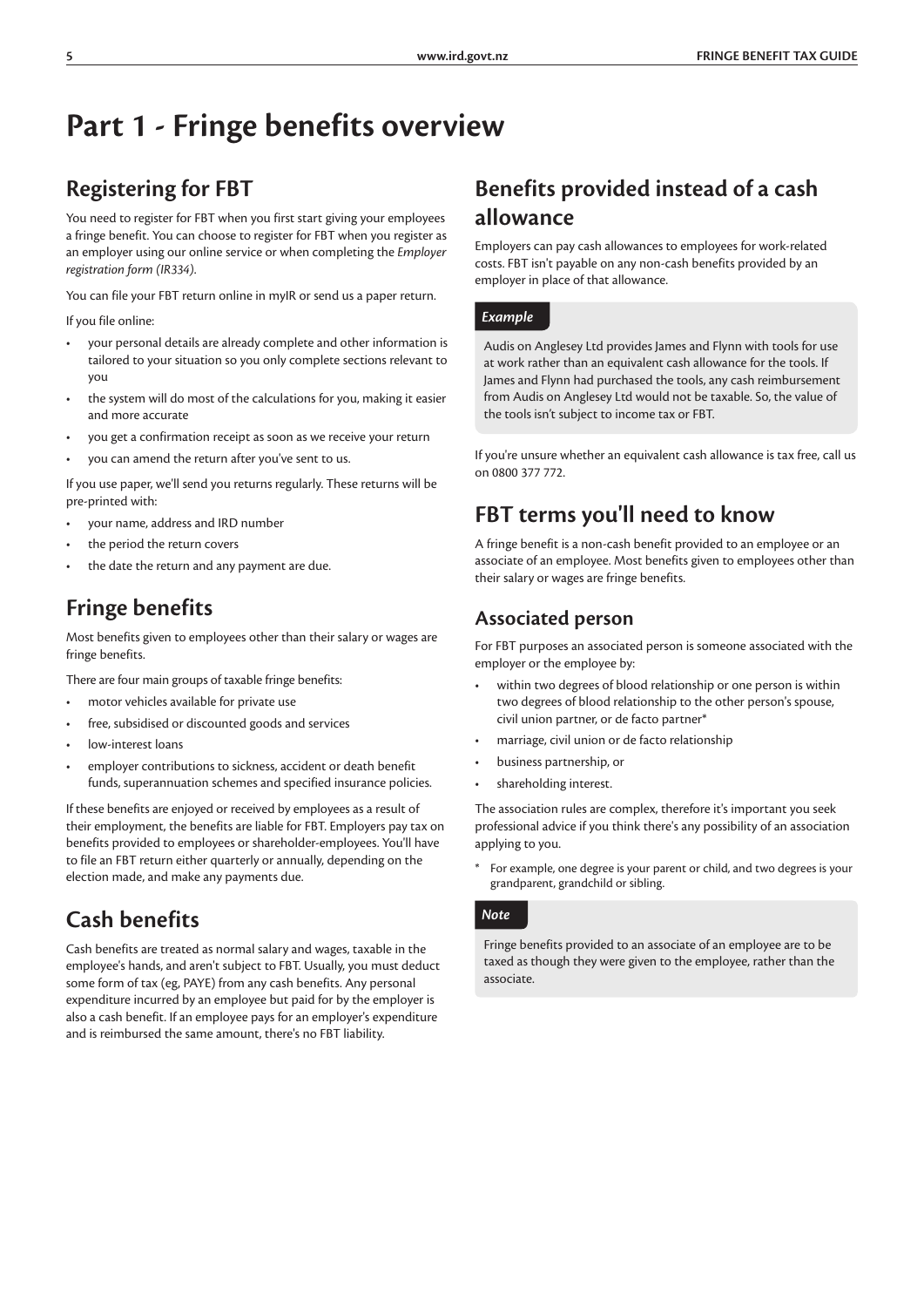# **Part 1 - Fringe benefits overview**

### **Registering for FBT**

You need to register for FBT when you first start giving your employees a fringe benefit. You can choose to register for FBT when you register as an employer using our online service or when completing the *Employer registration form (IR334)*.

You can file your FBT return online in myIR or send us a paper return.

If you file online:

- your personal details are already complete and other information is tailored to your situation so you only complete sections relevant to you
- the system will do most of the calculations for you, making it easier and more accurate
- you get a confirmation receipt as soon as we receive your return
- you can amend the return after you've sent to us.

If you use paper, we'll send you returns regularly. These returns will be pre-printed with:

- your name, address and IRD number
- the period the return covers
- the date the return and any payment are due.

### **Fringe benefits**

Most benefits given to employees other than their salary or wages are fringe benefits.

There are four main groups of taxable fringe benefits:

- motor vehicles available for private use
- free, subsidised or discounted goods and services
- low-interest loans
- employer contributions to sickness, accident or death benefit funds, superannuation schemes and specified insurance policies.

If these benefits are enjoyed or received by employees as a result of their employment, the benefits are liable for FBT. Employers pay tax on benefits provided to employees or shareholder-employees. You'll have to file an FBT return either quarterly or annually, depending on the election made, and make any payments due.

### **Cash benefits**

Cash benefits are treated as normal salary and wages, taxable in the employee's hands, and aren't subject to FBT. Usually, you must deduct some form of tax (eg, PAYE) from any cash benefits. Any personal expenditure incurred by an employee but paid for by the employer is also a cash benefit. If an employee pays for an employer's expenditure and is reimbursed the same amount, there's no FBT liability.

### **Benefits provided instead of a cash allowance**

Employers can pay cash allowances to employees for work-related costs. FBT isn't payable on any non-cash benefits provided by an employer in place of that allowance.

#### *Example*

Audis on Anglesey Ltd provides James and Flynn with tools for use at work rather than an equivalent cash allowance for the tools. If James and Flynn had purchased the tools, any cash reimbursement from Audis on Anglesey Ltd would not be taxable. So, the value of the tools isn't subject to income tax or FBT.

If you're unsure whether an equivalent cash allowance is tax free, call us on 0800 377 772.

### **FBT terms you'll need to know**

A fringe benefit is a non-cash benefit provided to an employee or an associate of an employee. Most benefits given to employees other than their salary or wages are fringe benefits.

#### **Associated person**

For FBT purposes an associated person is someone associated with the employer or the employee by:

- within two degrees of blood relationship or one person is within two degrees of blood relationship to the other person's spouse, civil union partner, or de facto partner\*
- marriage, civil union or de facto relationship
- business partnership, or
- shareholding interest.

The association rules are complex, therefore it's important you seek professional advice if you think there's any possibility of an association applying to you.

\* For example, one degree is your parent or child, and two degrees is your grandparent, grandchild or sibling.

#### *Note*

Fringe benefits provided to an associate of an employee are to be taxed as though they were given to the employee, rather than the associate.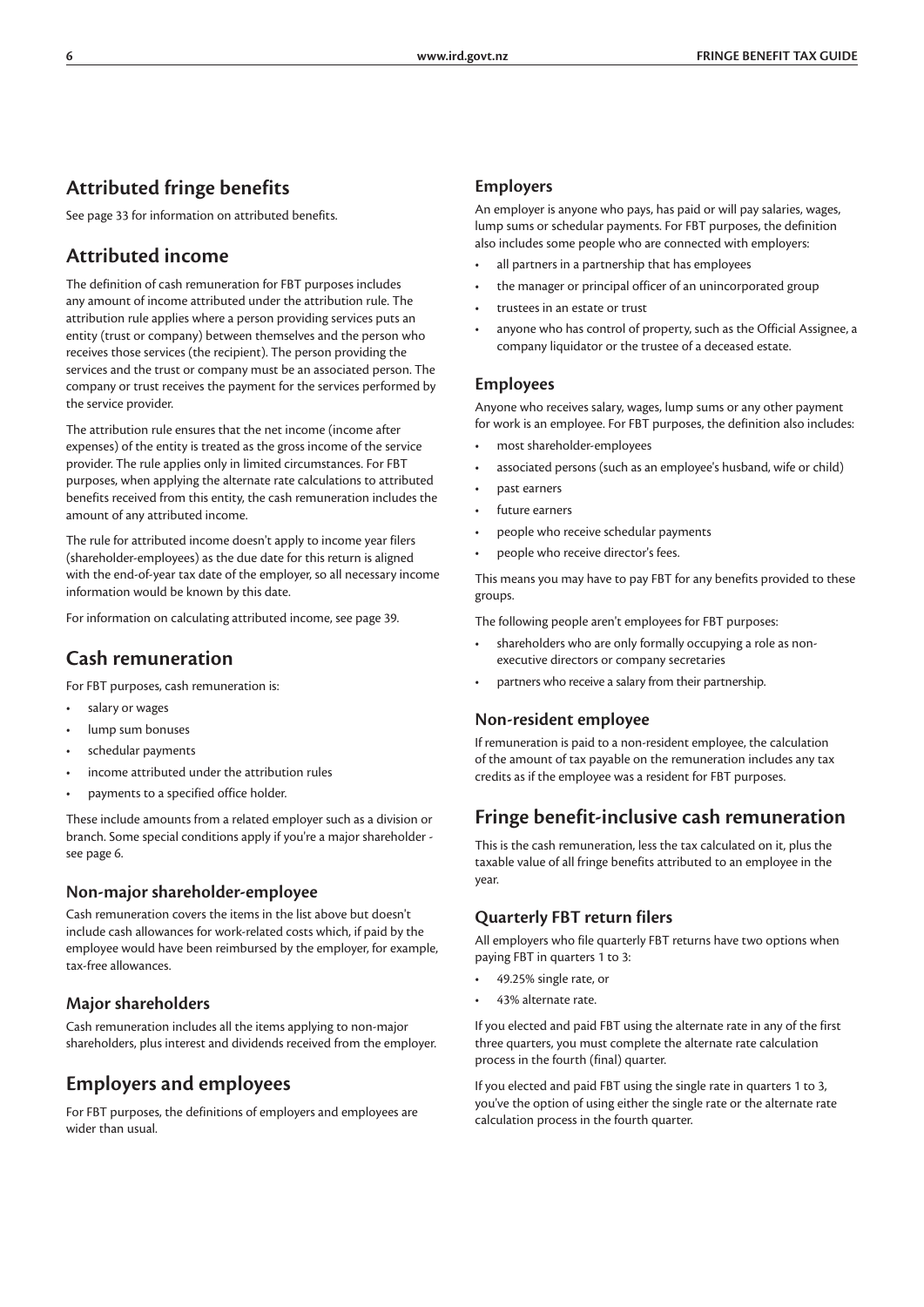### **Attributed fringe benefits**

See page 33 for information on attributed benefits.

### **Attributed income**

The definition of cash remuneration for FBT purposes includes any amount of income attributed under the attribution rule. The attribution rule applies where a person providing services puts an entity (trust or company) between themselves and the person who receives those services (the recipient). The person providing the services and the trust or company must be an associated person. The company or trust receives the payment for the services performed by the service provider.

The attribution rule ensures that the net income (income after expenses) of the entity is treated as the gross income of the service provider. The rule applies only in limited circumstances. For FBT purposes, when applying the alternate rate calculations to attributed benefits received from this entity, the cash remuneration includes the amount of any attributed income.

The rule for attributed income doesn't apply to income year filers (shareholder-employees) as the due date for this return is aligned with the end-of-year tax date of the employer, so all necessary income information would be known by this date.

For information on calculating attributed income, see page 39.

### **Cash remuneration**

For FBT purposes, cash remuneration is:

- salary or wages
- lump sum bonuses
- schedular payments
- income attributed under the attribution rules
- payments to a specified office holder.

These include amounts from a related employer such as a division or branch. Some special conditions apply if you're a major shareholder see page 6.

#### **Non-major shareholder-employee**

Cash remuneration covers the items in the list above but doesn't include cash allowances for work-related costs which, if paid by the employee would have been reimbursed by the employer, for example, tax-free allowances.

#### **Major shareholders**

Cash remuneration includes all the items applying to non-major shareholders, plus interest and dividends received from the employer.

### **Employers and employees**

For FBT purposes, the definitions of employers and employees are wider than usual.

#### **Employers**

An employer is anyone who pays, has paid or will pay salaries, wages, lump sums or schedular payments. For FBT purposes, the definition also includes some people who are connected with employers:

- all partners in a partnership that has employees
- the manager or principal officer of an unincorporated group
- trustees in an estate or trust
- anyone who has control of property, such as the Official Assignee, a company liquidator or the trustee of a deceased estate.

#### **Employees**

Anyone who receives salary, wages, lump sums or any other payment for work is an employee. For FBT purposes, the definition also includes:

- most shareholder-employees
- associated persons (such as an employee's husband, wife or child)
- past earners
- future earners
- people who receive schedular payments
- people who receive director's fees.

This means you may have to pay FBT for any benefits provided to these groups.

The following people aren't employees for FBT purposes:

- shareholders who are only formally occupying a role as nonexecutive directors or company secretaries
- partners who receive a salary from their partnership.

#### **Non-resident employee**

If remuneration is paid to a non-resident employee, the calculation of the amount of tax payable on the remuneration includes any tax credits as if the employee was a resident for FBT purposes.

#### **Fringe benefit-inclusive cash remuneration**

This is the cash remuneration, less the tax calculated on it, plus the taxable value of all fringe benefits attributed to an employee in the year.

#### **Quarterly FBT return filers**

All employers who file quarterly FBT returns have two options when paying FBT in quarters 1 to 3:

- 49.25% single rate, or
- 43% alternate rate.

If you elected and paid FBT using the alternate rate in any of the first three quarters, you must complete the alternate rate calculation process in the fourth (final) quarter.

If you elected and paid FBT using the single rate in quarters 1 to 3, you've the option of using either the single rate or the alternate rate calculation process in the fourth quarter.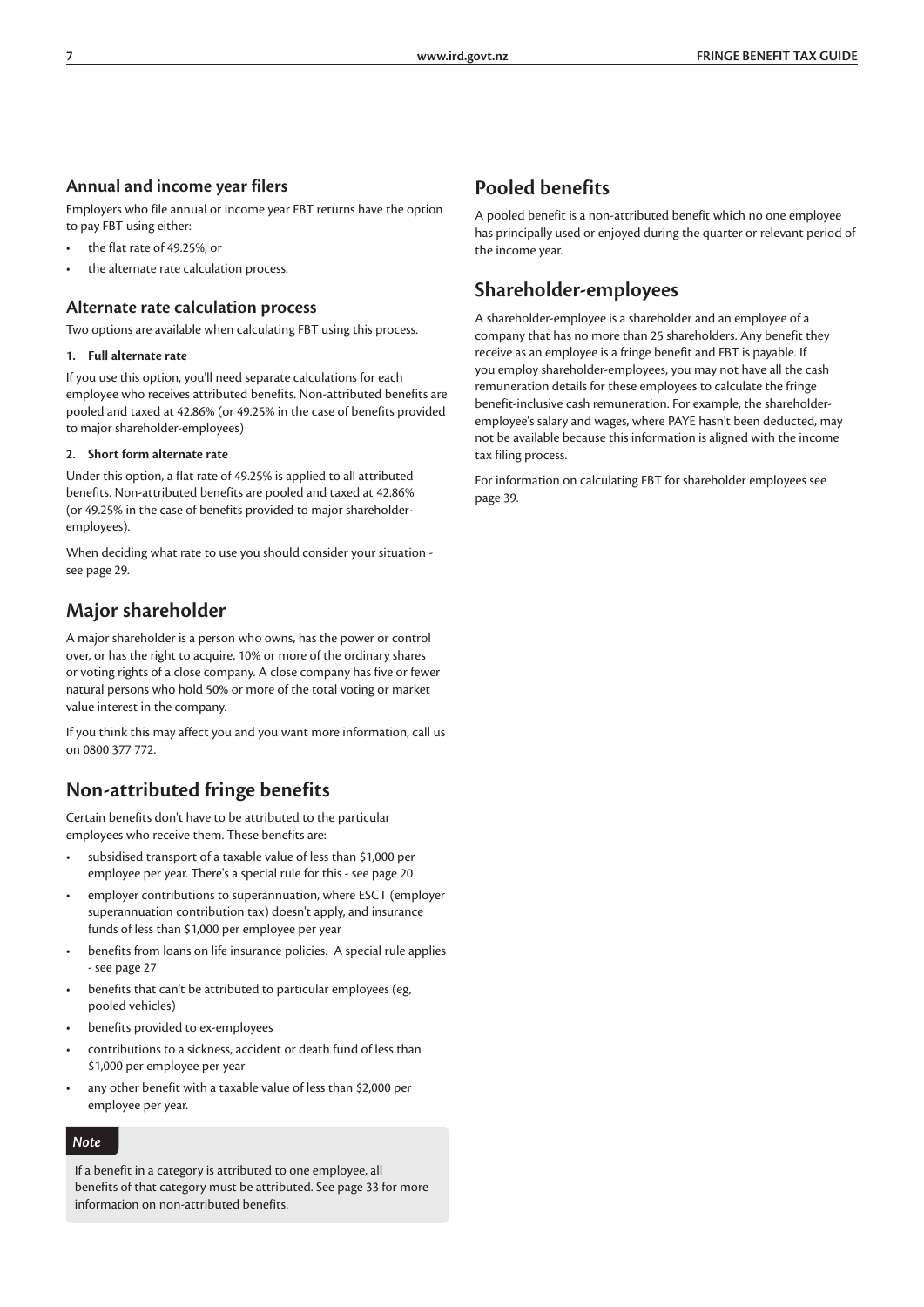#### **Annual and income year filers**

Employers who file annual or income year FBT returns have the option to pay FBT using either:

- the flat rate of 49.25%, or
- the alternate rate calculation process.

#### **Alternate rate calculation process**

Two options are available when calculating FBT using this process.

#### **1. Full alternate rate**

If you use this option, you'll need separate calculations for each employee who receives attributed benefits. Non-attributed benefits are pooled and taxed at 42.86% (or 49.25% in the case of benefits provided to major shareholder-employees)

#### **2. Short form alternate rate**

Under this option, a flat rate of 49.25% is applied to all attributed benefits. Non-attributed benefits are pooled and taxed at 42.86% (or 49.25% in the case of benefits provided to major shareholderemployees).

When deciding what rate to use you should consider your situation see page 29.

### **Major shareholder**

A major shareholder is a person who owns, has the power or control over, or has the right to acquire, 10% or more of the ordinary shares or voting rights of a close company. A close company has five or fewer natural persons who hold 50% or more of the total voting or market value interest in the company.

If you think this may affect you and you want more information, call us on 0800 377 772.

### **Non-attributed fringe benefits**

Certain benefits don't have to be attributed to the particular employees who receive them. These benefits are:

- subsidised transport of a taxable value of less than \$1,000 per employee per year. There's a special rule for this - see page 20
- employer contributions to superannuation, where ESCT (employer superannuation contribution tax) doesn't apply, and insurance funds of less than \$1,000 per employee per year
- benefits from loans on life insurance policies. A special rule applies - see page 27
- benefits that can't be attributed to particular employees (eg, pooled vehicles)
- benefits provided to ex-employees
- contributions to a sickness, accident or death fund of less than \$1,000 per employee per year
- any other benefit with a taxable value of less than \$2,000 per employee per year.

#### *Note*

If a benefit in a category is attributed to one employee, all benefits of that category must be attributed. See page 33 for more information on non-attributed benefits.

### **Pooled benefits**

A pooled benefit is a non-attributed benefit which no one employee has principally used or enjoyed during the quarter or relevant period of the income year.

### **Shareholder-employees**

A shareholder-employee is a shareholder and an employee of a company that has no more than 25 shareholders. Any benefit they receive as an employee is a fringe benefit and FBT is payable. If you employ shareholder-employees, you may not have all the cash remuneration details for these employees to calculate the fringe benefit-inclusive cash remuneration. For example, the shareholderemployee's salary and wages, where PAYE hasn't been deducted, may not be available because this information is aligned with the income tax filing process.

For information on calculating FBT for shareholder employees see page 39.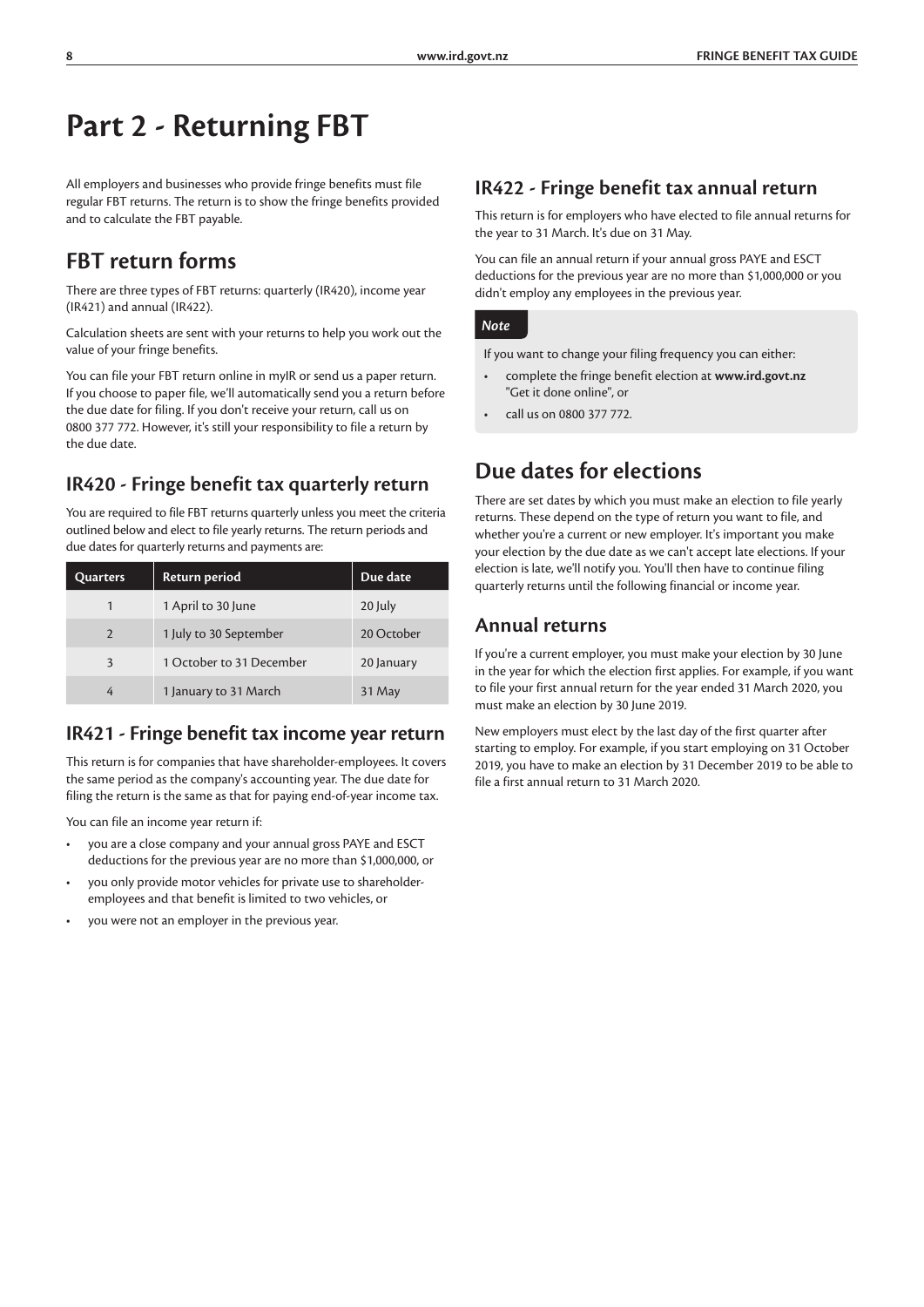# **Part 2 - Returning FBT**

All employers and businesses who provide fringe benefits must file regular FBT returns. The return is to show the fringe benefits provided and to calculate the FBT payable.

### **FBT return forms**

There are three types of FBT returns: quarterly (IR420), income year (IR421) and annual (IR422).

Calculation sheets are sent with your returns to help you work out the value of your fringe benefits.

You can file your FBT return online in myIR or send us a paper return. If you choose to paper file, we'll automatically send you a return before the due date for filing. If you don't receive your return, call us on 0800 377 772. However, it's still your responsibility to file a return by the due date.

### **IR420 - Fringe benefit tax quarterly return**

You are required to file FBT returns quarterly unless you meet the criteria outlined below and elect to file yearly returns. The return periods and due dates for quarterly returns and payments are:

| Quarters       | Return period            | Due date   |
|----------------|--------------------------|------------|
| 1              | 1 April to 30 June       | 20 July    |
| $\mathfrak{D}$ | 1 July to 30 September   | 20 October |
| 3              | 1 October to 31 December | 20 January |
| 4              | 1 January to 31 March    | 31 May     |

### **IR421 - Fringe benefit tax income year return**

This return is for companies that have shareholder-employees. It covers the same period as the company's accounting year. The due date for filing the return is the same as that for paying end-of-year income tax.

You can file an income year return if:

- you are a close company and your annual gross PAYE and ESCT deductions for the previous year are no more than \$1,000,000, or
- you only provide motor vehicles for private use to shareholderemployees and that benefit is limited to two vehicles, or
- you were not an employer in the previous year.

### **IR422 - Fringe benefit tax annual return**

This return is for employers who have elected to file annual returns for the year to 31 March. It's due on 31 May.

You can file an annual return if your annual gross PAYE and ESCT deductions for the previous year are no more than \$1,000,000 or you didn't employ any employees in the previous year.

#### *Note*

If you want to change your filing frequency you can either:

- complete the fringe benefit election at **www.ird.govt.nz** "Get it done online", or
- call us on 0800 377 772.

### **Due dates for elections**

There are set dates by which you must make an election to file yearly returns. These depend on the type of return you want to file, and whether you're a current or new employer. It's important you make your election by the due date as we can't accept late elections. If your election is late, we'll notify you. You'll then have to continue filing quarterly returns until the following financial or income year.

#### **Annual returns**

If you're a current employer, you must make your election by 30 June in the year for which the election first applies. For example, if you want to file your first annual return for the year ended 31 March 2020, you must make an election by 30 June 2019.

New employers must elect by the last day of the first quarter after starting to employ. For example, if you start employing on 31 October 2019, you have to make an election by 31 December 2019 to be able to file a first annual return to 31 March 2020.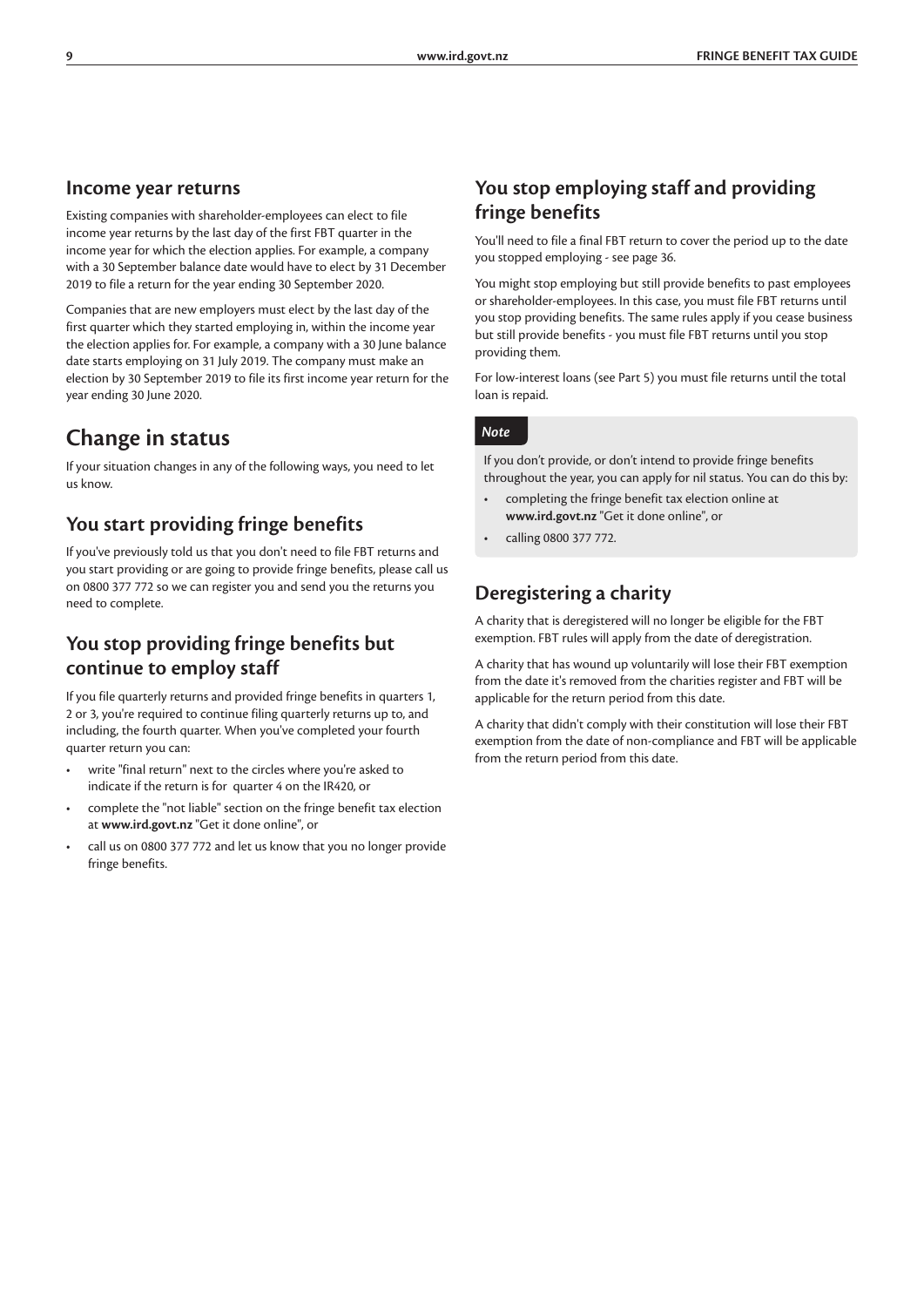#### **Income year returns**

Existing companies with shareholder-employees can elect to file income year returns by the last day of the first FBT quarter in the income year for which the election applies. For example, a company with a 30 September balance date would have to elect by 31 December 2019 to file a return for the year ending 30 September 2020.

Companies that are new employers must elect by the last day of the first quarter which they started employing in, within the income year the election applies for. For example, a company with a 30 June balance date starts employing on 31 July 2019. The company must make an election by 30 September 2019 to file its first income year return for the year ending 30 June 2020.

### **Change in status**

If your situation changes in any of the following ways, you need to let us know.

### **You start providing fringe benefits**

If you've previously told us that you don't need to file FBT returns and you start providing or are going to provide fringe benefits, please call us on 0800 377 772 so we can register you and send you the returns you need to complete.

### **You stop providing fringe benefits but continue to employ staff**

If you file quarterly returns and provided fringe benefits in quarters 1, 2 or 3, you're required to continue filing quarterly returns up to, and including, the fourth quarter. When you've completed your fourth quarter return you can:

- write "final return" next to the circles where you're asked to indicate if the return is for quarter 4 on the IR420, or
- complete the "not liable" section on the fringe benefit tax election at **www.ird.govt.nz** "Get it done online", or
- call us on 0800 377 772 and let us know that you no longer provide fringe benefits.

### **You stop employing staff and providing fringe benefits**

You'll need to file a final FBT return to cover the period up to the date you stopped employing - see page 36.

You might stop employing but still provide benefits to past employees or shareholder-employees. In this case, you must file FBT returns until you stop providing benefits. The same rules apply if you cease business but still provide benefits - you must file FBT returns until you stop providing them.

For low-interest loans (see Part 5) you must file returns until the total loan is repaid.

#### *Note*

If you don't provide, or don't intend to provide fringe benefits throughout the year, you can apply for nil status. You can do this by:

- completing the fringe benefit tax election online at **www.ird.govt.nz** "Get it done online", or
- calling 0800 377 772.

### **Deregistering a charity**

A charity that is deregistered will no longer be eligible for the FBT exemption. FBT rules will apply from the date of deregistration.

A charity that has wound up voluntarily will lose their FBT exemption from the date it's removed from the charities register and FBT will be applicable for the return period from this date.

A charity that didn't comply with their constitution will lose their FBT exemption from the date of non-compliance and FBT will be applicable from the return period from this date.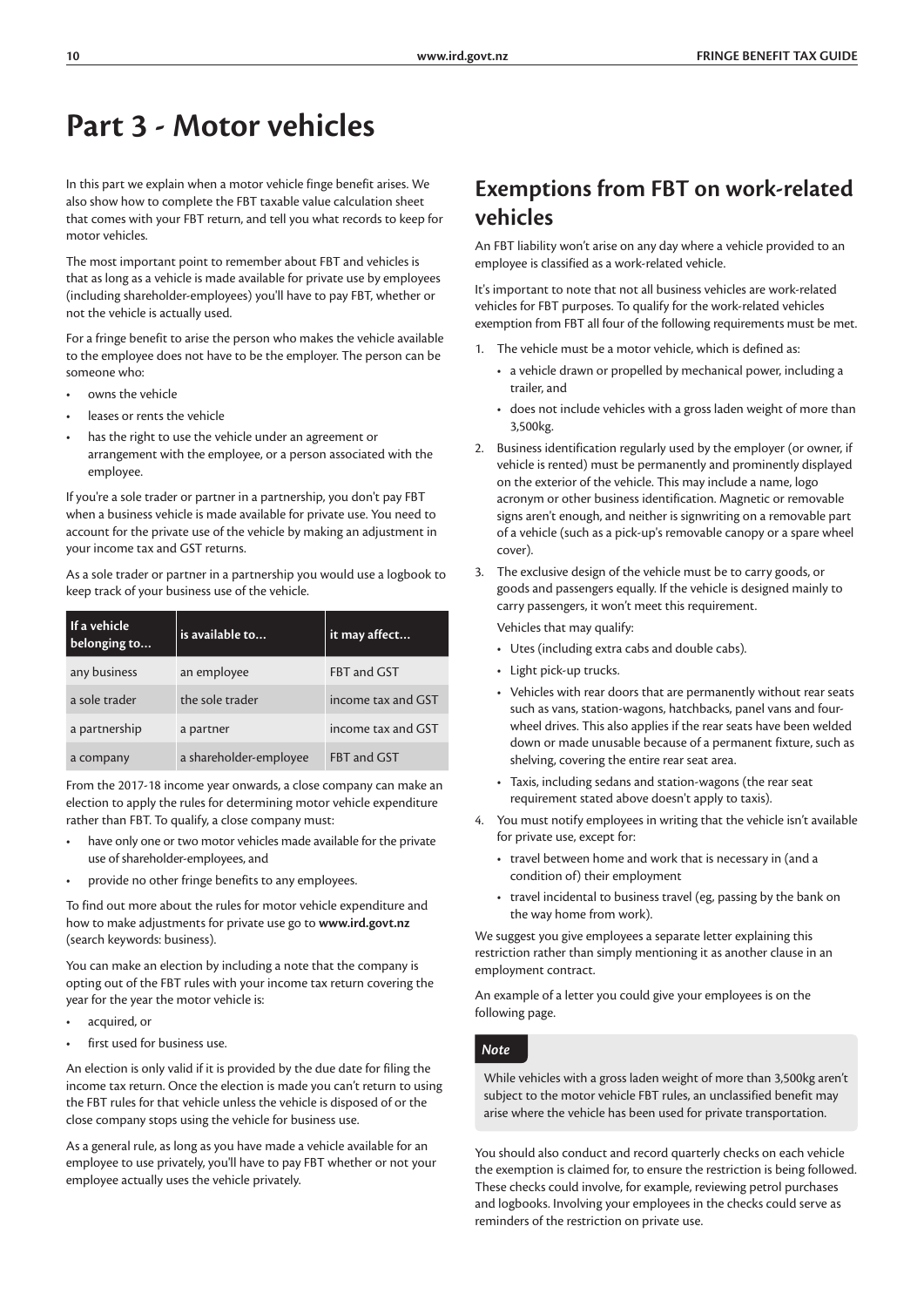# **Part 3 - Motor vehicles**

In this part we explain when a motor vehicle finge benefit arises. We also show how to complete the FBT taxable value calculation sheet that comes with your FBT return, and tell you what records to keep for motor vehicles.

The most important point to remember about FBT and vehicles is that as long as a vehicle is made available for private use by employees (including shareholder-employees) you'll have to pay FBT, whether or not the vehicle is actually used.

For a fringe benefit to arise the person who makes the vehicle available to the employee does not have to be the employer. The person can be someone who:

- owns the vehicle
- leases or rents the vehicle
- has the right to use the vehicle under an agreement or arrangement with the employee, or a person associated with the employee.

If you're a sole trader or partner in a partnership, you don't pay FBT when a business vehicle is made available for private use. You need to account for the private use of the vehicle by making an adjustment in your income tax and GST returns.

As a sole trader or partner in a partnership you would use a logbook to keep track of your business use of the vehicle.

| If a vehicle<br>belonging to | is available to        | it may affect      |
|------------------------------|------------------------|--------------------|
| any business                 | an employee            | FBT and GST        |
| a sole trader                | the sole trader        | income tax and GST |
| a partnership                | a partner              | income tax and GST |
| a company                    | a shareholder-employee | FBT and GST        |

From the 2017-18 income year onwards, a close company can make an election to apply the rules for determining motor vehicle expenditure rather than FBT. To qualify, a close company must:

- have only one or two motor vehicles made available for the private use of shareholder-employees, and
- provide no other fringe benefits to any employees.

To find out more about the rules for motor vehicle expenditure and how to make adjustments for private use go to **www.ird.govt.nz** (search keywords: business).

You can make an election by including a note that the company is opting out of the FBT rules with your income tax return covering the year for the year the motor vehicle is:

- acquired, or
- first used for business use.

An election is only valid if it is provided by the due date for filing the income tax return. Once the election is made you can't return to using the FBT rules for that vehicle unless the vehicle is disposed of or the close company stops using the vehicle for business use.

As a general rule, as long as you have made a vehicle available for an employee to use privately, you'll have to pay FBT whether or not your employee actually uses the vehicle privately.

### **Exemptions from FBT on work-related vehicles**

An FBT liability won't arise on any day where a vehicle provided to an employee is classified as a work-related vehicle.

It's important to note that not all business vehicles are work-related vehicles for FBT purposes. To qualify for the work-related vehicles exemption from FBT all four of the following requirements must be met.

- 1. The vehicle must be a motor vehicle, which is defined as:
	- a vehicle drawn or propelled by mechanical power, including a trailer, and
	- does not include vehicles with a gross laden weight of more than 3,500kg.
- 2. Business identification regularly used by the employer (or owner, if vehicle is rented) must be permanently and prominently displayed on the exterior of the vehicle. This may include a name, logo acronym or other business identification. Magnetic or removable signs aren't enough, and neither is signwriting on a removable part of a vehicle (such as a pick-up's removable canopy or a spare wheel cover).
- 3. The exclusive design of the vehicle must be to carry goods, or goods and passengers equally. If the vehicle is designed mainly to carry passengers, it won't meet this requirement.

Vehicles that may qualify:

- Utes (including extra cabs and double cabs).
- Light pick-up trucks.
- Vehicles with rear doors that are permanently without rear seats such as vans, station-wagons, hatchbacks, panel vans and fourwheel drives. This also applies if the rear seats have been welded down or made unusable because of a permanent fixture, such as shelving, covering the entire rear seat area.
- Taxis, including sedans and station-wagons (the rear seat requirement stated above doesn't apply to taxis).
- 4. You must notify employees in writing that the vehicle isn't available for private use, except for:
	- travel between home and work that is necessary in (and a condition of) their employment
	- travel incidental to business travel (eg, passing by the bank on the way home from work).

We suggest you give employees a separate letter explaining this restriction rather than simply mentioning it as another clause in an employment contract.

An example of a letter you could give your employees is on the following page.

#### *Note*

While vehicles with a gross laden weight of more than 3,500kg aren't subject to the motor vehicle FBT rules, an unclassified benefit may arise where the vehicle has been used for private transportation.

You should also conduct and record quarterly checks on each vehicle the exemption is claimed for, to ensure the restriction is being followed. These checks could involve, for example, reviewing petrol purchases and logbooks. Involving your employees in the checks could serve as reminders of the restriction on private use.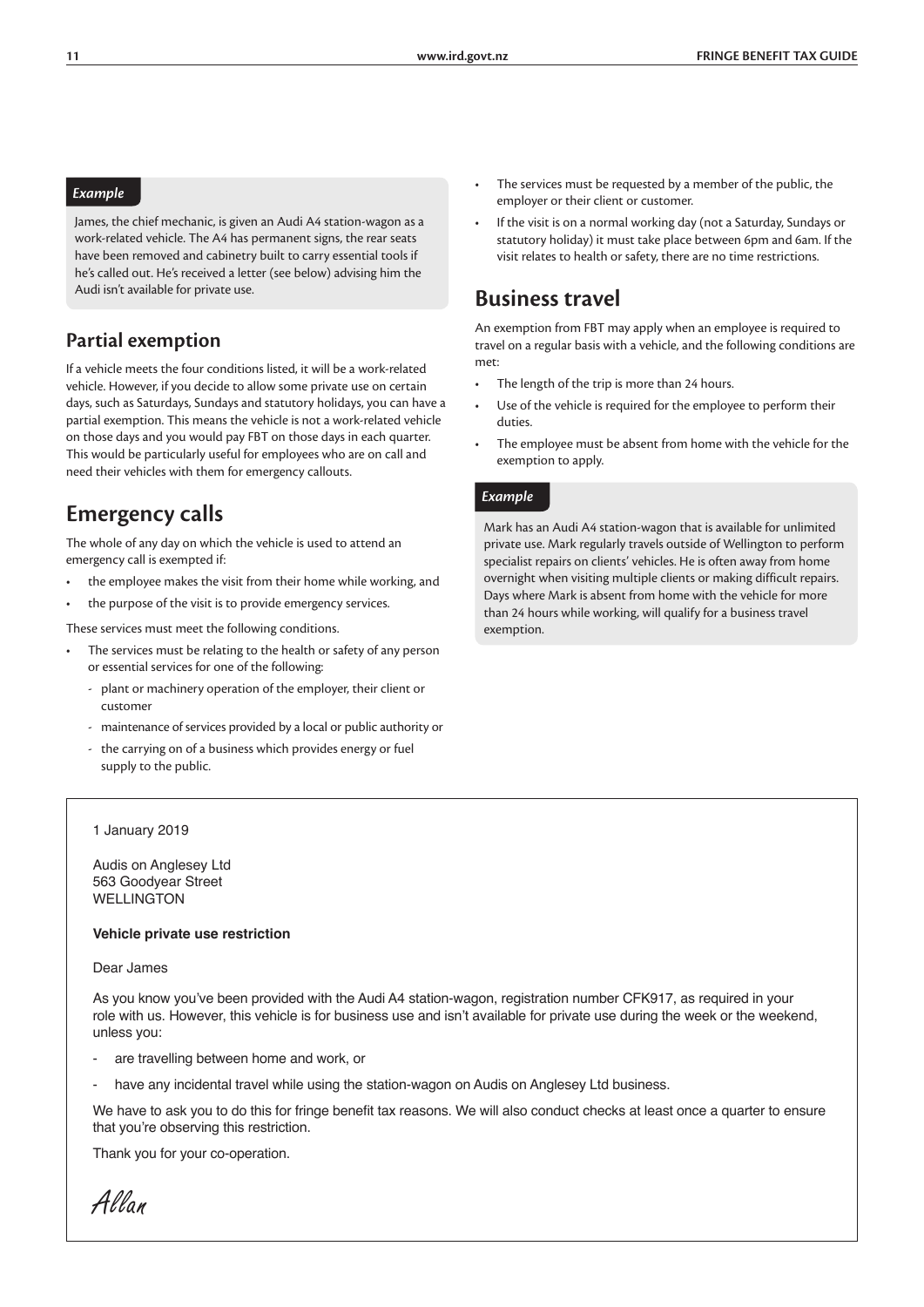#### *Example*

James, the chief mechanic, is given an Audi A4 station-wagon as a work-related vehicle. The A4 has permanent signs, the rear seats have been removed and cabinetry built to carry essential tools if he's called out. He's received a letter (see below) advising him the Audi isn't available for private use.

### **Partial exemption**

If a vehicle meets the four conditions listed, it will be a work-related vehicle. However, if you decide to allow some private use on certain days, such as Saturdays, Sundays and statutory holidays, you can have a partial exemption. This means the vehicle is not a work-related vehicle on those days and you would pay FBT on those days in each quarter. This would be particularly useful for employees who are on call and need their vehicles with them for emergency callouts.

### **Emergency calls**

The whole of any day on which the vehicle is used to attend an emergency call is exempted if:

- the employee makes the visit from their home while working, and
- the purpose of the visit is to provide emergency services.

These services must meet the following conditions.

- The services must be relating to the health or safety of any person or essential services for one of the following:
	- plant or machinery operation of the employer, their client or customer
	- maintenance of services provided by a local or public authority or
	- the carrying on of a business which provides energy or fuel supply to the public.
	- 1 January 2019

Audis on Anglesey Ltd 563 Goodyear Street WELLINGTON

#### **Vehicle private use restriction**

#### Dear James

As you know you've been provided with the Audi A4 station-wagon, registration number CFK917, as required in your role with us. However, this vehicle is for business use and isn't available for private use during the week or the weekend, unless you:

- are travelling between home and work, or
- have any incidental travel while using the station-wagon on Audis on Anglesey Ltd business.

We have to ask you to do this for fringe benefit tax reasons. We will also conduct checks at least once a quarter to ensure that you're observing this restriction.

Thank you for your co-operation.

*Allan*

- The services must be requested by a member of the public, the employer or their client or customer.
- If the visit is on a normal working day (not a Saturday, Sundays or statutory holiday) it must take place between 6pm and 6am. If the visit relates to health or safety, there are no time restrictions.

### **Business travel**

An exemption from FBT may apply when an employee is required to travel on a regular basis with a vehicle, and the following conditions are met:

- The length of the trip is more than 24 hours.
- Use of the vehicle is required for the employee to perform their duties.
- The employee must be absent from home with the vehicle for the exemption to apply.

#### *Example*

Mark has an Audi A4 station-wagon that is available for unlimited private use. Mark regularly travels outside of Wellington to perform specialist repairs on clients' vehicles. He is often away from home overnight when visiting multiple clients or making difficult repairs. Days where Mark is absent from home with the vehicle for more than 24 hours while working, will qualify for a business travel exemption.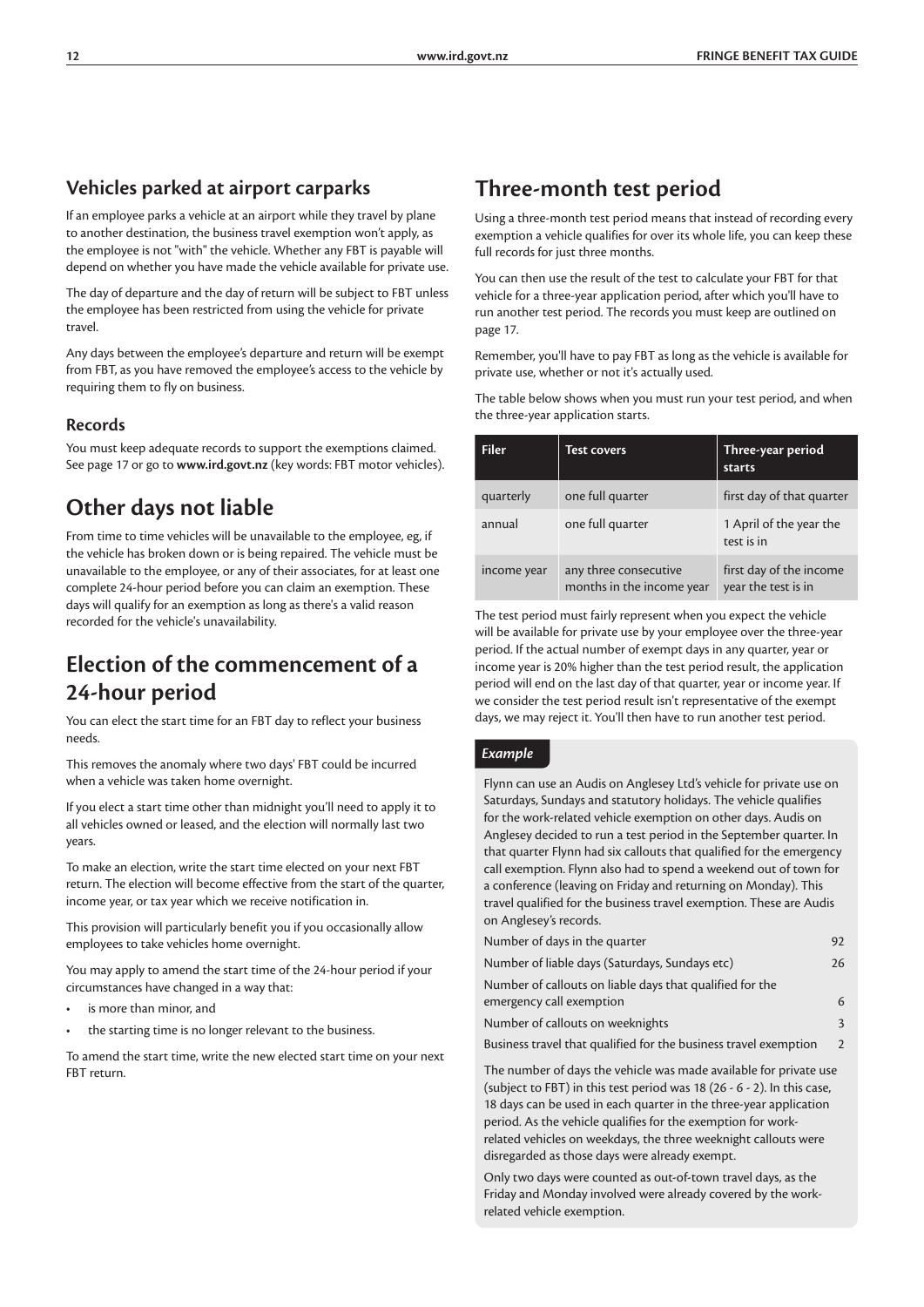### **Vehicles parked at airport carparks**

If an employee parks a vehicle at an airport while they travel by plane to another destination, the business travel exemption won't apply, as the employee is not "with" the vehicle. Whether any FBT is payable will depend on whether you have made the vehicle available for private use.

The day of departure and the day of return will be subject to FBT unless the employee has been restricted from using the vehicle for private travel.

Any days between the employee's departure and return will be exempt from FBT, as you have removed the employee's access to the vehicle by requiring them to fly on business.

#### **Records**

You must keep adequate records to support the exemptions claimed. See page 17 or go to **www.ird.govt.nz** (key words: FBT motor vehicles).

### **Other days not liable**

From time to time vehicles will be unavailable to the employee, eg, if the vehicle has broken down or is being repaired. The vehicle must be unavailable to the employee, or any of their associates, for at least one complete 24-hour period before you can claim an exemption. These days will qualify for an exemption as long as there's a valid reason recorded for the vehicle's unavailability.

### **Election of the commencement of a 24-hour period**

You can elect the start time for an FBT day to reflect your business needs.

This removes the anomaly where two days' FBT could be incurred when a vehicle was taken home overnight.

If you elect a start time other than midnight you'll need to apply it to all vehicles owned or leased, and the election will normally last two years.

To make an election, write the start time elected on your next FBT return. The election will become effective from the start of the quarter, income year, or tax year which we receive notification in.

This provision will particularly benefit you if you occasionally allow employees to take vehicles home overnight.

You may apply to amend the start time of the 24-hour period if your circumstances have changed in a way that:

- is more than minor, and
- the starting time is no longer relevant to the business.

To amend the start time, write the new elected start time on your next FBT return.

### **Three-month test period**

Using a three-month test period means that instead of recording every exemption a vehicle qualifies for over its whole life, you can keep these full records for just three months.

You can then use the result of the test to calculate your FBT for that vehicle for a three-year application period, after which you'll have to run another test period. The records you must keep are outlined on page 17.

Remember, you'll have to pay FBT as long as the vehicle is available for private use, whether or not it's actually used.

The table below shows when you must run your test period, and when the three-year application starts.

| <b>Filer</b> | Test covers                                        | Three-year period<br><b>starts</b>             |
|--------------|----------------------------------------------------|------------------------------------------------|
| quarterly    | one full quarter                                   | first day of that quarter                      |
| annual       | one full quarter                                   | 1 April of the year the<br>test is in          |
| income year  | any three consecutive<br>months in the income year | first day of the income<br>year the test is in |

The test period must fairly represent when you expect the vehicle will be available for private use by your employee over the three-year period. If the actual number of exempt days in any quarter, year or income year is 20% higher than the test period result, the application period will end on the last day of that quarter, year or income year. If we consider the test period result isn't representative of the exempt days, we may reject it. You'll then have to run another test period.

#### *Example*

Flynn can use an Audis on Anglesey Ltd's vehicle for private use on Saturdays, Sundays and statutory holidays. The vehicle qualifies for the work-related vehicle exemption on other days. Audis on Anglesey decided to run a test period in the September quarter. In that quarter Flynn had six callouts that qualified for the emergency call exemption. Flynn also had to spend a weekend out of town for a conference (leaving on Friday and returning on Monday). This travel qualified for the business travel exemption. These are Audis on Anglesey's records.

| Number of days in the quarter                                                        | 92            |
|--------------------------------------------------------------------------------------|---------------|
| Number of liable days (Saturdays, Sundays etc)                                       | 26            |
| Number of callouts on liable days that qualified for the<br>emergency call exemption | 6             |
| Number of callouts on weeknights                                                     | $\mathbf{3}$  |
| Business travel that qualified for the business travel exemption                     | $\mathcal{P}$ |

The number of days the vehicle was made available for private use (subject to FBT) in this test period was 18 (26 - 6 - 2). In this case, 18 days can be used in each quarter in the three-year application period. As the vehicle qualifies for the exemption for workrelated vehicles on weekdays, the three weeknight callouts were disregarded as those days were already exempt.

Only two days were counted as out-of-town travel days, as the Friday and Monday involved were already covered by the workrelated vehicle exemption.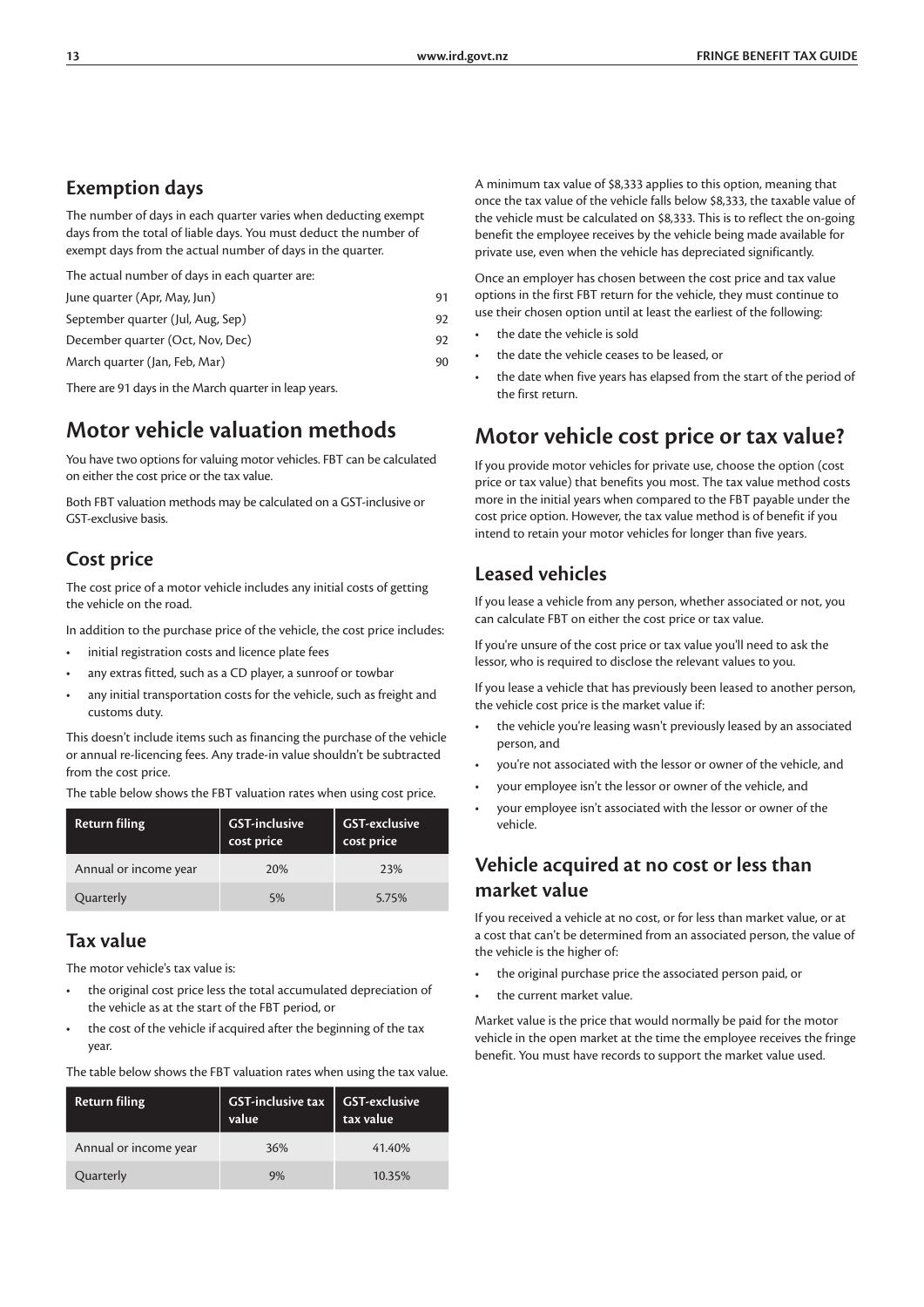### **Exemption days**

The number of days in each quarter varies when deducting exempt days from the total of liable days. You must deduct the number of exempt days from the actual number of days in the quarter.

The actual number of days in each quarter are:

| 91  |
|-----|
| 92. |
| 92  |
| 90  |
|     |

There are 91 days in the March quarter in leap years.

### **Motor vehicle valuation methods**

You have two options for valuing motor vehicles. FBT can be calculated on either the cost price or the tax value.

Both FBT valuation methods may be calculated on a GST-inclusive or GST-exclusive basis.

### **Cost price**

The cost price of a motor vehicle includes any initial costs of getting the vehicle on the road.

In addition to the purchase price of the vehicle, the cost price includes:

- initial registration costs and licence plate fees
- any extras fitted, such as a CD player, a sunroof or towbar
- any initial transportation costs for the vehicle, such as freight and customs duty.

This doesn't include items such as financing the purchase of the vehicle or annual re-licencing fees. Any trade-in value shouldn't be subtracted from the cost price.

The table below shows the FBT valuation rates when using cost price.

| <b>Return filing</b>  | <b>GST-inclusive</b><br>cost price | <b>GST-exclusive</b><br>cost price |
|-----------------------|------------------------------------|------------------------------------|
| Annual or income year | 20%                                | 23%                                |
| Quarterly             | 5%                                 | 5.75%                              |

### **Tax value**

The motor vehicle's tax value is:

- the original cost price less the total accumulated depreciation of the vehicle as at the start of the FBT period, or
- the cost of the vehicle if acquired after the beginning of the tax year.

| <b>Return filing</b>  | GST-inclusive tax $\vert$ GST-exclusive<br>value | tax value |  |  |
|-----------------------|--------------------------------------------------|-----------|--|--|
| Annual or income year | 36%                                              | 41.40%    |  |  |

Quarterly 9% 10.35%

The table below shows the FBT valuation rates when using the tax value.

A minimum tax value of \$8,333 applies to this option, meaning that once the tax value of the vehicle falls below \$8,333, the taxable value of the vehicle must be calculated on \$8,333. This is to reflect the on-going benefit the employee receives by the vehicle being made available for private use, even when the vehicle has depreciated significantly.

Once an employer has chosen between the cost price and tax value options in the first FBT return for the vehicle, they must continue to use their chosen option until at least the earliest of the following:

- the date the vehicle is sold
- the date the vehicle ceases to be leased, or
- the date when five years has elapsed from the start of the period of the first return.

### **Motor vehicle cost price or tax value?**

If you provide motor vehicles for private use, choose the option (cost price or tax value) that benefits you most. The tax value method costs more in the initial years when compared to the FBT payable under the cost price option. However, the tax value method is of benefit if you intend to retain your motor vehicles for longer than five years.

### **Leased vehicles**

If you lease a vehicle from any person, whether associated or not, you can calculate FBT on either the cost price or tax value.

If you're unsure of the cost price or tax value you'll need to ask the lessor, who is required to disclose the relevant values to you.

If you lease a vehicle that has previously been leased to another person, the vehicle cost price is the market value if:

- the vehicle you're leasing wasn't previously leased by an associated person, and
- you're not associated with the lessor or owner of the vehicle, and
- your employee isn't the lessor or owner of the vehicle, and
- your employee isn't associated with the lessor or owner of the vehicle.

### **Vehicle acquired at no cost or less than market value**

If you received a vehicle at no cost, or for less than market value, or at a cost that can't be determined from an associated person, the value of the vehicle is the higher of:

- the original purchase price the associated person paid, or
- the current market value.

Market value is the price that would normally be paid for the motor vehicle in the open market at the time the employee receives the fringe benefit. You must have records to support the market value used.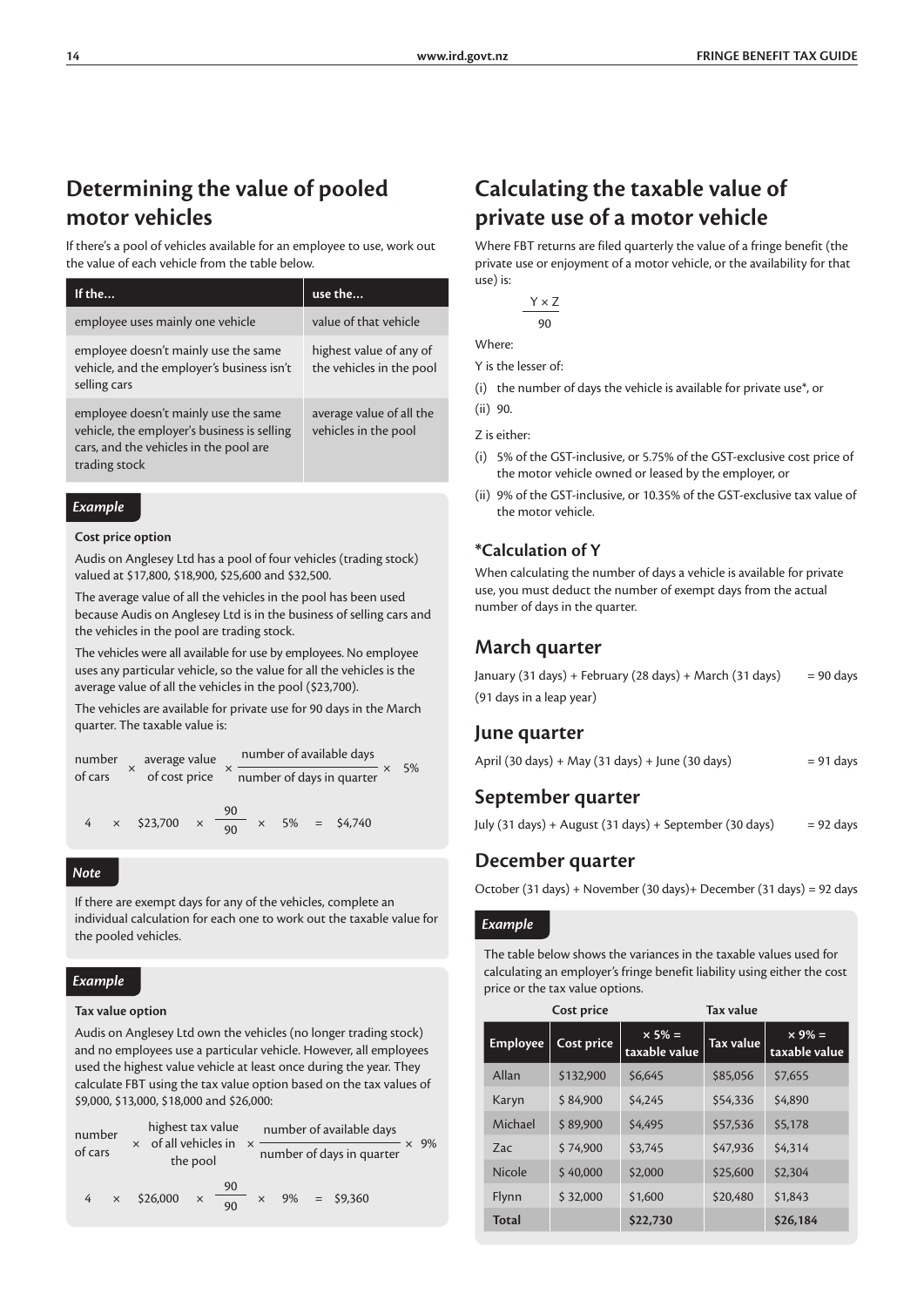### **Determining the value of pooled motor vehicles**

If there's a pool of vehicles available for an employee to use, work out the value of each vehicle from the table below.

| If the                                                                                                                                         | use the                                             |
|------------------------------------------------------------------------------------------------------------------------------------------------|-----------------------------------------------------|
| employee uses mainly one vehicle                                                                                                               | value of that vehicle                               |
| employee doesn't mainly use the same<br>vehicle, and the employer's business isn't<br>selling cars                                             | highest value of any of<br>the vehicles in the pool |
| employee doesn't mainly use the same<br>vehicle, the employer's business is selling<br>cars, and the vehicles in the pool are<br>trading stock | average value of all the<br>vehicles in the pool    |

#### *Example*

#### **Cost price option**

Audis on Anglesey Ltd has a pool of four vehicles (trading stock) valued at \$17,800, \$18,900, \$25,600 and \$32,500.

The average value of all the vehicles in the pool has been used because Audis on Anglesey Ltd is in the business of selling cars and the vehicles in the pool are trading stock.

The vehicles were all available for use by employees. No employee uses any particular vehicle, so the value for all the vehicles is the average value of all the vehicles in the pool (\$23,700).

The vehicles are available for private use for 90 days in the March quarter. The taxable value is:

| number<br>$\times$<br>of cars |          | average value |          | number of available days |                           |          |  |  | 5%             |  |
|-------------------------------|----------|---------------|----------|--------------------------|---------------------------|----------|--|--|----------------|--|
|                               |          | of cost price |          |                          | number of days in quarter |          |  |  |                |  |
|                               | $\times$ |               | \$23,700 | $\times$                 | 90<br>90                  | $\times$ |  |  | $5\% = $4,740$ |  |

#### *Note*

If there are exempt days for any of the vehicles, complete an individual calculation for each one to work out the taxable value for the pooled vehicles.

#### *Example*

#### **Tax value option**

Audis on Anglesey Ltd own the vehicles (no longer trading stock) and no employees use a particular vehicle. However, all employees used the highest value vehicle at least once during the year. They calculate FBT using the tax value option based on the tax values of \$9,000, \$13,000, \$18,000 and \$26,000:

| number<br>of cars |          | highest tax value<br>of all vehicles in<br>$\times$<br>the pool |                      | number of available days  |    |  |             | 9% |  |
|-------------------|----------|-----------------------------------------------------------------|----------------------|---------------------------|----|--|-------------|----|--|
|                   |          |                                                                 |                      | number of days in quarter |    |  |             |    |  |
| 4                 | $\times$ | \$26,000                                                        | 90<br>$\times$<br>90 | $\times$                  | 9% |  | $=$ \$9,360 |    |  |

### **Calculating the taxable value of private use of a motor vehicle**

Where FBT returns are filed quarterly the value of a fringe benefit (the private use or enjoyment of a motor vehicle, or the availability for that use) is:

| Υ×Ζ |
|-----|
| 90  |
|     |

Where:

Y is the lesser of:

(i) the number of days the vehicle is available for private use\*, or

(ii) 90.

#### Z is either:

- (i) 5% of the GST-inclusive, or 5.75% of the GST-exclusive cost price of the motor vehicle owned or leased by the employer, or
- (ii) 9% of the GST-inclusive, or 10.35% of the GST-exclusive tax value of the motor vehicle.

#### **\*Calculation of Y**

When calculating the number of days a vehicle is available for private use, you must deduct the number of exempt days from the actual number of days in the quarter.

### **March quarter**

| January (31 days) + February (28 days) + March (31 days) | $= 90$ days |
|----------------------------------------------------------|-------------|
| (91 days in a leap year)                                 |             |

#### **June quarter**

|  | April (30 days) + May (31 days) + June (30 days) | $= 91$ days |
|--|--------------------------------------------------|-------------|
|--|--------------------------------------------------|-------------|

### **September quarter**

|  |  | July (31 days) + August (31 days) + September (30 days) |  | $= 92$ days |
|--|--|---------------------------------------------------------|--|-------------|
|--|--|---------------------------------------------------------|--|-------------|

### **December quarter**

October (31 days) + November (30 days)+ December (31 days) = 92 days

#### *Example*

The table below shows the variances in the taxable values used for calculating an employer's fringe benefit liability using either the cost price or the tax value options.

|                 | Cost price |                                | <b>Tax value</b> |                                |
|-----------------|------------|--------------------------------|------------------|--------------------------------|
| <b>Employee</b> | Cost price | $\times$ 5% =<br>taxable value | Tax value        | $\times$ 9% =<br>taxable value |
| Allan           | \$132,900  | \$6,645                        | \$85,056         | \$7,655                        |
| Karyn           | \$84,900   | \$4,245                        | \$54,336         | \$4,890                        |
| Michael         | \$89,900   | \$4,495                        | \$57,536         | \$5,178                        |
| Zac             | \$74,900   | \$3,745                        | \$47.936         | \$4,314                        |
| Nicole          | \$40,000   | \$2,000                        | \$25,600         | \$2,304                        |
| Flynn           | \$32,000   | \$1,600                        | \$20,480         | \$1,843                        |
| <b>Total</b>    |            | \$22,730                       |                  | \$26,184                       |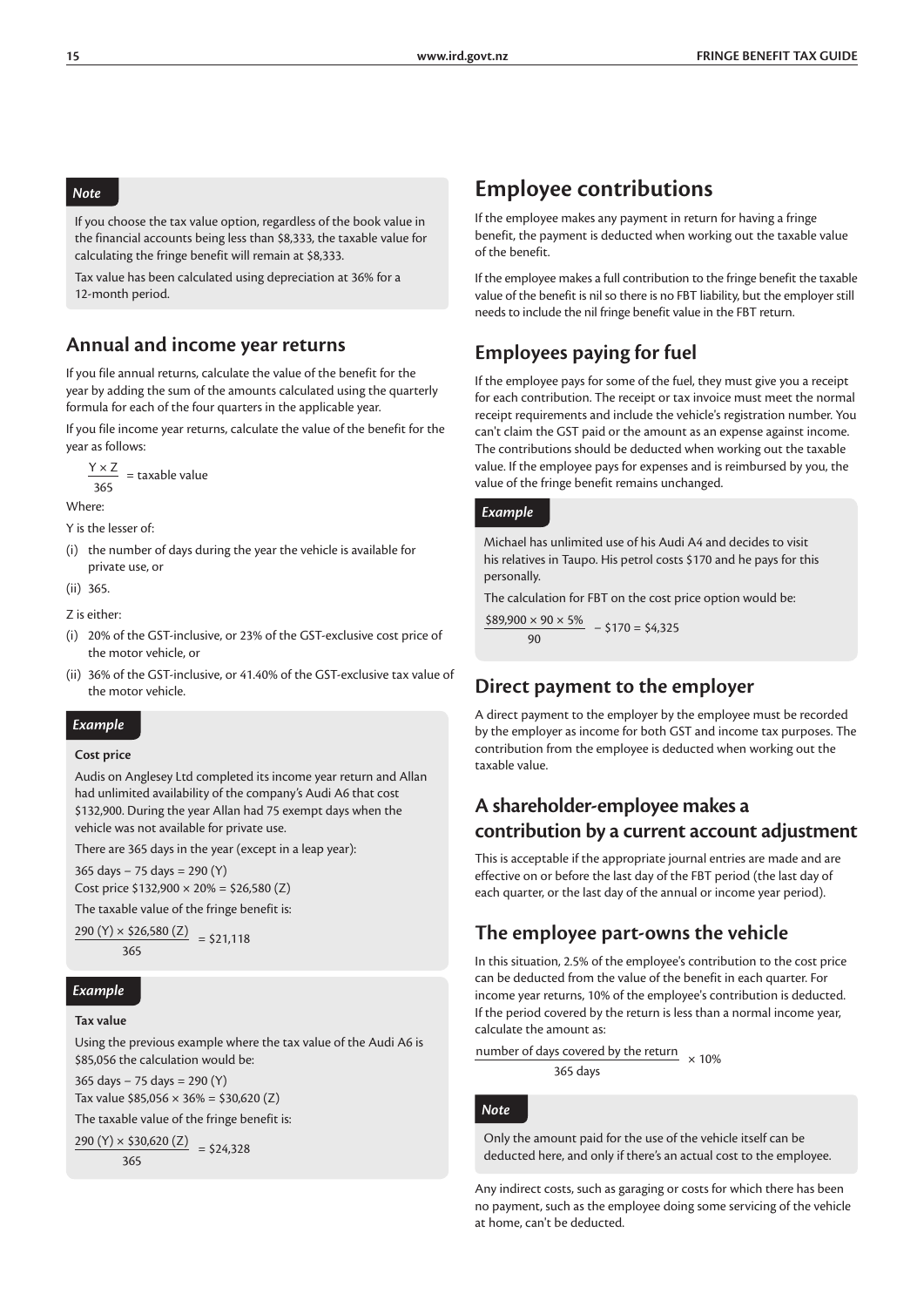#### *Note*

If you choose the tax value option, regardless of the book value in the financial accounts being less than \$8,333, the taxable value for calculating the fringe benefit will remain at \$8,333.

Tax value has been calculated using depreciation at 36% for a 12-month period.

### **Annual and income year returns**

If you file annual returns, calculate the value of the benefit for the year by adding the sum of the amounts calculated using the quarterly formula for each of the four quarters in the applicable year.

If you file income year returns, calculate the value of the benefit for the year as follows:

$$
\frac{Y \times Z}{365}
$$
 = taxable value

Where:

Y is the lesser of:

(i) the number of days during the year the vehicle is available for private use, or

$$
(ii) 365.
$$

Z is either:

- (i) 20% of the GST-inclusive, or 23% of the GST-exclusive cost price of the motor vehicle, or
- (ii) 36% of the GST-inclusive, or 41.40% of the GST-exclusive tax value of the motor vehicle.

#### *Example*

#### **Cost price**

Audis on Anglesey Ltd completed its income year return and Allan had unlimited availability of the company's Audi A6 that cost \$132,900. During the year Allan had 75 exempt days when the vehicle was not available for private use.

There are 365 days in the year (except in a leap year):

365 days − 75 days = 290 (Y) Cost price \$132,900 × 20% = \$26,580 (Z)

The taxable value of the fringe benefit is:

290 (Y)  $\times$  \$26,580 (Z) = \$21,118 365

#### *Example*

#### **Tax value**

Using the previous example where the tax value of the Audi A6 is \$85,056 the calculation would be:

365 days − 75 days = 290 (Y) Tax value  $$85,056 \times 36\% = $30,620 (Z)$ 

The taxable value of the fringe benefit is:

 $290 (Y) \times $30,620 (Z) = $24,328$ 

365

### **Employee contributions**

If the employee makes any payment in return for having a fringe benefit, the payment is deducted when working out the taxable value of the benefit.

If the employee makes a full contribution to the fringe benefit the taxable value of the benefit is nil so there is no FBT liability, but the employer still needs to include the nil fringe benefit value in the FBT return.

### **Employees paying for fuel**

If the employee pays for some of the fuel, they must give you a receipt for each contribution. The receipt or tax invoice must meet the normal receipt requirements and include the vehicle's registration number. You can't claim the GST paid or the amount as an expense against income. The contributions should be deducted when working out the taxable value. If the employee pays for expenses and is reimbursed by you, the value of the fringe benefit remains unchanged.

#### *Example*

Michael has unlimited use of his Audi A4 and decides to visit his relatives in Taupo. His petrol costs \$170 and he pays for this personally.

The calculation for FBT on the cost price option would be:

 $$89,900 \times 90 \times 5\%$  – \$170 = \$4,325  $90$ 

### **Direct payment to the employer**

A direct payment to the employer by the employee must be recorded by the employer as income for both GST and income tax purposes. The contribution from the employee is deducted when working out the taxable value.

### **A shareholder-employee makes a contribution by a current account adjustment**

This is acceptable if the appropriate journal entries are made and are effective on or before the last day of the FBT period (the last day of each quarter, or the last day of the annual or income year period).

### **The employee part-owns the vehicle**

In this situation, 2.5% of the employee's contribution to the cost price can be deducted from the value of the benefit in each quarter. For income year returns, 10% of the employee's contribution is deducted. If the period covered by the return is less than a normal income year, calculate the amount as:

number of days covered by the return  $\times 10\%$ 365 days

#### *Note*

Only the amount paid for the use of the vehicle itself can be deducted here, and only if there's an actual cost to the employee.

Any indirect costs, such as garaging or costs for which there has been no payment, such as the employee doing some servicing of the vehicle at home, can't be deducted.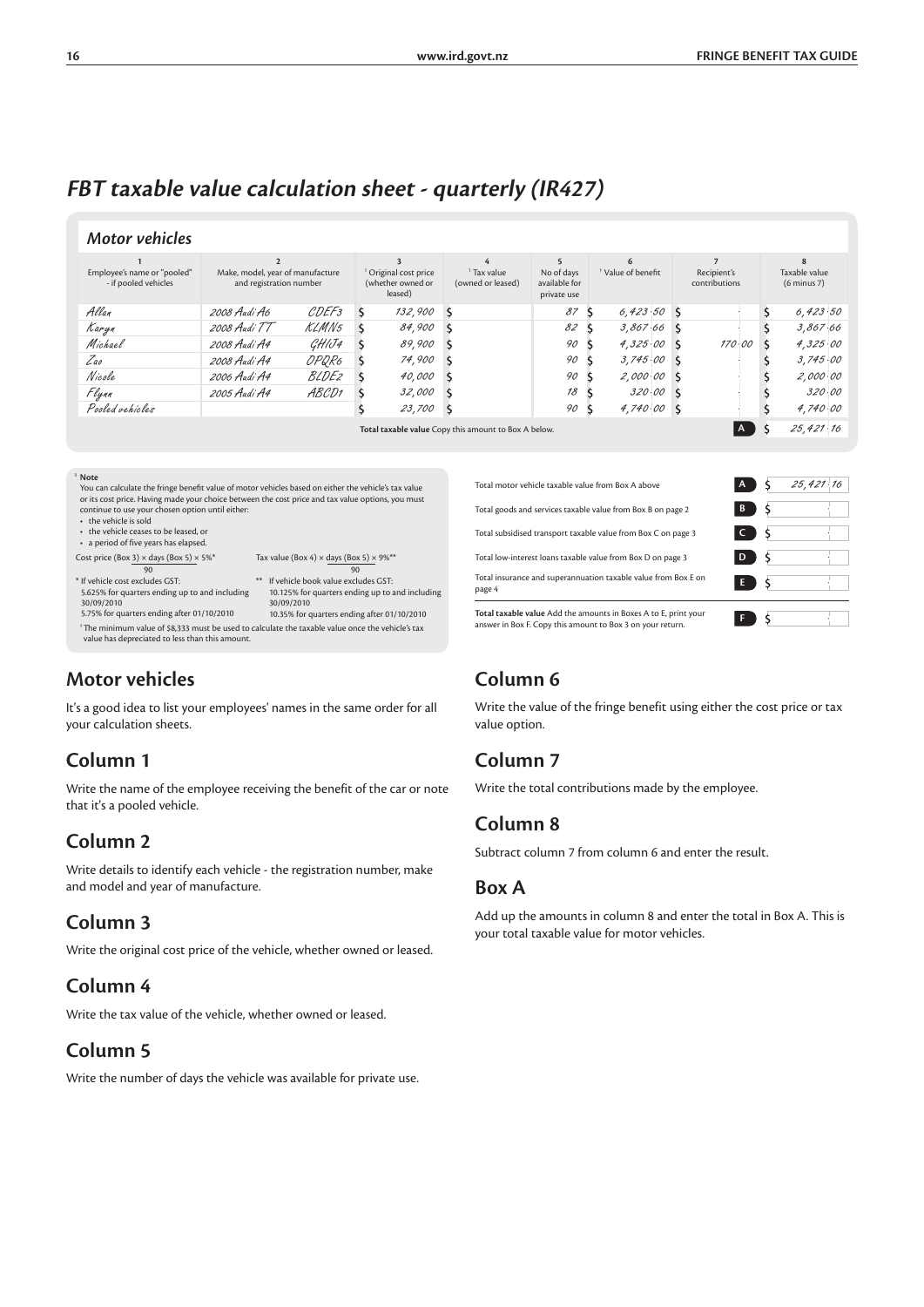## **FBT taxable value calculation sheet - quarterly (IR427)**

#### *Motor vehicles*

| Employee's name or "pooled"<br>- if pooled vehicles | Make, model, year of manufacture<br>and registration number |                   | <sup>1</sup> Original cost price<br>(whether owned or<br>leased) |               |                                                      |    |               |  |        |  |           |  |  |  |  |  | <sup>1</sup> Tax value<br><sup>†</sup> Value of benefit<br>No of days<br>(owned or leased)<br>available for<br>private use |  | Recipient's<br>contributions |  | Taxable value<br>$(6 \text{ minus } 7)$ |  |
|-----------------------------------------------------|-------------------------------------------------------------|-------------------|------------------------------------------------------------------|---------------|------------------------------------------------------|----|---------------|--|--------|--|-----------|--|--|--|--|--|----------------------------------------------------------------------------------------------------------------------------|--|------------------------------|--|-----------------------------------------|--|
| Allan                                               | 2008 Audi A6                                                | CDEF <sub>3</sub> | $\zeta$                                                          | 132,900 S     |                                                      | 87 | $6,423.50$ S  |  |        |  | 6,423.50  |  |  |  |  |  |                                                                                                                            |  |                              |  |                                         |  |
| Karyn                                               | 2008 Audi TT                                                | KLMN5             |                                                                  | 84,900        |                                                      | 82 | $3,867.66$ \$ |  |        |  | 3,867.66  |  |  |  |  |  |                                                                                                                            |  |                              |  |                                         |  |
| Michael                                             | 2008 Audi A4                                                | GHIJ4             |                                                                  | 89,900        |                                                      | 90 | $4.325.00$ \$ |  | 170.00 |  | 4,325.00  |  |  |  |  |  |                                                                                                                            |  |                              |  |                                         |  |
| Zao                                                 | 2008 Audi A4                                                | OPQR6             |                                                                  | 74,900        |                                                      | 90 | $3,745.00$ S  |  |        |  | 3,745.00  |  |  |  |  |  |                                                                                                                            |  |                              |  |                                         |  |
| Nicole                                              | 2006 Audi A4                                                | <i>BLDE2</i>      |                                                                  | <i>40,000</i> |                                                      | 90 | $2,000.00$ S  |  |        |  | 2,000.00  |  |  |  |  |  |                                                                                                                            |  |                              |  |                                         |  |
| Flynn                                               | 2005 Audi A4                                                | ABCD1             |                                                                  | 32,000        |                                                      | 18 | $320.00$ S    |  |        |  | 320.00    |  |  |  |  |  |                                                                                                                            |  |                              |  |                                         |  |
| Pooled vehicles                                     |                                                             |                   |                                                                  | 23,700        |                                                      | 90 | $4,740.00$ S  |  |        |  | 4,740.00  |  |  |  |  |  |                                                                                                                            |  |                              |  |                                         |  |
|                                                     |                                                             |                   |                                                                  |               | Total taxable value Copy this amount to Box A below. |    |               |  | I A    |  | 25,421.16 |  |  |  |  |  |                                                                                                                            |  |                              |  |                                         |  |

**<sup>1</sup> Note** You can calculate the fringe benefit value of motor vehicles based on either the vehicle's tax value or its cost price. Having made your choice between the cost price and tax value options, you must continue to use your chosen option until either:

• the vehicle is sold

\* If vehicle cost excludes GST:

30/09/2010

- the vehicle ceases to be leased, or
- a period of five years has elapsed.
- 
- Cost price (Box 3) × days (Box 5) × 5%\* Tax value (Box 4) × days (Box 5) × 9%\*\* 90 90 \*\* If vehicle book value excludes GST:
- 5.625% for quarters ending up to and including 10.125% for quarters ending up to and including 30/09/2010 10.35% for quarters ending after 01/10/2010
- 5.75% for quarters ending after 01/10/2010 † The minimum value of \$8,333 must be used to calculate the taxable value once the vehicle's tax value has depreciated to less than this amount.

### **Motor vehicles**

It's a good idea to list your employees' names in the same order for all your calculation sheets.

### **Column 1**

Write the name of the employee receiving the benefit of the car or note that it's a pooled vehicle.

### **Column 2**

Write details to identify each vehicle - the registration number, make and model and year of manufacture.

### **Column 3**

Write the original cost price of the vehicle, whether owned or leased.

### **Column 4**

Write the tax value of the vehicle, whether owned or leased.

### **Column 5**

Write the number of days the vehicle was available for private use.

| Total motor vehicle taxable value from Box A above                                                                          | A.           |      | 25,421,16 |
|-----------------------------------------------------------------------------------------------------------------------------|--------------|------|-----------|
| Total goods and services taxable value from Box B on page 2                                                                 | $\mathbf{B}$ | ΙS   |           |
| Total subsidised transport taxable value from Box C on page 3                                                               | $\mathsf{C}$ | ) \$ |           |
| Total low-interest loans taxable value from Box D on page 3                                                                 | D            | ΙŚ   |           |
| Total insurance and superannuation taxable value from Box E on<br>page 4                                                    | E.           |      |           |
| Total taxable value Add the amounts in Boxes A to E, print your<br>answer in Box E Conv this amount to Box 3 on your return |              |      |           |

### **Column 6**

Write the value of the fringe benefit using either the cost price or tax value option.

### **Column 7**

Write the total contributions made by the employee.

### **Column 8**

Subtract column 7 from column 6 and enter the result.

### **Box A**

Add up the amounts in column 8 and enter the total in Box A. This is your total taxable value for motor vehicles.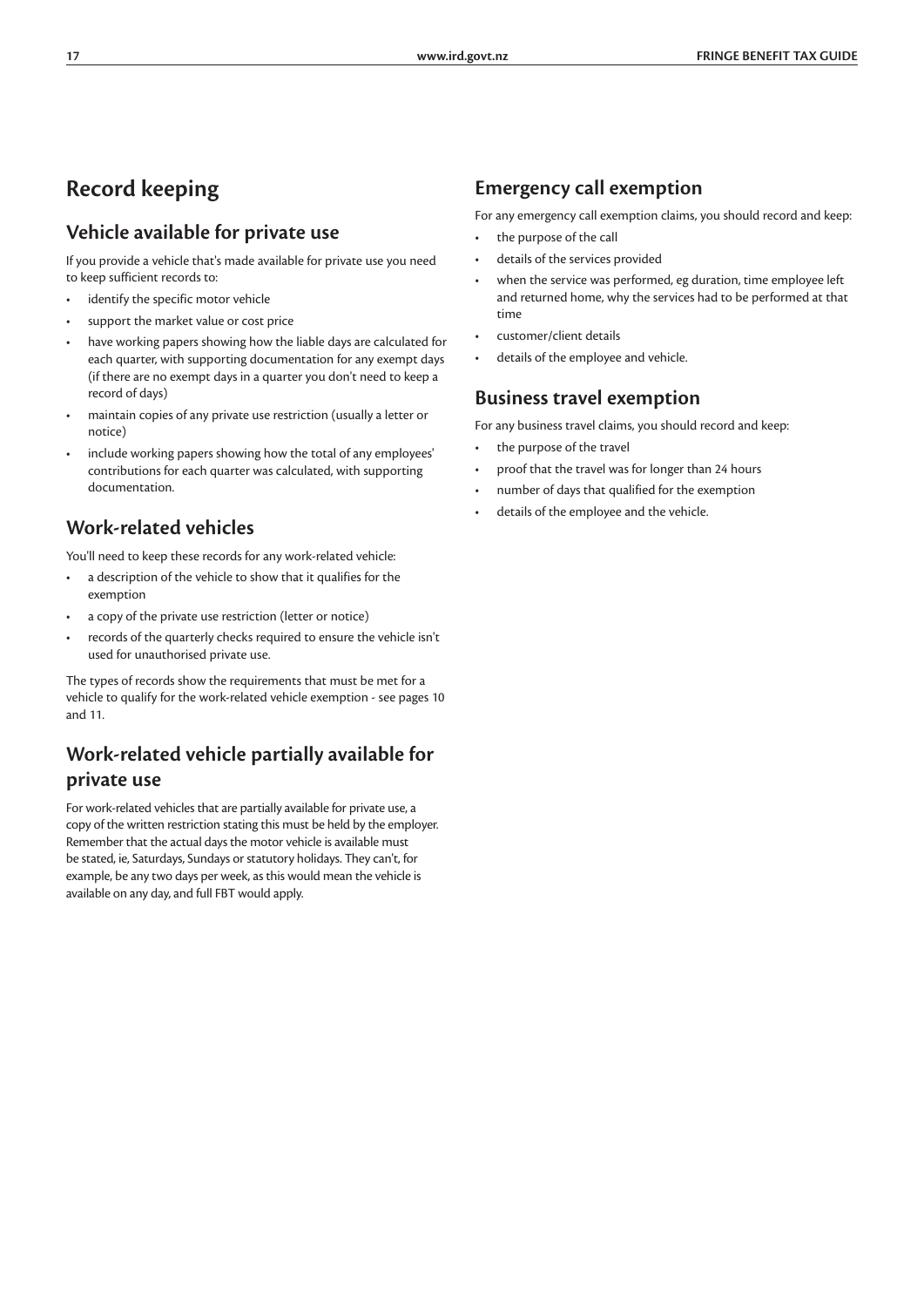### **Record keeping**

### **Vehicle available for private use**

If you provide a vehicle that's made available for private use you need to keep sufficient records to:

- identify the specific motor vehicle
- support the market value or cost price
- have working papers showing how the liable days are calculated for each quarter, with supporting documentation for any exempt days (if there are no exempt days in a quarter you don't need to keep a record of days)
- maintain copies of any private use restriction (usually a letter or notice)
- include working papers showing how the total of any employees' contributions for each quarter was calculated, with supporting documentation.

### **Work-related vehicles**

You'll need to keep these records for any work-related vehicle:

- a description of the vehicle to show that it qualifies for the exemption
- a copy of the private use restriction (letter or notice)
- records of the quarterly checks required to ensure the vehicle isn't used for unauthorised private use.

The types of records show the requirements that must be met for a vehicle to qualify for the work-related vehicle exemption - see pages 10 and 11.

### **Work-related vehicle partially available for private use**

For work-related vehicles that are partially available for private use, a copy of the written restriction stating this must be held by the employer. Remember that the actual days the motor vehicle is available must be stated, ie, Saturdays, Sundays or statutory holidays. They can't, for example, be any two days per week, as this would mean the vehicle is available on any day, and full FBT would apply.

### **Emergency call exemption**

For any emergency call exemption claims, you should record and keep:

- the purpose of the call
- details of the services provided
- when the service was performed, eg duration, time employee left and returned home, why the services had to be performed at that time
- customer/client details
- details of the employee and vehicle.

### **Business travel exemption**

For any business travel claims, you should record and keep:

- the purpose of the travel
- proof that the travel was for longer than 24 hours
- number of days that qualified for the exemption
- details of the employee and the vehicle.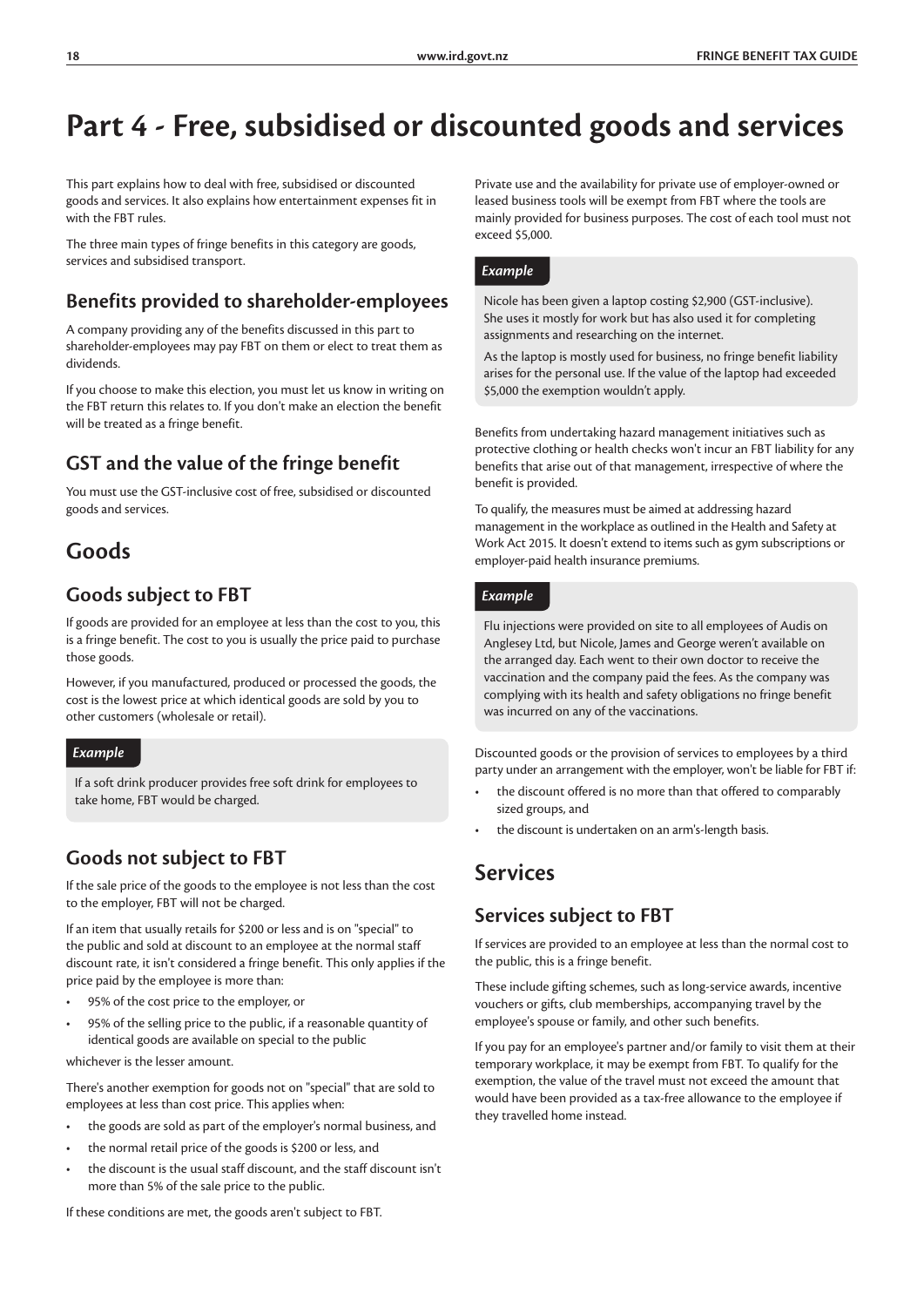# **Part 4 - Free, subsidised or discounted goods and services**

This part explains how to deal with free, subsidised or discounted goods and services. It also explains how entertainment expenses fit in with the FBT rules.

The three main types of fringe benefits in this category are goods, services and subsidised transport.

### **Benefits provided to shareholder-employees**

A company providing any of the benefits discussed in this part to shareholder-employees may pay FBT on them or elect to treat them as dividends.

If you choose to make this election, you must let us know in writing on the FBT return this relates to. If you don't make an election the benefit will be treated as a fringe benefit.

### **GST and the value of the fringe benefit**

You must use the GST-inclusive cost of free, subsidised or discounted goods and services.

### **Goods**

### **Goods subject to FBT**

If goods are provided for an employee at less than the cost to you, this is a fringe benefit. The cost to you is usually the price paid to purchase those goods.

However, if you manufactured, produced or processed the goods, the cost is the lowest price at which identical goods are sold by you to other customers (wholesale or retail).

#### *Example*

If a soft drink producer provides free soft drink for employees to take home, FBT would be charged.

### **Goods not subject to FBT**

If the sale price of the goods to the employee is not less than the cost to the employer, FBT will not be charged.

If an item that usually retails for \$200 or less and is on "special" to the public and sold at discount to an employee at the normal staff discount rate, it isn't considered a fringe benefit. This only applies if the price paid by the employee is more than:

- 95% of the cost price to the employer, or
- 95% of the selling price to the public, if a reasonable quantity of identical goods are available on special to the public

whichever is the lesser amount.

There's another exemption for goods not on "special" that are sold to employees at less than cost price. This applies when:

- the goods are sold as part of the employer's normal business, and
- the normal retail price of the goods is \$200 or less, and
- the discount is the usual staff discount, and the staff discount isn't more than 5% of the sale price to the public.

Private use and the availability for private use of employer-owned or leased business tools will be exempt from FBT where the tools are mainly provided for business purposes. The cost of each tool must not exceed \$5,000.

#### *Example*

Nicole has been given a laptop costing \$2,900 (GST-inclusive). She uses it mostly for work but has also used it for completing assignments and researching on the internet.

As the laptop is mostly used for business, no fringe benefit liability arises for the personal use. If the value of the laptop had exceeded \$5,000 the exemption wouldn't apply.

Benefits from undertaking hazard management initiatives such as protective clothing or health checks won't incur an FBT liability for any benefits that arise out of that management, irrespective of where the benefit is provided.

To qualify, the measures must be aimed at addressing hazard management in the workplace as outlined in the Health and Safety at Work Act 2015. It doesn't extend to items such as gym subscriptions or employer-paid health insurance premiums.

#### *Example*

Flu injections were provided on site to all employees of Audis on Anglesey Ltd, but Nicole, James and George weren't available on the arranged day. Each went to their own doctor to receive the vaccination and the company paid the fees. As the company was complying with its health and safety obligations no fringe benefit was incurred on any of the vaccinations.

Discounted goods or the provision of services to employees by a third party under an arrangement with the employer, won't be liable for FBT if:

- the discount offered is no more than that offered to comparably sized groups, and
- the discount is undertaken on an arm's-length basis.

### **Services**

#### **Services subject to FBT**

If services are provided to an employee at less than the normal cost to the public, this is a fringe benefit.

These include gifting schemes, such as long-service awards, incentive vouchers or gifts, club memberships, accompanying travel by the employee's spouse or family, and other such benefits.

If you pay for an employee's partner and/or family to visit them at their temporary workplace, it may be exempt from FBT. To qualify for the exemption, the value of the travel must not exceed the amount that would have been provided as a tax-free allowance to the employee if they travelled home instead.

If these conditions are met, the goods aren't subject to FBT.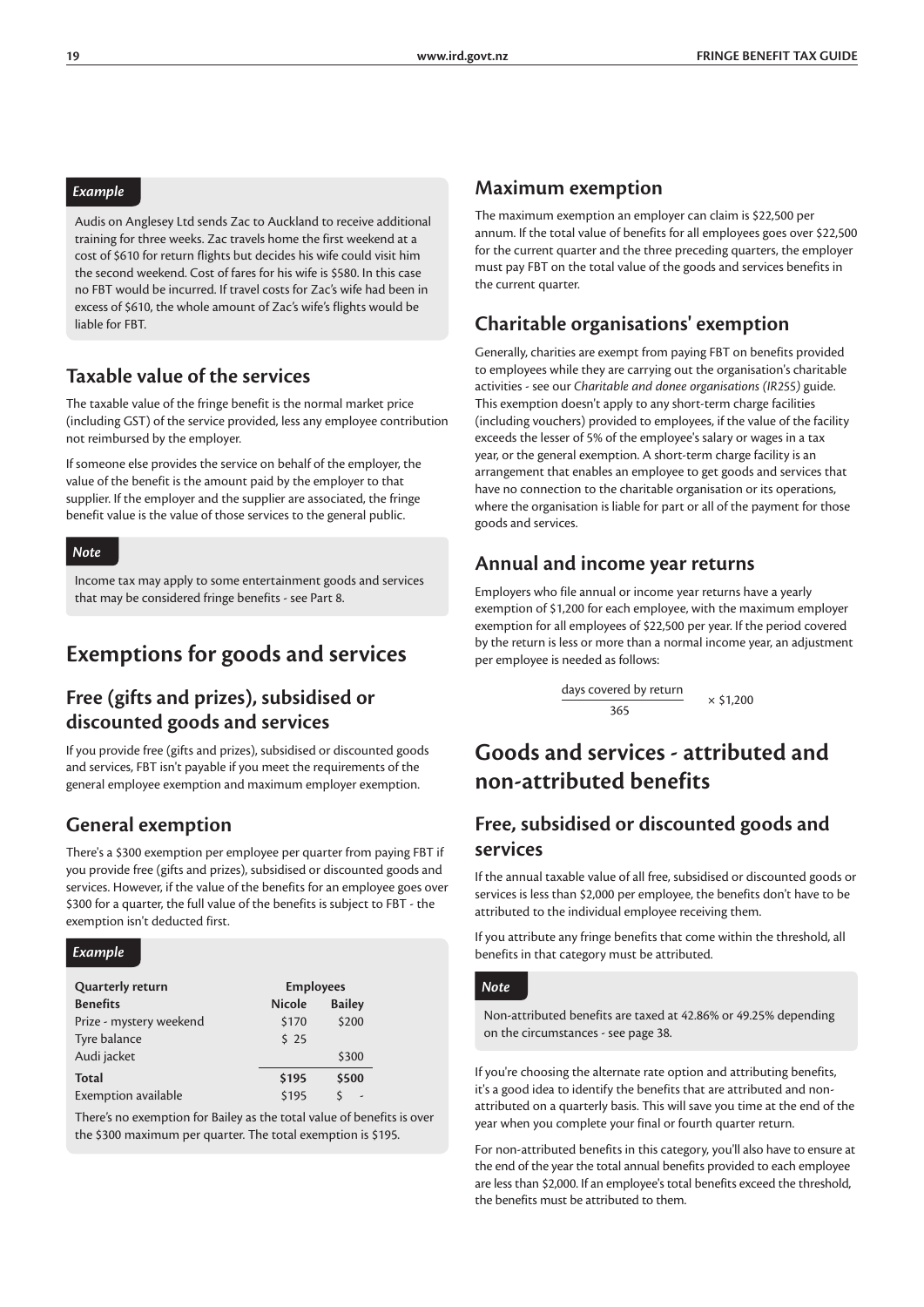#### *Example*

Audis on Anglesey Ltd sends Zac to Auckland to receive additional training for three weeks. Zac travels home the first weekend at a cost of \$610 for return flights but decides his wife could visit him the second weekend. Cost of fares for his wife is \$580. In this case no FBT would be incurred. If travel costs for Zac's wife had been in excess of \$610, the whole amount of Zac's wife's flights would be liable for FBT.

### **Taxable value of the services**

The taxable value of the fringe benefit is the normal market price (including GST) of the service provided, less any employee contribution not reimbursed by the employer.

If someone else provides the service on behalf of the employer, the value of the benefit is the amount paid by the employer to that supplier. If the employer and the supplier are associated, the fringe benefit value is the value of those services to the general public.

#### *Note*

Income tax may apply to some entertainment goods and services that may be considered fringe benefits - see Part 8.

### **Exemptions for goods and services**

### **Free (gifts and prizes), subsidised or discounted goods and services**

If you provide free (gifts and prizes), subsidised or discounted goods and services, FBT isn't payable if you meet the requirements of the general employee exemption and maximum employer exemption.

#### **General exemption**

There's a \$300 exemption per employee per quarter from paying FBT if you provide free (gifts and prizes), subsidised or discounted goods and services. However, if the value of the benefits for an employee goes over \$300 for a quarter, the full value of the benefits is subject to FBT - the exemption isn't deducted first.

#### *Example*

| Quarterly return        |               | <b>Employees</b>         |  |  |  |
|-------------------------|---------------|--------------------------|--|--|--|
| <b>Benefits</b>         | <b>Nicole</b> | <b>Bailey</b>            |  |  |  |
| Prize - mystery weekend | \$170         | \$200                    |  |  |  |
| Tyre balance            | \$25          |                          |  |  |  |
| Audi jacket             |               | \$300                    |  |  |  |
| <b>Total</b>            | \$195         | \$500                    |  |  |  |
| Exemption available     | \$195         | $\overline{\phantom{a}}$ |  |  |  |

There's no exemption for Bailey as the total value of benefits is over the \$300 maximum per quarter. The total exemption is \$195.

#### **Maximum exemption**

The maximum exemption an employer can claim is \$22,500 per annum. If the total value of benefits for all employees goes over \$22,500 for the current quarter and the three preceding quarters, the employer must pay FBT on the total value of the goods and services benefits in the current quarter.

### **Charitable organisations' exemption**

Generally, charities are exempt from paying FBT on benefits provided to employees while they are carrying out the organisation's charitable activities - see our *Charitable and donee organisations (IR255)* guide. This exemption doesn't apply to any short-term charge facilities (including vouchers) provided to employees, if the value of the facility exceeds the lesser of 5% of the employee's salary or wages in a tax year, or the general exemption. A short-term charge facility is an arrangement that enables an employee to get goods and services that have no connection to the charitable organisation or its operations, where the organisation is liable for part or all of the payment for those goods and services.

#### **Annual and income year returns**

Employers who file annual or income year returns have a yearly exemption of \$1,200 for each employee, with the maximum employer exemption for all employees of \$22,500 per year. If the period covered by the return is less or more than a normal income year, an adjustment per employee is needed as follows:

$$
\frac{days\ covered\ by\ return}{365} \times \$1,200
$$

### **Goods and services - attributed and non-attributed benefits**

### **Free, subsidised or discounted goods and services**

If the annual taxable value of all free, subsidised or discounted goods or services is less than \$2,000 per employee, the benefits don't have to be attributed to the individual employee receiving them.

If you attribute any fringe benefits that come within the threshold, all benefits in that category must be attributed.

#### *Note*

Non-attributed benefits are taxed at 42.86% or 49.25% depending on the circumstances - see page 38.

If you're choosing the alternate rate option and attributing benefits, it's a good idea to identify the benefits that are attributed and nonattributed on a quarterly basis. This will save you time at the end of the year when you complete your final or fourth quarter return.

For non-attributed benefits in this category, you'll also have to ensure at the end of the year the total annual benefits provided to each employee are less than \$2,000. If an employee's total benefits exceed the threshold, the benefits must be attributed to them.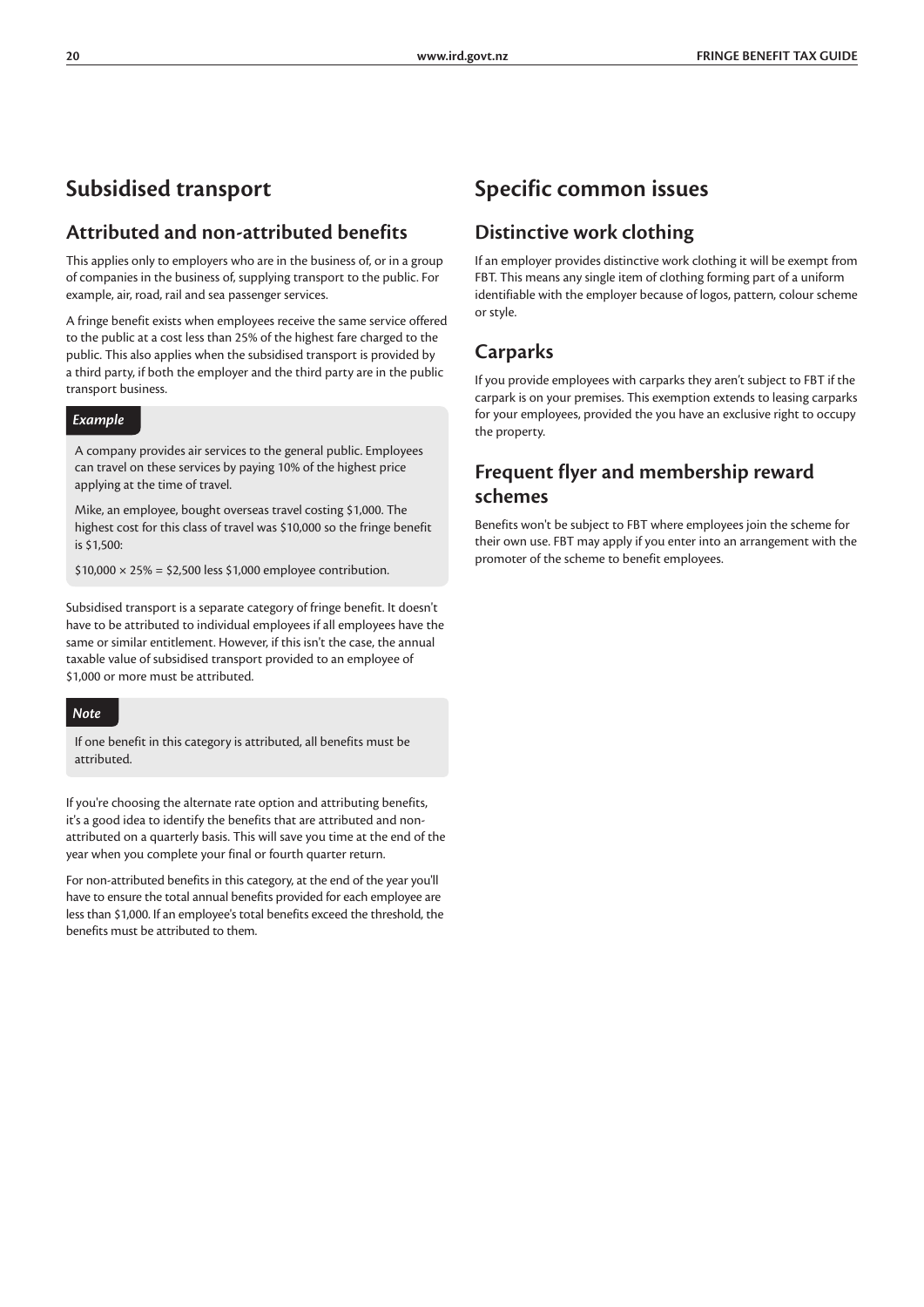### **Subsidised transport**

### **Attributed and non-attributed benefits**

This applies only to employers who are in the business of, or in a group of companies in the business of, supplying transport to the public. For example, air, road, rail and sea passenger services.

A fringe benefit exists when employees receive the same service offered to the public at a cost less than 25% of the highest fare charged to the public. This also applies when the subsidised transport is provided by a third party, if both the employer and the third party are in the public transport business.

#### *Example*

A company provides air services to the general public. Employees can travel on these services by paying 10% of the highest price applying at the time of travel.

Mike, an employee, bought overseas travel costing \$1,000. The highest cost for this class of travel was \$10,000 so the fringe benefit is \$1,500:

 $$10,000 \times 25\% = $2,500$  less \$1,000 employee contribution.

Subsidised transport is a separate category of fringe benefit. It doesn't have to be attributed to individual employees if all employees have the same or similar entitlement. However, if this isn't the case, the annual taxable value of subsidised transport provided to an employee of \$1,000 or more must be attributed.

#### *Note*

If one benefit in this category is attributed, all benefits must be attributed.

If you're choosing the alternate rate option and attributing benefits, it's a good idea to identify the benefits that are attributed and nonattributed on a quarterly basis. This will save you time at the end of the year when you complete your final or fourth quarter return.

For non-attributed benefits in this category, at the end of the year you'll have to ensure the total annual benefits provided for each employee are less than \$1,000. If an employee's total benefits exceed the threshold, the benefits must be attributed to them.

### **Specific common issues**

### **Distinctive work clothing**

If an employer provides distinctive work clothing it will be exempt from FBT. This means any single item of clothing forming part of a uniform identifiable with the employer because of logos, pattern, colour scheme or style.

### **Carparks**

If you provide employees with carparks they aren't subject to FBT if the carpark is on your premises. This exemption extends to leasing carparks for your employees, provided the you have an exclusive right to occupy the property.

### **Frequent flyer and membership reward schemes**

Benefits won't be subject to FBT where employees join the scheme for their own use. FBT may apply if you enter into an arrangement with the promoter of the scheme to benefit employees.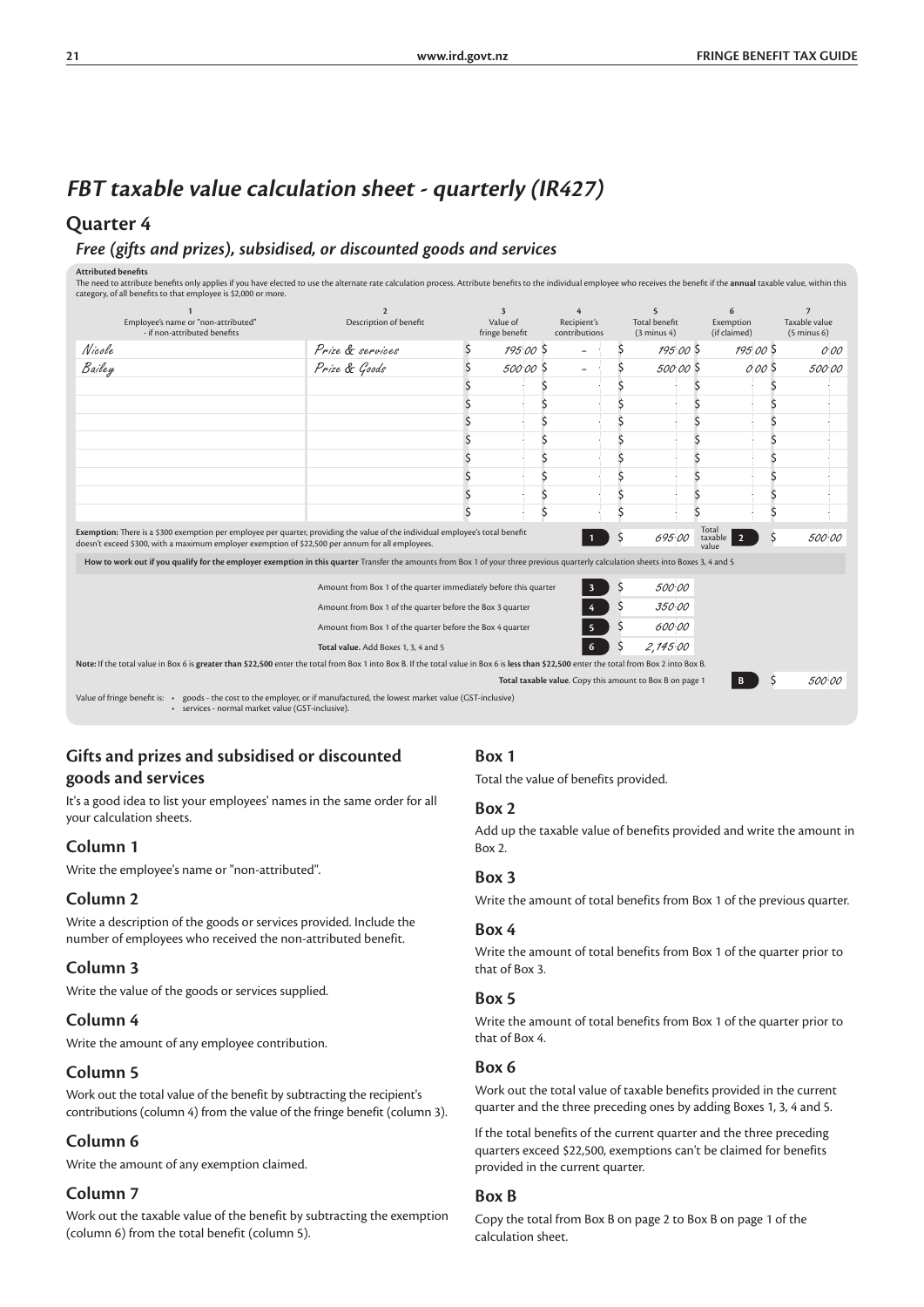### **FBT taxable value calculation sheet - quarterly (IR427)**

#### **Quarter 4**

#### *Free (gifts and prizes), subsidised, or discounted goods and services*

Attributed benefits<br>The need to attribute benefits only applies if you have elected to use the alternate rate calculation process. Attribute benefits to the individual employee who receives the benefit if the **annual** taxa

| Employee's name or "non-attributed"<br>- if non-attributed benefits                                                                                                                                                                | $\mathbf{D}$<br>Description of benefit                           | 3<br>Value of<br>fringe benefit |         | Recipient's<br>contributions |         | $5\overline{2}$<br><b>Total benefit</b><br>$(3 \text{ minus } 4)$ | 6<br>Exemption<br>(if claimed)              | Taxable value<br>$(5 \text{ minus } 6)$ |
|------------------------------------------------------------------------------------------------------------------------------------------------------------------------------------------------------------------------------------|------------------------------------------------------------------|---------------------------------|---------|------------------------------|---------|-------------------------------------------------------------------|---------------------------------------------|-----------------------------------------|
| Nicole                                                                                                                                                                                                                             | Prize & services                                                 |                                 | 195.005 |                              |         | 195.005                                                           | 195005                                      | 0.00                                    |
| Bailey                                                                                                                                                                                                                             | Prize & Goods                                                    |                                 | 500.005 | $\overline{\phantom{0}}$     |         | 500.00 \$                                                         | 000 \$                                      | 500.00                                  |
|                                                                                                                                                                                                                                    |                                                                  |                                 |         |                              |         |                                                                   |                                             |                                         |
|                                                                                                                                                                                                                                    |                                                                  |                                 |         |                              |         |                                                                   |                                             |                                         |
|                                                                                                                                                                                                                                    |                                                                  |                                 |         |                              |         |                                                                   |                                             |                                         |
|                                                                                                                                                                                                                                    |                                                                  |                                 |         |                              |         |                                                                   |                                             |                                         |
|                                                                                                                                                                                                                                    |                                                                  |                                 |         |                              |         |                                                                   |                                             |                                         |
|                                                                                                                                                                                                                                    |                                                                  |                                 |         |                              |         |                                                                   |                                             |                                         |
|                                                                                                                                                                                                                                    |                                                                  |                                 |         |                              |         |                                                                   |                                             |                                         |
|                                                                                                                                                                                                                                    |                                                                  |                                 |         |                              |         |                                                                   |                                             |                                         |
| Exemption: There is a \$300 exemption per employee per quarter, providing the value of the individual employee's total benefit<br>doesn't exceed \$300, with a maximum employer exemption of \$22,500 per annum for all employees. |                                                                  |                                 |         | $\mathbf{1}$                 | \$      | 695.00                                                            | Total<br>$\overline{2}$<br>taxable<br>value | 500.00                                  |
| How to work out if you qualify for the employer exemption in this quarter Transfer the amounts from Box 1 of your three previous quarterly calculation sheets into Boxes 3, 4 and 5                                                |                                                                  |                                 |         |                              |         |                                                                   |                                             |                                         |
|                                                                                                                                                                                                                                    | Amount from Box 1 of the quarter immediately before this quarter |                                 |         |                              |         | 500.00                                                            |                                             |                                         |
|                                                                                                                                                                                                                                    | Amount from Box 1 of the quarter before the Box 3 quarter        |                                 |         |                              | \$      | 350.00                                                            |                                             |                                         |
|                                                                                                                                                                                                                                    | Amount from Box 1 of the quarter before the Box 4 quarter        |                                 |         | $\overline{\mathbf{5}}$      | \$      | 600.00                                                            |                                             |                                         |
|                                                                                                                                                                                                                                    | Total value. Add Boxes 1, 3, 4 and 5                             |                                 |         | 6                            | $\zeta$ | 2,145.00                                                          |                                             |                                         |
| Note: If the total value in Box 6 is greater than \$22,500 enter the total from Box 1 into Box B. If the total value in Box 6 is less than \$22,500 enter the total from Box 2 into Box B.                                         |                                                                  |                                 |         |                              |         |                                                                   |                                             |                                         |
|                                                                                                                                                                                                                                    |                                                                  |                                 |         |                              |         | Total taxable value. Copy this amount to Box B on page 1          | B                                           | 500.00                                  |
| Value of fringe benefit is: . goods - the cost to the employer, or if manufactured, the lowest market value (GST-inclusive)<br>· services - normal market value (GST-inclusive).                                                   |                                                                  |                                 |         |                              |         |                                                                   |                                             |                                         |

#### **Gifts and prizes and subsidised or discounted goods and services**

It's a good idea to list your employees' names in the same order for all your calculation sheets.

#### **Column 1**

Write the employee's name or "non-attributed".

#### **Column 2**

Write a description of the goods or services provided. Include the number of employees who received the non-attributed benefit.

#### **Column 3**

Write the value of the goods or services supplied.

#### **Column 4**

Write the amount of any employee contribution.

#### **Column 5**

Work out the total value of the benefit by subtracting the recipient's contributions (column 4) from the value of the fringe benefit (column 3).

#### **Column 6**

Write the amount of any exemption claimed.

#### **Column 7**

Work out the taxable value of the benefit by subtracting the exemption (column 6) from the total benefit (column 5).

#### **Box 1**

Total the value of benefits provided.

#### **Box 2**

Add up the taxable value of benefits provided and write the amount in Box 2.

#### **Box 3**

Write the amount of total benefits from Box 1 of the previous quarter.

#### **Box 4**

Write the amount of total benefits from Box 1 of the quarter prior to that of Box 3.

#### **Box 5**

Write the amount of total benefits from Box 1 of the quarter prior to that of Box 4.

#### **Box 6**

Work out the total value of taxable benefits provided in the current quarter and the three preceding ones by adding Boxes 1, 3, 4 and 5.

If the total benefits of the current quarter and the three preceding quarters exceed \$22,500, exemptions can't be claimed for benefits provided in the current quarter.

#### **Box B**

Copy the total from Box B on page 2 to Box B on page 1 of the calculation sheet.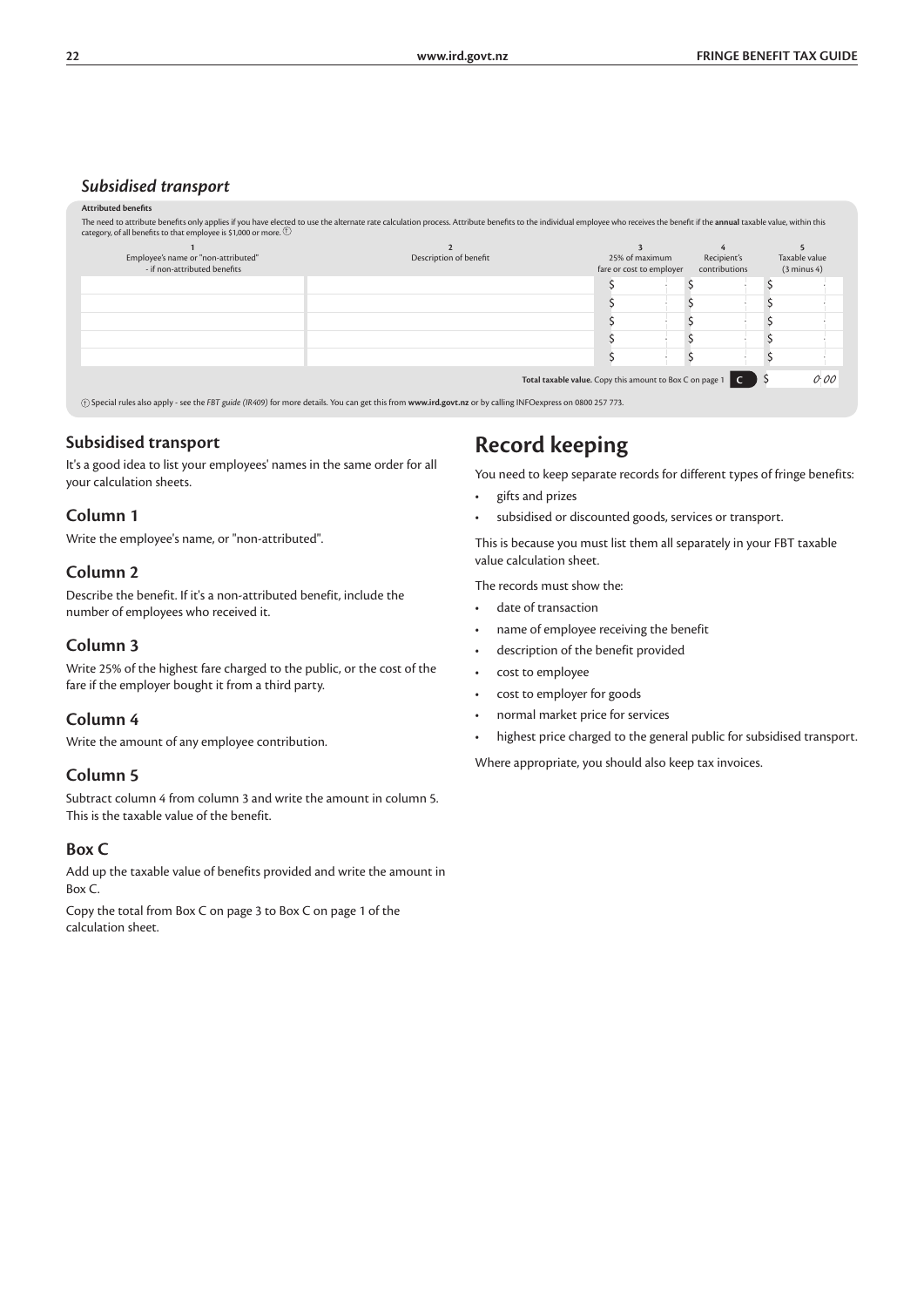#### *Subsidised transport*

#### **Attributed benefits** The need to attribute benefits only applies if you have elected to use the alternate rate calculation process. Attribute benefits to the individual employee who receives the benefit if the **annual** taxable value, within th

| Employee's name or "non-attributed"<br>- if non-attributed benefits | Description of benefit                                                            | 25% of maximum<br>fare or cost to employer | Recipient's<br>contributions | Taxable value<br>$(3 \text{ minus } 4)$ |
|---------------------------------------------------------------------|-----------------------------------------------------------------------------------|--------------------------------------------|------------------------------|-----------------------------------------|
|                                                                     |                                                                                   |                                            |                              |                                         |
|                                                                     |                                                                                   |                                            |                              |                                         |
|                                                                     |                                                                                   |                                            |                              |                                         |
|                                                                     |                                                                                   |                                            |                              |                                         |
|                                                                     |                                                                                   |                                            |                              |                                         |
|                                                                     | <b>Total taxable value.</b> Copy this amount to Box C on page $1 \quad C \quad S$ |                                            |                              | O:OO                                    |
|                                                                     |                                                                                   |                                            |                              |                                         |

(+) Special rules also apply - see the *FBT guide (IR409)* for more details. You can get this from www.ird.govt.nz or by ca

#### **Subsidised transport**

It's a good idea to list your employees' names in the same order for all your calculation sheets.

#### **Column 1**

Write the employee's name, or "non-attributed".

#### **Column 2**

Describe the benefit. If it's a non-attributed benefit, include the number of employees who received it.

#### **Column 3**

Write 25% of the highest fare charged to the public, or the cost of the fare if the employer bought it from a third party.

#### **Column 4**

Write the amount of any employee contribution.

#### **Column 5**

Subtract column 4 from column 3 and write the amount in column 5. This is the taxable value of the benefit.

#### **Box C**

Add up the taxable value of benefits provided and write the amount in Box C.

Copy the total from Box C on page 3 to Box C on page 1 of the calculation sheet.

### **Record keeping**

You need to keep separate records for different types of fringe benefits:

- gifts and prizes
- subsidised or discounted goods, services or transport.

This is because you must list them all separately in your FBT taxable value calculation sheet.

The records must show the:

- date of transaction
- name of employee receiving the benefit
- description of the benefit provided
- cost to employee
- cost to employer for goods
- normal market price for services
- highest price charged to the general public for subsidised transport.

Where appropriate, you should also keep tax invoices.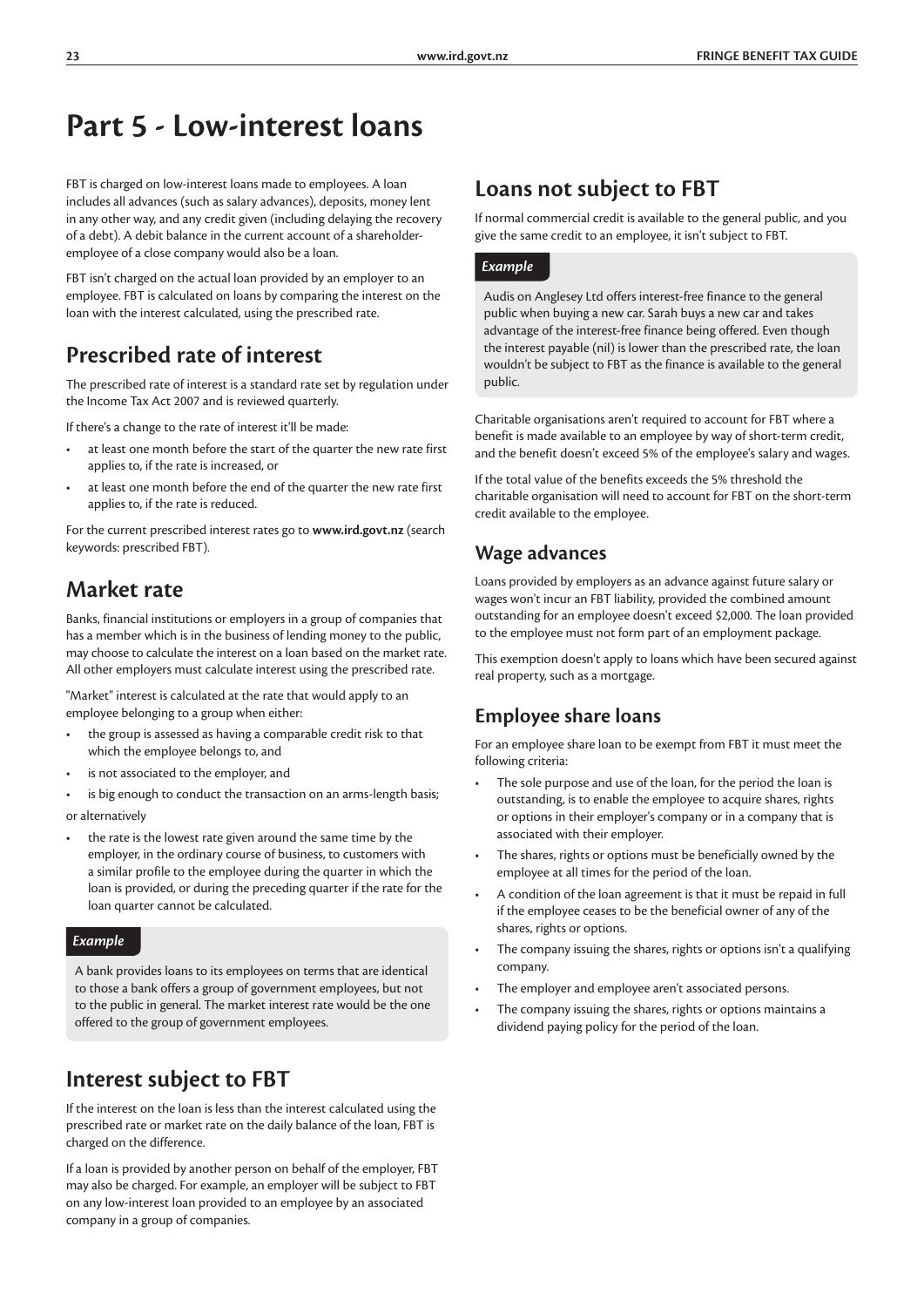# **Part 5 - Low-interest loans**

FBT is charged on low-interest loans made to employees. A loan includes all advances (such as salary advances), deposits, money lent in any other way, and any credit given (including delaying the recovery of a debt). A debit balance in the current account of a shareholderemployee of a close company would also be a loan.

FBT isn't charged on the actual loan provided by an employer to an employee. FBT is calculated on loans by comparing the interest on the loan with the interest calculated, using the prescribed rate.

### **Prescribed rate of interest**

The prescribed rate of interest is a standard rate set by regulation under the Income Tax Act 2007 and is reviewed quarterly.

If there's a change to the rate of interest it'll be made:

- at least one month before the start of the quarter the new rate first applies to, if the rate is increased, or
- at least one month before the end of the quarter the new rate first applies to, if the rate is reduced.

For the current prescribed interest rates go to **www.ird.govt.nz** (search keywords: prescribed FBT).

### **Market rate**

Banks, financial institutions or employers in a group of companies that has a member which is in the business of lending money to the public, may choose to calculate the interest on a loan based on the market rate. All other employers must calculate interest using the prescribed rate.

"Market" interest is calculated at the rate that would apply to an employee belonging to a group when either:

- the group is assessed as having a comparable credit risk to that which the employee belongs to, and
- is not associated to the employer, and
- is big enough to conduct the transaction on an arms-length basis; or alternatively
- the rate is the lowest rate given around the same time by the employer, in the ordinary course of business, to customers with a similar profile to the employee during the quarter in which the loan is provided, or during the preceding quarter if the rate for the loan quarter cannot be calculated.

#### *Example*

A bank provides loans to its employees on terms that are identical to those a bank offers a group of government employees, but not to the public in general. The market interest rate would be the one offered to the group of government employees.

### **Interest subject to FBT**

If the interest on the loan is less than the interest calculated using the prescribed rate or market rate on the daily balance of the loan, FBT is charged on the difference.

If a loan is provided by another person on behalf of the employer, FBT may also be charged. For example, an employer will be subject to FBT on any low-interest loan provided to an employee by an associated company in a group of companies.

### **Loans not subject to FBT**

If normal commercial credit is available to the general public, and you give the same credit to an employee, it isn't subject to FBT.

#### *Example*

Audis on Anglesey Ltd offers interest-free finance to the general public when buying a new car. Sarah buys a new car and takes advantage of the interest-free finance being offered. Even though the interest payable (nil) is lower than the prescribed rate, the loan wouldn't be subject to FBT as the finance is available to the general public.

Charitable organisations aren't required to account for FBT where a benefit is made available to an employee by way of short-term credit, and the benefit doesn't exceed 5% of the employee's salary and wages.

If the total value of the benefits exceeds the 5% threshold the charitable organisation will need to account for FBT on the short-term credit available to the employee.

#### **Wage advances**

Loans provided by employers as an advance against future salary or wages won't incur an FBT liability, provided the combined amount outstanding for an employee doesn't exceed \$2,000. The loan provided to the employee must not form part of an employment package.

This exemption doesn't apply to loans which have been secured against real property, such as a mortgage.

### **Employee share loans**

For an employee share loan to be exempt from FBT it must meet the following criteria:

- The sole purpose and use of the loan, for the period the loan is outstanding, is to enable the employee to acquire shares, rights or options in their employer's company or in a company that is associated with their employer.
- The shares, rights or options must be beneficially owned by the employee at all times for the period of the loan.
- A condition of the loan agreement is that it must be repaid in full if the employee ceases to be the beneficial owner of any of the shares, rights or options.
- The company issuing the shares, rights or options isn't a qualifying company.
- The employer and employee aren't associated persons.
- The company issuing the shares, rights or options maintains a dividend paying policy for the period of the loan.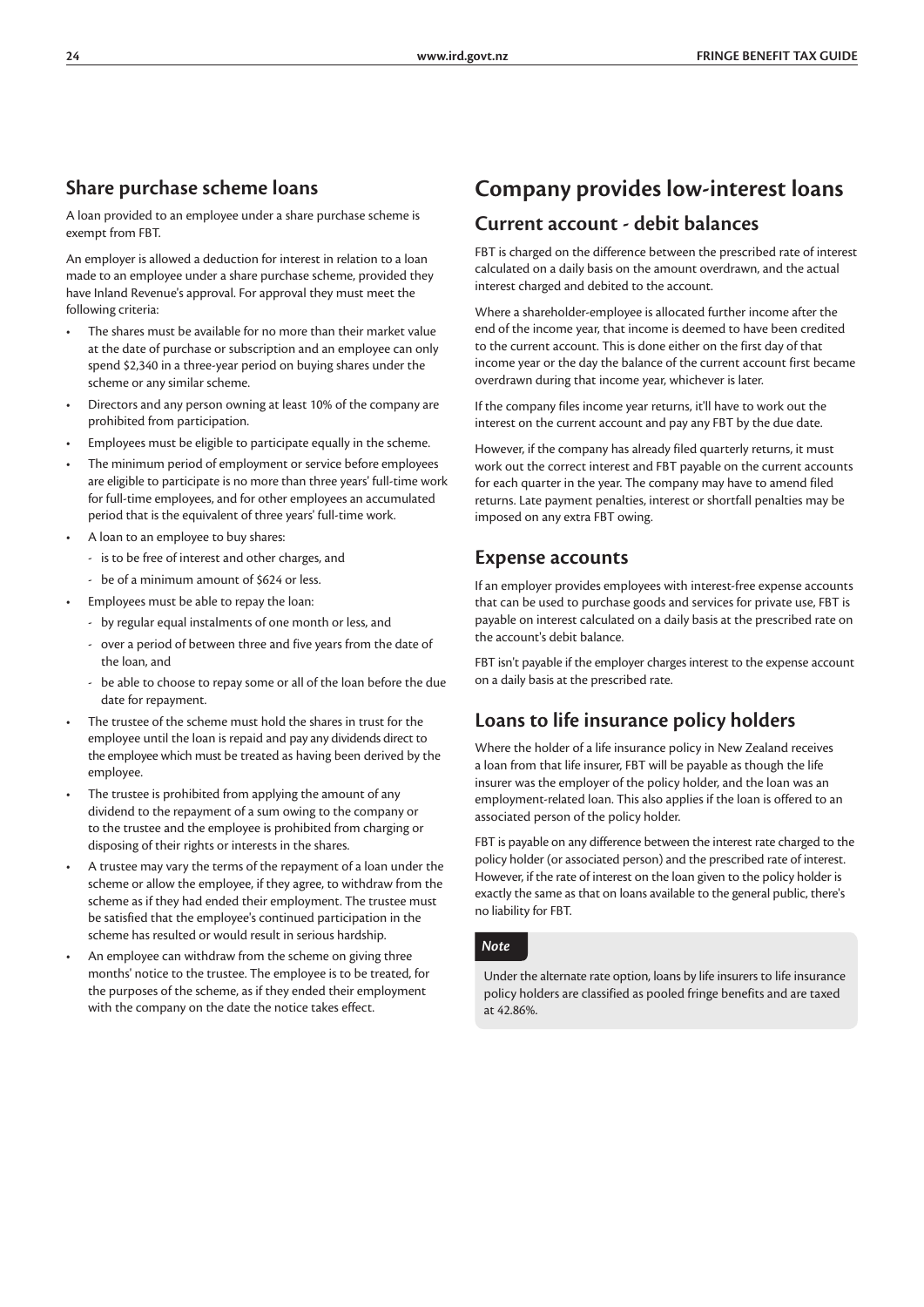### **Share purchase scheme loans**

A loan provided to an employee under a share purchase scheme is exempt from FBT.

An employer is allowed a deduction for interest in relation to a loan made to an employee under a share purchase scheme, provided they have Inland Revenue's approval. For approval they must meet the following criteria:

- The shares must be available for no more than their market value at the date of purchase or subscription and an employee can only spend \$2,340 in a three-year period on buying shares under the scheme or any similar scheme.
- Directors and any person owning at least 10% of the company are prohibited from participation.
- Employees must be eligible to participate equally in the scheme.
- The minimum period of employment or service before employees are eligible to participate is no more than three years' full-time work for full-time employees, and for other employees an accumulated period that is the equivalent of three years' full-time work.
- A loan to an employee to buy shares:
	- is to be free of interest and other charges, and
	- be of a minimum amount of \$624 or less.
- Employees must be able to repay the loan:
	- by regular equal instalments of one month or less, and
	- over a period of between three and five years from the date of the loan, and
	- be able to choose to repay some or all of the loan before the due date for repayment.
- The trustee of the scheme must hold the shares in trust for the employee until the loan is repaid and pay any dividends direct to the employee which must be treated as having been derived by the employee.
- The trustee is prohibited from applying the amount of any dividend to the repayment of a sum owing to the company or to the trustee and the employee is prohibited from charging or disposing of their rights or interests in the shares.
- A trustee may vary the terms of the repayment of a loan under the scheme or allow the employee, if they agree, to withdraw from the scheme as if they had ended their employment. The trustee must be satisfied that the employee's continued participation in the scheme has resulted or would result in serious hardship.
- An employee can withdraw from the scheme on giving three months' notice to the trustee. The employee is to be treated, for the purposes of the scheme, as if they ended their employment with the company on the date the notice takes effect.

### **Company provides low-interest loans**

#### **Current account - debit balances**

FBT is charged on the difference between the prescribed rate of interest calculated on a daily basis on the amount overdrawn, and the actual interest charged and debited to the account.

Where a shareholder-employee is allocated further income after the end of the income year, that income is deemed to have been credited to the current account. This is done either on the first day of that income year or the day the balance of the current account first became overdrawn during that income year, whichever is later.

If the company files income year returns, it'll have to work out the interest on the current account and pay any FBT by the due date.

However, if the company has already filed quarterly returns, it must work out the correct interest and FBT payable on the current accounts for each quarter in the year. The company may have to amend filed returns. Late payment penalties, interest or shortfall penalties may be imposed on any extra FBT owing.

### **Expense accounts**

If an employer provides employees with interest-free expense accounts that can be used to purchase goods and services for private use, FBT is payable on interest calculated on a daily basis at the prescribed rate on the account's debit balance.

FBT isn't payable if the employer charges interest to the expense account on a daily basis at the prescribed rate.

### **Loans to life insurance policy holders**

Where the holder of a life insurance policy in New Zealand receives a loan from that life insurer, FBT will be payable as though the life insurer was the employer of the policy holder, and the loan was an employment-related loan. This also applies if the loan is offered to an associated person of the policy holder.

FBT is payable on any difference between the interest rate charged to the policy holder (or associated person) and the prescribed rate of interest. However, if the rate of interest on the loan given to the policy holder is exactly the same as that on loans available to the general public, there's no liability for FBT.

#### *Note*

Under the alternate rate option, loans by life insurers to life insurance policy holders are classified as pooled fringe benefits and are taxed at 42.86%.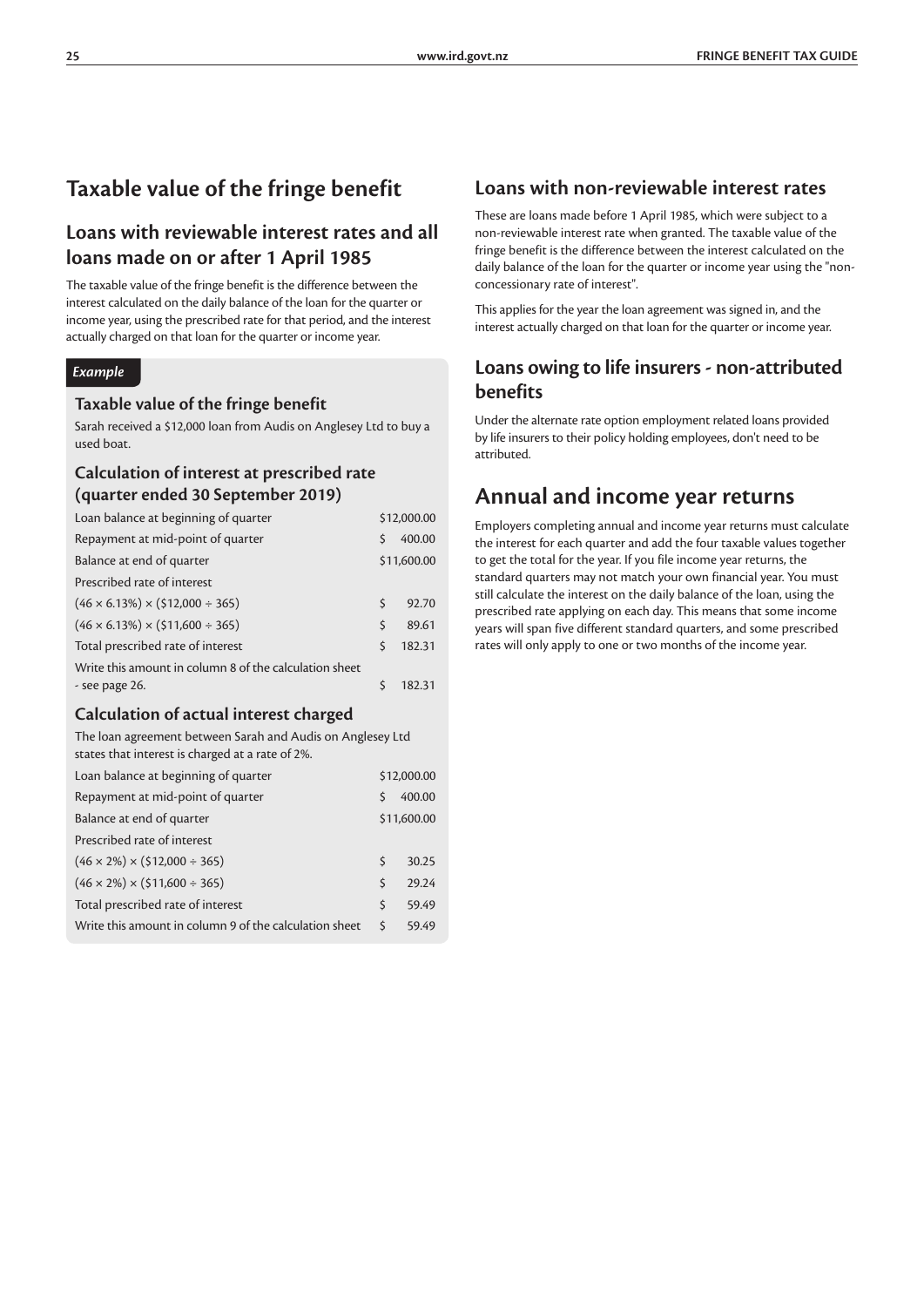### **Taxable value of the fringe benefit**

### **Loans with reviewable interest rates and all loans made on or after 1 April 1985**

The taxable value of the fringe benefit is the difference between the interest calculated on the daily balance of the loan for the quarter or income year, using the prescribed rate for that period, and the interest actually charged on that loan for the quarter or income year.

#### *Example*

#### **Taxable value of the fringe benefit**

Sarah received a \$12,000 loan from Audis on Anglesey Ltd to buy a used boat.

#### **Calculation of interest at prescribed rate (quarter ended 30 September 2019)**

| Loan balance at beginning of quarter                   |         | \$12,000.00 |
|--------------------------------------------------------|---------|-------------|
| Repayment at mid-point of quarter                      | Ś       | 400.00      |
| Balance at end of quarter                              |         | \$11,600.00 |
| Prescribed rate of interest                            |         |             |
| $(46 \times 6.13\%) \times (12,000 \div 365)$          | $\zeta$ | 92.70       |
| $(46 \times 6.13\%) \times (11,600 \div 365)$          | Ś       | 89.61       |
| Total prescribed rate of interest                      | \$.     | 182.31      |
| Write this amount in column 8 of the calculation sheet |         |             |
| - see page 26.                                         |         | 182.31      |

#### **Calculation of actual interest charged**

The loan agreement between Sarah and Audis on Anglesey Ltd states that interest is charged at a rate of 2%.

| Loan balance at beginning of quarter                   |   | \$12,000.00 |
|--------------------------------------------------------|---|-------------|
| Repayment at mid-point of quarter                      | S | 400.00      |
| Balance at end of quarter                              |   | \$11,600.00 |
| Prescribed rate of interest                            |   |             |
| $(46 \times 2\%) \times (512,000 \div 365)$            | Ś | 30.25       |
| $(46 \times 2\%) \times (511,600 \div 365)$            | Ś | 29.24       |
| Total prescribed rate of interest                      | Ś | 59.49       |
| Write this amount in column 9 of the calculation sheet | Ś | 59.49       |
|                                                        |   |             |

### **Loans with non-reviewable interest rates**

These are loans made before 1 April 1985, which were subject to a non-reviewable interest rate when granted. The taxable value of the fringe benefit is the difference between the interest calculated on the daily balance of the loan for the quarter or income year using the "nonconcessionary rate of interest".

This applies for the year the loan agreement was signed in, and the interest actually charged on that loan for the quarter or income year.

### **Loans owing to life insurers - non-attributed benefits**

Under the alternate rate option employment related loans provided by life insurers to their policy holding employees, don't need to be attributed.

### **Annual and income year returns**

Employers completing annual and income year returns must calculate the interest for each quarter and add the four taxable values together to get the total for the year. If you file income year returns, the standard quarters may not match your own financial year. You must still calculate the interest on the daily balance of the loan, using the prescribed rate applying on each day. This means that some income years will span five different standard quarters, and some prescribed rates will only apply to one or two months of the income year.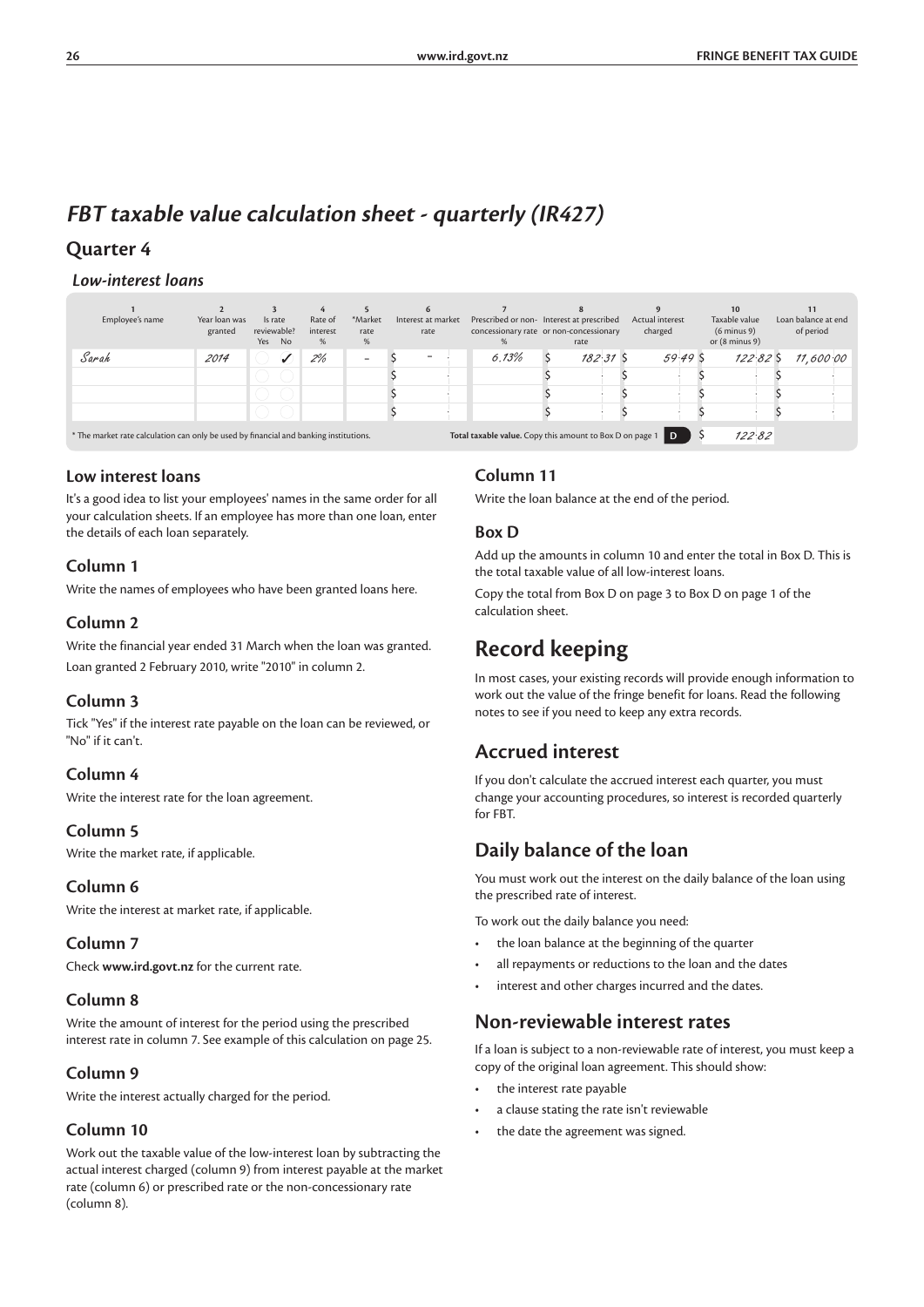### **FBT taxable value calculation sheet - quarterly (IR427)**

### **Quarter 4**

#### *Low-interest loans*

| Employee's name                                                                       | Year loan was<br>granted | Is rate<br>reviewable?<br>Yes | <b>No</b>    | Rate of<br>interest<br>% | *Market<br>rate<br>%     | Interest at market<br>rate | Prescribed or non- Interest at prescribed<br>concessionary rate or non-concessionary | rate       | Actual interest | charged |        | 10<br>Taxable value<br>$(6 \text{ minus } 9)$<br>or $(8 \text{ minus } 9)$ | Loan balance at end<br>of period |
|---------------------------------------------------------------------------------------|--------------------------|-------------------------------|--------------|--------------------------|--------------------------|----------------------------|--------------------------------------------------------------------------------------|------------|-----------------|---------|--------|----------------------------------------------------------------------------|----------------------------------|
| Sarah                                                                                 | 2014                     |                               | $\checkmark$ | 2%                       | $\overline{\phantom{a}}$ | -                          | 6.13%                                                                                | $182.31$ S |                 |         | 59.49S | 122825                                                                     | 11,600.00                        |
|                                                                                       |                          |                               |              |                          |                          |                            |                                                                                      |            |                 |         |        |                                                                            |                                  |
|                                                                                       |                          |                               |              |                          |                          |                            |                                                                                      |            |                 |         |        |                                                                            |                                  |
|                                                                                       |                          |                               |              |                          |                          |                            |                                                                                      |            |                 |         |        |                                                                            |                                  |
| * The market rate calculation can only be used by financial and banking institutions. |                          |                               |              |                          |                          |                            | Total taxable value. Copy this amount to Box D on page 1                             |            |                 | ID.     |        | 122.82                                                                     |                                  |

#### **Low interest loans**

It's a good idea to list your employees' names in the same order for all your calculation sheets. If an employee has more than one loan, enter the details of each loan separately.

#### **Column 1**

Write the names of employees who have been granted loans here.

#### **Column 2**

Write the financial year ended 31 March when the loan was granted. Loan granted 2 February 2010, write "2010" in column 2.

#### **Column 3**

Tick "Yes" if the interest rate payable on the loan can be reviewed, or "No" if it can't.

#### **Column 4**

Write the interest rate for the loan agreement.

#### **Column 5**

Write the market rate, if applicable.

#### **Column 6**

Write the interest at market rate, if applicable.

#### **Column 7**

Check **www.ird.govt.nz** for the current rate.

#### **Column 8**

Write the amount of interest for the period using the prescribed interest rate in column 7. See example of this calculation on page 25.

#### **Column 9**

Write the interest actually charged for the period.

#### **Column 10**

Work out the taxable value of the low-interest loan by subtracting the actual interest charged (column 9) from interest payable at the market rate (column 6) or prescribed rate or the non-concessionary rate (column 8).

#### **Column 11**

Write the loan balance at the end of the period.

#### **Box D**

Add up the amounts in column 10 and enter the total in Box D. This is the total taxable value of all low-interest loans.

Copy the total from Box D on page 3 to Box D on page 1 of the calculation sheet.

### **Record keeping**

In most cases, your existing records will provide enough information to work out the value of the fringe benefit for loans. Read the following notes to see if you need to keep any extra records.

### **Accrued interest**

If you don't calculate the accrued interest each quarter, you must change your accounting procedures, so interest is recorded quarterly for FBT.

### **Daily balance of the loan**

You must work out the interest on the daily balance of the loan using the prescribed rate of interest.

To work out the daily balance you need:

- the loan balance at the beginning of the quarter
- all repayments or reductions to the loan and the dates
- interest and other charges incurred and the dates.

### **Non-reviewable interest rates**

If a loan is subject to a non-reviewable rate of interest, you must keep a copy of the original loan agreement. This should show:

- the interest rate payable
- a clause stating the rate isn't reviewable
- the date the agreement was signed.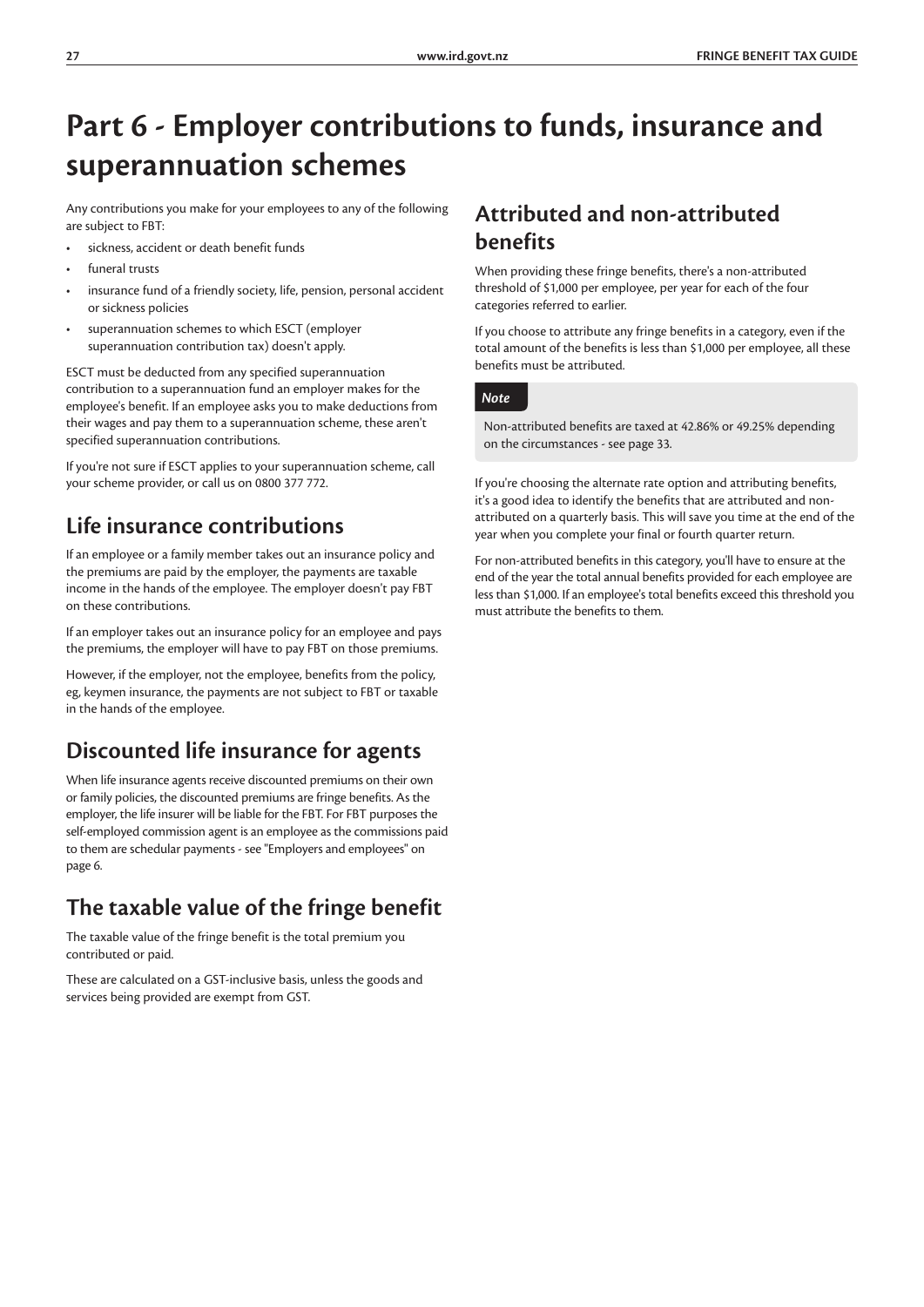# **Part 6 - Employer contributions to funds, insurance and superannuation schemes**

Any contributions you make for your employees to any of the following are subject to FBT:

- sickness, accident or death benefit funds
- funeral tructs
- insurance fund of a friendly society, life, pension, personal accident or sickness policies
- superannuation schemes to which ESCT (employer superannuation contribution tax) doesn't apply.

ESCT must be deducted from any specified superannuation contribution to a superannuation fund an employer makes for the employee's benefit. If an employee asks you to make deductions from their wages and pay them to a superannuation scheme, these aren't specified superannuation contributions.

If you're not sure if ESCT applies to your superannuation scheme, call your scheme provider, or call us on 0800 377 772.

### **Life insurance contributions**

If an employee or a family member takes out an insurance policy and the premiums are paid by the employer, the payments are taxable income in the hands of the employee. The employer doesn't pay FBT on these contributions.

If an employer takes out an insurance policy for an employee and pays the premiums, the employer will have to pay FBT on those premiums.

However, if the employer, not the employee, benefits from the policy, eg, keymen insurance, the payments are not subject to FBT or taxable in the hands of the employee.

### **Discounted life insurance for agents**

When life insurance agents receive discounted premiums on their own or family policies, the discounted premiums are fringe benefits. As the employer, the life insurer will be liable for the FBT. For FBT purposes the self-employed commission agent is an employee as the commissions paid to them are schedular payments - see "Employers and employees" on page 6.

### **The taxable value of the fringe benefit**

The taxable value of the fringe benefit is the total premium you contributed or paid.

These are calculated on a GST-inclusive basis, unless the goods and services being provided are exempt from GST.

### **Attributed and non-attributed benefits**

When providing these fringe benefits, there's a non-attributed threshold of \$1,000 per employee, per year for each of the four categories referred to earlier.

If you choose to attribute any fringe benefits in a category, even if the total amount of the benefits is less than \$1,000 per employee, all these benefits must be attributed.

#### *Note*

Non-attributed benefits are taxed at 42.86% or 49.25% depending on the circumstances - see page 33.

If you're choosing the alternate rate option and attributing benefits, it's a good idea to identify the benefits that are attributed and nonattributed on a quarterly basis. This will save you time at the end of the year when you complete your final or fourth quarter return.

For non-attributed benefits in this category, you'll have to ensure at the end of the year the total annual benefits provided for each employee are less than \$1,000. If an employee's total benefits exceed this threshold you must attribute the benefits to them.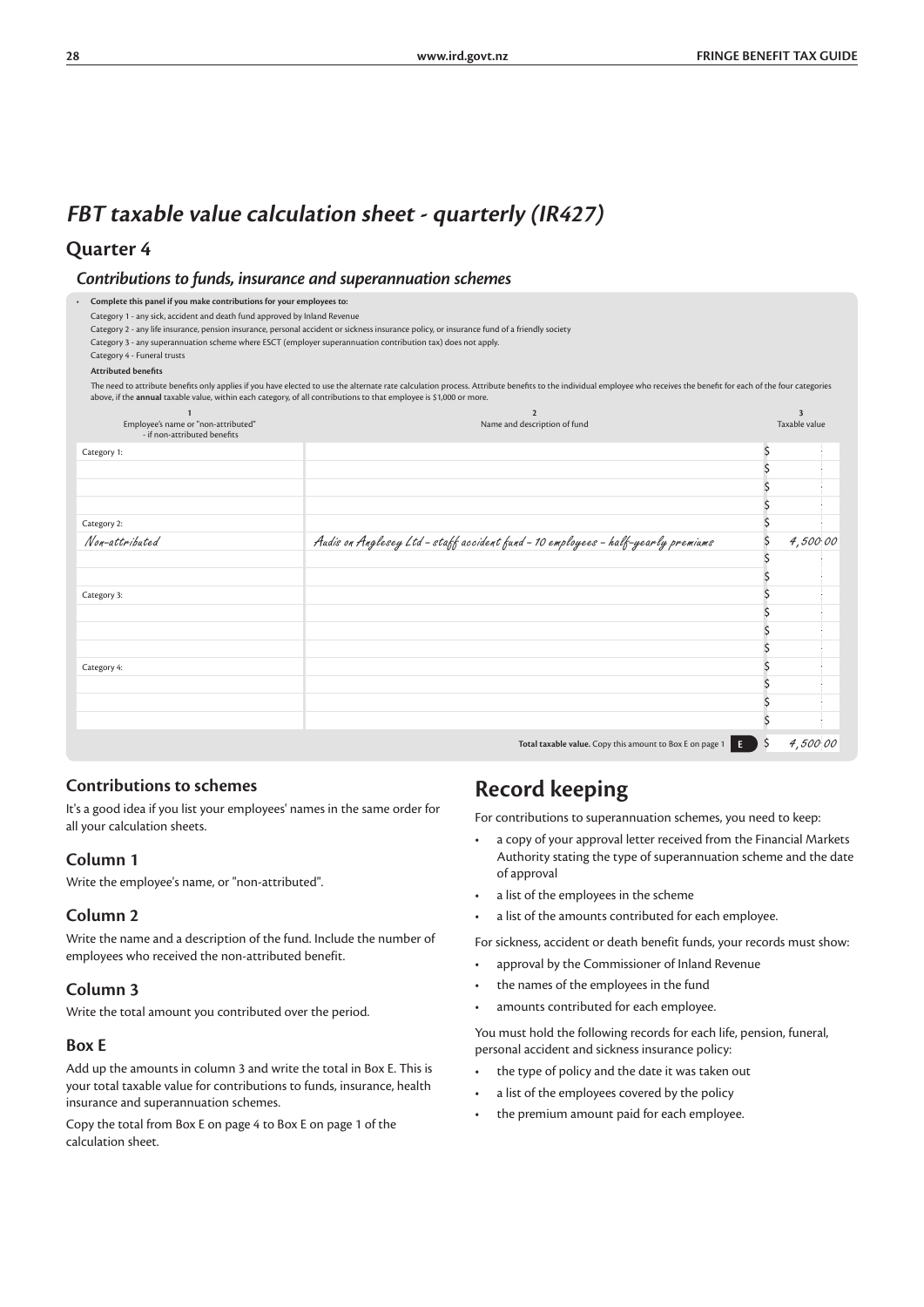### **FBT taxable value calculation sheet - quarterly (IR427)**

#### **Quarter 4**

*Contributions to funds, insurance and superannuation schemes*

*•* **Complete this panel if you make contributions for your employees to:**

Category 2 - any life insurance, pension insurance, personal accident or sickness insurance policy, or insurance fund of a friendly society

Category 3 - any superannuation scheme where ESCT (employer superannuation contribution tax) does not apply. Category 4 - Funeral trusts

**Attributed benefits**

The need to attribute benefits only applies if you have elected to use the alternate rate calculation process. Attribute benefits to the individual employee who receives the benefit for each of the four categories<br>above, i

|                                                                     | $\mathfrak{p}$                                                                                          | $\overline{\mathbf{3}}$ |  |
|---------------------------------------------------------------------|---------------------------------------------------------------------------------------------------------|-------------------------|--|
| Employee's name or "non-attributed"<br>- if non-attributed benefits | Name and description of fund                                                                            | Taxable value           |  |
| Category 1:                                                         |                                                                                                         |                         |  |
|                                                                     |                                                                                                         |                         |  |
|                                                                     |                                                                                                         |                         |  |
|                                                                     |                                                                                                         |                         |  |
| Category 2:                                                         |                                                                                                         |                         |  |
| Non-attributed                                                      | Audis on Anglesey Ltd - staff accident fund - 10 employees - half-yearly premiums                       | 4,500.00                |  |
|                                                                     |                                                                                                         |                         |  |
|                                                                     |                                                                                                         |                         |  |
| Category 3:                                                         |                                                                                                         |                         |  |
|                                                                     |                                                                                                         |                         |  |
|                                                                     |                                                                                                         |                         |  |
|                                                                     |                                                                                                         |                         |  |
| Category 4:                                                         |                                                                                                         |                         |  |
|                                                                     |                                                                                                         |                         |  |
|                                                                     |                                                                                                         |                         |  |
|                                                                     |                                                                                                         |                         |  |
|                                                                     | Total taxable value. Copy this amount to Box E on page 1 $\begin{bmatrix} 1 & 1 \\ 2 & 3 \end{bmatrix}$ | 4,500.00                |  |

#### **Contributions to schemes**

It's a good idea if you list your employees' names in the same order for all your calculation sheets.

#### **Column 1**

Write the employee's name, or "non-attributed".

#### **Column 2**

Write the name and a description of the fund. Include the number of employees who received the non-attributed benefit.

#### **Column 3**

Write the total amount you contributed over the period.

#### **Box E**

Add up the amounts in column 3 and write the total in Box E. This is your total taxable value for contributions to funds, insurance, health insurance and superannuation schemes.

Copy the total from Box E on page 4 to Box E on page 1 of the calculation sheet.

# **Record keeping**

For contributions to superannuation schemes, you need to keep:

- a copy of your approval letter received from the Financial Markets Authority stating the type of superannuation scheme and the date of approval
- a list of the employees in the scheme
- a list of the amounts contributed for each employee.

For sickness, accident or death benefit funds, your records must show:

- approval by the Commissioner of Inland Revenue
- the names of the employees in the fund
- amounts contributed for each employee.

You must hold the following records for each life, pension, funeral, personal accident and sickness insurance policy:

- the type of policy and the date it was taken out
- a list of the employees covered by the policy
- the premium amount paid for each employee.

Category 1 - any sick, accident and death fund approved by Inland Revenue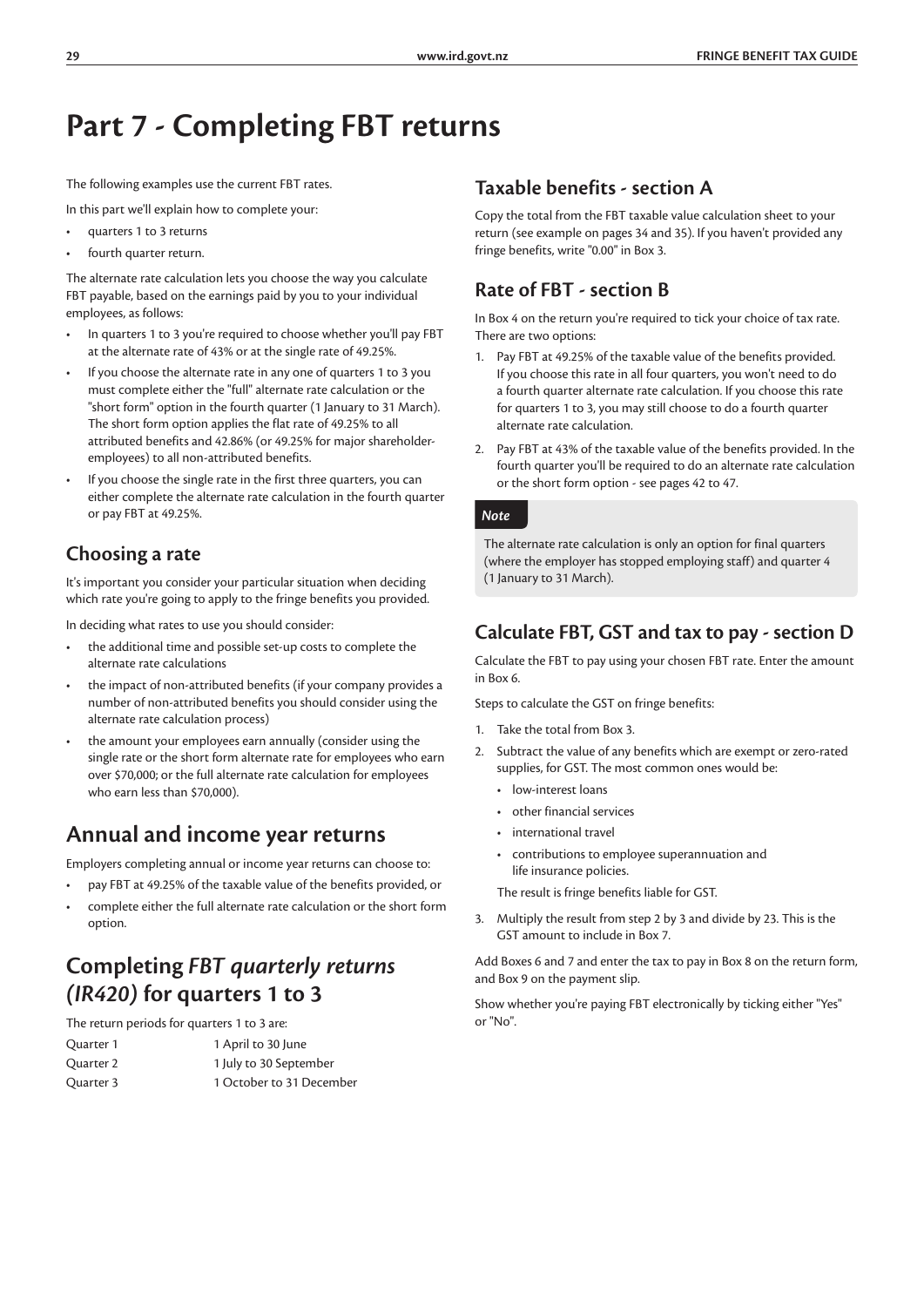# **Part 7 - Completing FBT returns**

The following examples use the current FBT rates.

In this part we'll explain how to complete your:

- quarters 1 to 3 returns
- fourth quarter return.

The alternate rate calculation lets you choose the way you calculate FBT payable, based on the earnings paid by you to your individual employees, as follows:

- In quarters 1 to 3 you're required to choose whether you'll pay FBT at the alternate rate of 43% or at the single rate of 49.25%.
- If you choose the alternate rate in any one of quarters 1 to 3 you must complete either the "full" alternate rate calculation or the "short form" option in the fourth quarter (1 January to 31 March). The short form option applies the flat rate of 49.25% to all attributed benefits and 42.86% (or 49.25% for major shareholderemployees) to all non-attributed benefits.
- If you choose the single rate in the first three quarters, you can either complete the alternate rate calculation in the fourth quarter or pay FBT at 49.25%.

### **Choosing a rate**

It's important you consider your particular situation when deciding which rate you're going to apply to the fringe benefits you provided.

In deciding what rates to use you should consider:

- the additional time and possible set-up costs to complete the alternate rate calculations
- the impact of non-attributed benefits (if your company provides a number of non-attributed benefits you should consider using the alternate rate calculation process)
- the amount your employees earn annually (consider using the single rate or the short form alternate rate for employees who earn over \$70,000; or the full alternate rate calculation for employees who earn less than \$70,000).

### **Annual and income year returns**

Employers completing annual or income year returns can choose to:

- pay FBT at 49.25% of the taxable value of the benefits provided, or
- complete either the full alternate rate calculation or the short form option.

### **Completing** *FBT quarterly returns (IR420)* **for quarters 1 to 3**

The return periods for quarters 1 to 3 are:

| Quarter 1 | 1 April to 30 June       |
|-----------|--------------------------|
| Quarter 2 | 1 July to 30 September   |
| Quarter 3 | 1 October to 31 December |

### **Taxable benefits - section A**

Copy the total from the FBT taxable value calculation sheet to your return (see example on pages 34 and 35). If you haven't provided any fringe benefits, write "0.00" in Box 3.

### **Rate of FBT - section B**

In Box 4 on the return you're required to tick your choice of tax rate. There are two options:

- 1. Pay FBT at 49.25% of the taxable value of the benefits provided. If you choose this rate in all four quarters, you won't need to do a fourth quarter alternate rate calculation. If you choose this rate for quarters 1 to 3, you may still choose to do a fourth quarter alternate rate calculation.
- 2. Pay FBT at 43% of the taxable value of the benefits provided. In the fourth quarter you'll be required to do an alternate rate calculation or the short form option - see pages 42 to 47.

#### *Note*

The alternate rate calculation is only an option for final quarters (where the employer has stopped employing staff) and quarter 4 (1 January to 31 March).

### **Calculate FBT, GST and tax to pay - section D**

Calculate the FBT to pay using your chosen FBT rate. Enter the amount in Box 6.

Steps to calculate the GST on fringe benefits:

- 1. Take the total from Box 3.
- 2. Subtract the value of any benefits which are exempt or zero-rated supplies, for GST. The most common ones would be:
	- low-interest loans
	- other financial services
	- international travel
	- contributions to employee superannuation and life insurance policies.

The result is fringe benefits liable for GST.

3. Multiply the result from step 2 by 3 and divide by 23. This is the GST amount to include in Box 7.

Add Boxes 6 and 7 and enter the tax to pay in Box 8 on the return form, and Box 9 on the payment slip.

Show whether you're paying FBT electronically by ticking either "Yes" or "No".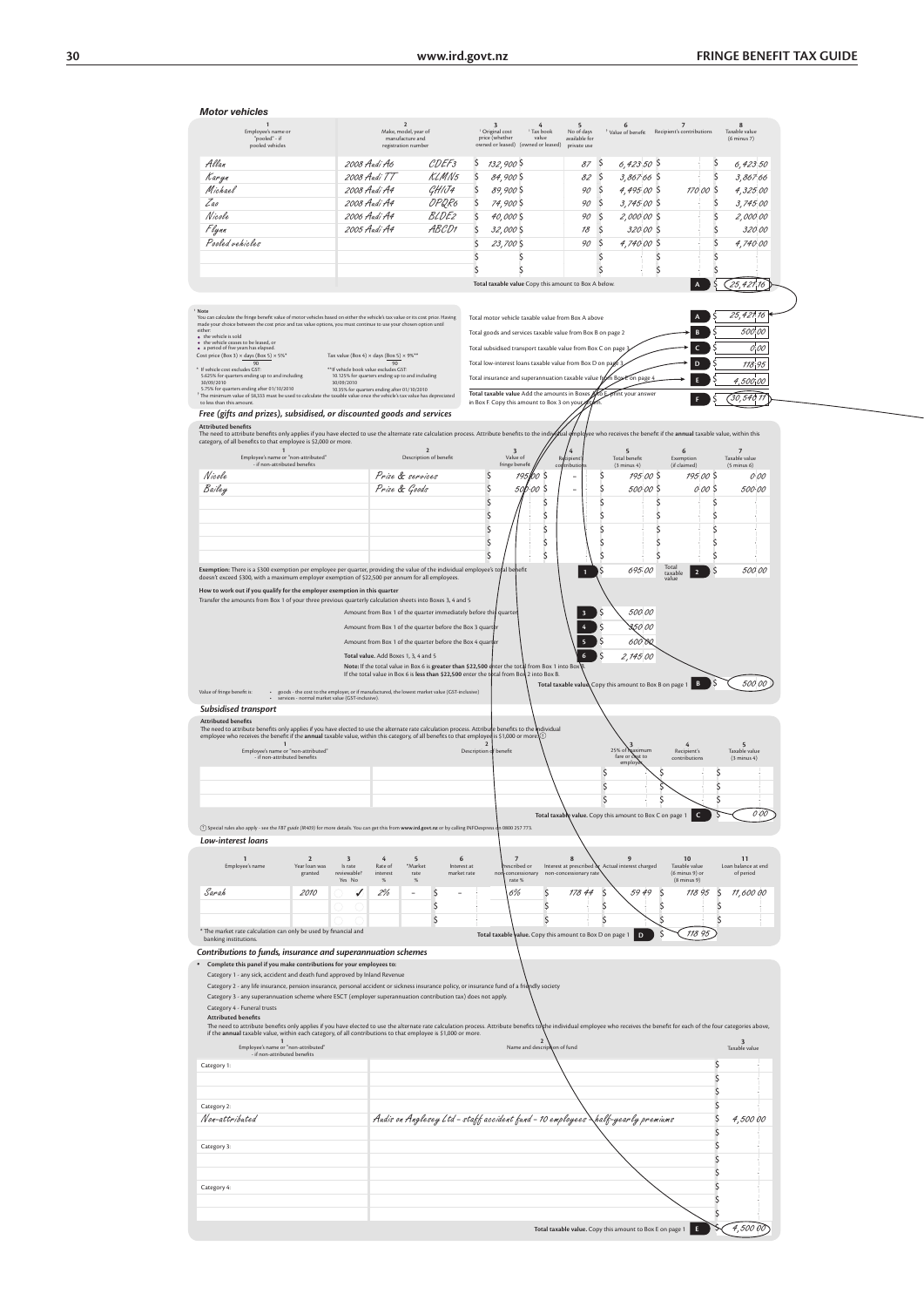| <b>Motor vehicle</b> |  |
|----------------------|--|

| Employee's name or                                                                                                                                                                                                                                                                                                                           |                                                                                                  |                                                                                                                   |                                                                             |                                                                           |                                                        |  |
|----------------------------------------------------------------------------------------------------------------------------------------------------------------------------------------------------------------------------------------------------------------------------------------------------------------------------------------------|--------------------------------------------------------------------------------------------------|-------------------------------------------------------------------------------------------------------------------|-----------------------------------------------------------------------------|---------------------------------------------------------------------------|--------------------------------------------------------|--|
| "pooled" - if<br>pooled vehicles                                                                                                                                                                                                                                                                                                             | $\overline{2}$<br>Make, model, year of<br>manufacture and<br>registration number                 | Original cost<br><sup>1</sup> Tax book<br>price (whether<br>value<br>owned or leased) (owned or leased)           | 6<br>5<br>No of days<br>Value of benefit<br>available for<br>private use    | $\overline{7}$<br>Recipient's contributions                               | 8<br>Taxable value<br>$(6$ minus 7)                    |  |
| Allan                                                                                                                                                                                                                                                                                                                                        | 2008 Audi A6<br>CDEF <sub>3</sub>                                                                | \$<br>132,900 S                                                                                                   | 87S<br>$6,423.50$ \$                                                        | $\zeta$                                                                   | 6,42350                                                |  |
| Karyn                                                                                                                                                                                                                                                                                                                                        | 2008 Audi TT<br><b>KLMN5</b>                                                                     | \$<br>84,900 \$                                                                                                   | $\zeta$<br>82<br>$3,867.66$ \$                                              | \$                                                                        | 3,867.66                                               |  |
| Michael                                                                                                                                                                                                                                                                                                                                      | 2008 Audi A4<br>GHIJ4                                                                            | $\mathsf{\mathsf{S}}$<br>89,900 \$                                                                                | $\zeta$<br>90<br>4,495.00 \$                                                | 17000<br><sub>S</sub>                                                     | 4,325 00                                               |  |
| Zao                                                                                                                                                                                                                                                                                                                                          | OPQR6<br>2008 Audi A4                                                                            | $\mathsf{\hat{S}}$<br>74,900 S                                                                                    | $\zeta$<br>90<br>$3,745,00$ \$                                              | \$                                                                        | 3,745 00                                               |  |
| Nicole                                                                                                                                                                                                                                                                                                                                       | <b>BLDE2</b><br>2006 Audi A4<br>ABCD1                                                            | \$<br>40,000 S                                                                                                    | $\zeta$<br>90<br>2,000.00 \$                                                | \$                                                                        | 2,000 00                                               |  |
| Flynn<br>Pooled vehicles                                                                                                                                                                                                                                                                                                                     | 2005 Audi A4                                                                                     | Ś<br>32,000 \$                                                                                                    | 78<br>$\mathsf{\hat{S}}$<br>320.00 S<br>90<br>Ŝ<br>4,740.00 S               | \$<br>\$                                                                  | 32000<br>4,740.00                                      |  |
|                                                                                                                                                                                                                                                                                                                                              |                                                                                                  | 23,700 \$<br>S<br>S                                                                                               | \$                                                                          | \$<br>\$                                                                  |                                                        |  |
|                                                                                                                                                                                                                                                                                                                                              |                                                                                                  | $\mathsf{\hat{S}}$<br>$\mathsf{\mathsf{S}}$                                                                       | \$                                                                          | \$<br>\$                                                                  |                                                        |  |
|                                                                                                                                                                                                                                                                                                                                              |                                                                                                  | Total taxable value Copy this amount to Box A below.                                                              |                                                                             | $\overline{A}$                                                            | 25,421,16                                              |  |
| Note<br>You can calculate the fringe benefit value of motor vehicles based on either the vehicle's tax value or its cost price. Having<br>made your choice between the cost price and tax value options, you must continue to use your chosen option until<br>either:                                                                        |                                                                                                  | Total motor vehicle taxable value from Box A above<br>Total goods and services taxable value from Box B on page 2 |                                                                             | B                                                                         | 25,421,16<br>500,00                                    |  |
| • the vehicle is sold<br>$\begin{array}{ll} \bullet\quad \text{the vehicle ceases to be based, or}\\ \bullet\quad \text{a period of five years has elapsed.} \end{array}$<br>Cost price (Box 3) $\times$ days (Box 5) $\times$ 5% <sup>*</sup>                                                                                               | Tax value (Box 4) $\times$ days (Box 5) $\times$ 9% <sup>**</sup>                                | Total subsidised transport taxable value from Box C on page 3                                                     |                                                                             | C                                                                         | $O_1^2OO$                                              |  |
| 90<br>If vehicle cost excludes GST:<br>5.625% for quarters ending up to and including                                                                                                                                                                                                                                                        | 90<br>** If vehicle book value excludes GST:<br>10.125% for quarters ending up to and including  | Total low-interest loans taxable value from Box D on pa                                                           |                                                                             | D                                                                         | 118.95                                                 |  |
| 30/09/2010<br>30/09/2010<br>5.75% for quarters ending after 01/10/2010                                                                                                                                                                                                                                                                       | 10.35% for quarters ending after 01/10/2010                                                      | Total insurance and superannuation taxable value from Box                                                         | E on page 4                                                                 | F                                                                         | 4,500,00                                               |  |
| The minimum value of \$8,333 must be used to calculate the taxable value once the vehicle's tax value has depreciated<br>to less than this amount.                                                                                                                                                                                           |                                                                                                  | Total taxable value Add the amounts in Boxes<br>in Box F. Copy this amount to Box 3 on your,                      | <b>b</b> Exprint your answer                                                |                                                                           | (30, 540, 77)                                          |  |
| Free (gifts and prizes), subsidised, or discounted goods and services                                                                                                                                                                                                                                                                        |                                                                                                  |                                                                                                                   |                                                                             |                                                                           |                                                        |  |
| <b>Attributed benefits</b><br>The need to attribute benefits only applies if you have elected to use the alternate rate calculation process. Attribute benefits to the indiy dual (                                                                                                                                                          |                                                                                                  |                                                                                                                   |                                                                             | mployee who receives the benefit if the annual taxable value, within this |                                                        |  |
| category, of all benefits to that employee is \$2,000 or more.<br>Employee's name or "non-attributed"<br>if non-attributed benefits                                                                                                                                                                                                          | $\mathbf 2$<br>Description of benefit                                                            | Value of<br>fringe benefit                                                                                        | $\sqrt{4}$<br>$5$ Total benefit<br>Recipient<br>contributio                 | 6<br>Exemption<br>(if claimed)                                            | $\overline{7}$<br>Taxable value                        |  |
| Nicole                                                                                                                                                                                                                                                                                                                                       | Prize & services                                                                                 | bo s<br>\$<br>195                                                                                                 | $(3 \text{ minus } 4)$<br>Ś<br>۰                                            | 195.00S<br>195.00 \$                                                      | $(5 \text{ minus } 6)$<br>0.00                         |  |
| Bailey                                                                                                                                                                                                                                                                                                                                       | Prize & Goods                                                                                    | \$<br>S<br>50<br>00                                                                                               | Ś<br>÷                                                                      | 500.00 \$<br>000 \$                                                       | 500.00                                                 |  |
|                                                                                                                                                                                                                                                                                                                                              |                                                                                                  | \$<br>\$                                                                                                          | S                                                                           | S<br>S                                                                    |                                                        |  |
|                                                                                                                                                                                                                                                                                                                                              |                                                                                                  | \$<br>\$                                                                                                          | S                                                                           | \$<br>S                                                                   |                                                        |  |
|                                                                                                                                                                                                                                                                                                                                              |                                                                                                  | \$<br>\$                                                                                                          | Ś                                                                           | Ś<br>S                                                                    |                                                        |  |
|                                                                                                                                                                                                                                                                                                                                              |                                                                                                  | \$<br>\$                                                                                                          | Ś                                                                           | Ś                                                                         |                                                        |  |
|                                                                                                                                                                                                                                                                                                                                              |                                                                                                  | \$<br>Ś                                                                                                           | S                                                                           | S<br>S<br>Tota                                                            |                                                        |  |
| Exemption: There is a \$300 exemption per employee per quarter, providing the value of the individual employee's tofal behefit<br>doesn't exceed \$300, with a maximum employer exemption of \$22,500 per annum for all employees.                                                                                                           |                                                                                                  |                                                                                                                   | 695.00<br>$\overline{1}$                                                    | \$<br>$\overline{2}$<br>taxable<br>value                                  | 500 00                                                 |  |
| How to work out if you qualify for the employer exemption in this quarter                                                                                                                                                                                                                                                                    |                                                                                                  |                                                                                                                   |                                                                             |                                                                           |                                                        |  |
| Transfer the amounts from Box 1 of your three previous quarterly calculation sheets into Boxes 3, 4 and 5                                                                                                                                                                                                                                    | Amount from Box 1 of the quarter immediately before this quarter                                 |                                                                                                                   | 500.00<br>$\overline{\mathbf{3}}$                                           |                                                                           |                                                        |  |
|                                                                                                                                                                                                                                                                                                                                              | Amount from Box 1 of the quarter before the Box 3 quarter                                        |                                                                                                                   | 3,50 00<br>4                                                                |                                                                           |                                                        |  |
|                                                                                                                                                                                                                                                                                                                                              | Amount from Box 1 of the quarter before the Box 4 quarter                                        |                                                                                                                   | $\mathsf{\hat{S}}$<br>60000<br>5                                            |                                                                           |                                                        |  |
|                                                                                                                                                                                                                                                                                                                                              | Total value. Add Boxes 1, 3, 4 and 5                                                             |                                                                                                                   | $\mathsf{\hat{S}}$<br>6<br>2,145.00                                         |                                                                           |                                                        |  |
|                                                                                                                                                                                                                                                                                                                                              | Note: If the total value in Box 6 is greater than \$22,500 enter the total from Box 1 into Box B |                                                                                                                   |                                                                             |                                                                           |                                                        |  |
|                                                                                                                                                                                                                                                                                                                                              | If the total value in Box 6 is less than \$22,500 enter the total from Box 2 into Box B.         |                                                                                                                   | Total taxable value Copy this amount to Box B on page 1                     | B<br>Ş                                                                    | 500 00                                                 |  |
| Value of fringe benefit is:<br>services - normal market value (GST-inclusive).                                                                                                                                                                                                                                                               | goods - the cost to the employer, or if manufactured, the lowest market value (GST-inclusive)    |                                                                                                                   |                                                                             |                                                                           |                                                        |  |
|                                                                                                                                                                                                                                                                                                                                              |                                                                                                  |                                                                                                                   |                                                                             |                                                                           |                                                        |  |
| Subsidised transport                                                                                                                                                                                                                                                                                                                         |                                                                                                  |                                                                                                                   |                                                                             |                                                                           |                                                        |  |
| <b>Attributed benefits</b>                                                                                                                                                                                                                                                                                                                   |                                                                                                  |                                                                                                                   |                                                                             |                                                                           |                                                        |  |
| The need to attribute benefits only applies if you have elected to use the alternate rate calculation process. Attribute benefits to the individual<br>employee who receives the benefit if the annual taxable value, within this category, of all benefits to that employed is \$1,000 or more                                              |                                                                                                  |                                                                                                                   |                                                                             |                                                                           |                                                        |  |
| $\mathbf{1}$<br>Employee's name or "non-attributed"<br>if non-attributed benefits                                                                                                                                                                                                                                                            |                                                                                                  | Description of benefit                                                                                            | 25% of maximum                                                              | 4<br>Recipient's<br>contributions                                         | $\varsigma$<br>Taxable value<br>$(3 \text{ minus } 4)$ |  |
|                                                                                                                                                                                                                                                                                                                                              |                                                                                                  |                                                                                                                   | fare or cost to<br>emplo                                                    |                                                                           |                                                        |  |
|                                                                                                                                                                                                                                                                                                                                              |                                                                                                  |                                                                                                                   | S                                                                           | S<br>Ś                                                                    |                                                        |  |
|                                                                                                                                                                                                                                                                                                                                              |                                                                                                  |                                                                                                                   | \$                                                                          |                                                                           |                                                        |  |
|                                                                                                                                                                                                                                                                                                                                              |                                                                                                  |                                                                                                                   | Total taxable value. Copy this amount to Box C on page 1                    | $\mathsf{C}$                                                              | 000                                                    |  |
| (1) Special rules also apply - see the FBT guide (IR409) for more details. You can get this from www.ird.govt.nz or by calling INFOexpress on 0800 257 773.                                                                                                                                                                                  |                                                                                                  |                                                                                                                   |                                                                             |                                                                           |                                                        |  |
| Low-interest loans                                                                                                                                                                                                                                                                                                                           |                                                                                                  |                                                                                                                   |                                                                             |                                                                           |                                                        |  |
| $\overline{\mathbf{3}}$<br>$\mathbf{1}$<br>$\overline{2}$                                                                                                                                                                                                                                                                                    | $\overline{4}$<br>5                                                                              | 6<br>$\overline{7}$                                                                                               | 9<br>$\mathbf{g}$                                                           | 10                                                                        | 11                                                     |  |
| Employee's name<br>Year loan was<br>Is rate<br>granted<br>reviewable?                                                                                                                                                                                                                                                                        | Rate of<br>*Market<br>interest<br>rate                                                           | Interest at<br>escribed or<br>market rate<br>concessionary                                                        | Interest at prescribed<br>Actual interest charged<br>non-concessionary rate | Taxable value<br>(6 minus 9) or                                           | Loan balance at end<br>of period                       |  |
| Yes No                                                                                                                                                                                                                                                                                                                                       | $\%$<br>%                                                                                        | rate %                                                                                                            |                                                                             | $(8 \text{ minus } 9)$                                                    |                                                        |  |
| Sarah<br>2010                                                                                                                                                                                                                                                                                                                                | \$<br>2%<br>٠                                                                                    | \$<br>6%                                                                                                          | 178 44<br>S<br>5949                                                         | S<br>118 95<br>S                                                          | 11,600 00                                              |  |
|                                                                                                                                                                                                                                                                                                                                              | \$                                                                                               | Ś<br>Ś                                                                                                            | \$<br>Ś                                                                     |                                                                           |                                                        |  |
| * The market rate calculation can only be used by financial and                                                                                                                                                                                                                                                                              | \$                                                                                               |                                                                                                                   | D                                                                           | $\mathsf{\$}$<br>11895                                                    |                                                        |  |
| banking institutions.                                                                                                                                                                                                                                                                                                                        |                                                                                                  | Total taxable value. Copy this amount to Box D on page 1                                                          |                                                                             |                                                                           |                                                        |  |
| Contributions to funds, insurance and superannuation schemes                                                                                                                                                                                                                                                                                 |                                                                                                  |                                                                                                                   |                                                                             |                                                                           |                                                        |  |
| Complete this panel if you make contributions for your employees to:<br>Category 1 - any sick, accident and death fund approved by Inland Revenue                                                                                                                                                                                            |                                                                                                  |                                                                                                                   |                                                                             |                                                                           |                                                        |  |
| Category 2 - any life insurance, pension insurance, personal accident or sickness insurance policy, or insurance fund of a friendly society                                                                                                                                                                                                  |                                                                                                  |                                                                                                                   |                                                                             |                                                                           |                                                        |  |
| Category 3 - any superannuation scheme where ESCT (employer superannuation contribution tax) does not apply.                                                                                                                                                                                                                                 |                                                                                                  |                                                                                                                   |                                                                             |                                                                           |                                                        |  |
| Category 4 - Funeral trusts<br><b>Attributed benefits</b>                                                                                                                                                                                                                                                                                    |                                                                                                  |                                                                                                                   |                                                                             |                                                                           |                                                        |  |
| The need to attribute benefits only applies if you have elected to use the alternate rate calculation process. Attribute benefits to the individual employee who receives the benefit for each of the four categories above,<br>if the annual taxable value, within each category, of all contributions to that employee is \$1,000 or more. |                                                                                                  |                                                                                                                   |                                                                             |                                                                           |                                                        |  |
| Employee's name or "non-attributed"                                                                                                                                                                                                                                                                                                          |                                                                                                  | Name and description of fund                                                                                      |                                                                             |                                                                           | Taxable value                                          |  |
| if non-attributed benefits<br>Category 1:                                                                                                                                                                                                                                                                                                    |                                                                                                  |                                                                                                                   |                                                                             | S                                                                         |                                                        |  |
|                                                                                                                                                                                                                                                                                                                                              |                                                                                                  |                                                                                                                   |                                                                             | Ś                                                                         |                                                        |  |
|                                                                                                                                                                                                                                                                                                                                              |                                                                                                  |                                                                                                                   |                                                                             | Ś                                                                         |                                                        |  |
| Category 2:                                                                                                                                                                                                                                                                                                                                  |                                                                                                  |                                                                                                                   |                                                                             | $\zeta$                                                                   |                                                        |  |
| Non-attributed                                                                                                                                                                                                                                                                                                                               |                                                                                                  | Audis on Anglesey Ltd - staff accident fund - 10 employees \half-yearly premiums                                  |                                                                             | Ś                                                                         | 4,500 00                                               |  |
|                                                                                                                                                                                                                                                                                                                                              |                                                                                                  |                                                                                                                   |                                                                             |                                                                           |                                                        |  |
| Category 3:                                                                                                                                                                                                                                                                                                                                  |                                                                                                  |                                                                                                                   |                                                                             |                                                                           |                                                        |  |
|                                                                                                                                                                                                                                                                                                                                              |                                                                                                  |                                                                                                                   |                                                                             |                                                                           |                                                        |  |
|                                                                                                                                                                                                                                                                                                                                              |                                                                                                  |                                                                                                                   |                                                                             |                                                                           |                                                        |  |
| Category 4:                                                                                                                                                                                                                                                                                                                                  |                                                                                                  |                                                                                                                   |                                                                             |                                                                           |                                                        |  |
|                                                                                                                                                                                                                                                                                                                                              |                                                                                                  |                                                                                                                   |                                                                             | S                                                                         |                                                        |  |
|                                                                                                                                                                                                                                                                                                                                              |                                                                                                  |                                                                                                                   | Total taxable value. Copy this amount to Box E on page 1                    | \$<br>E                                                                   | 4,500 00                                               |  |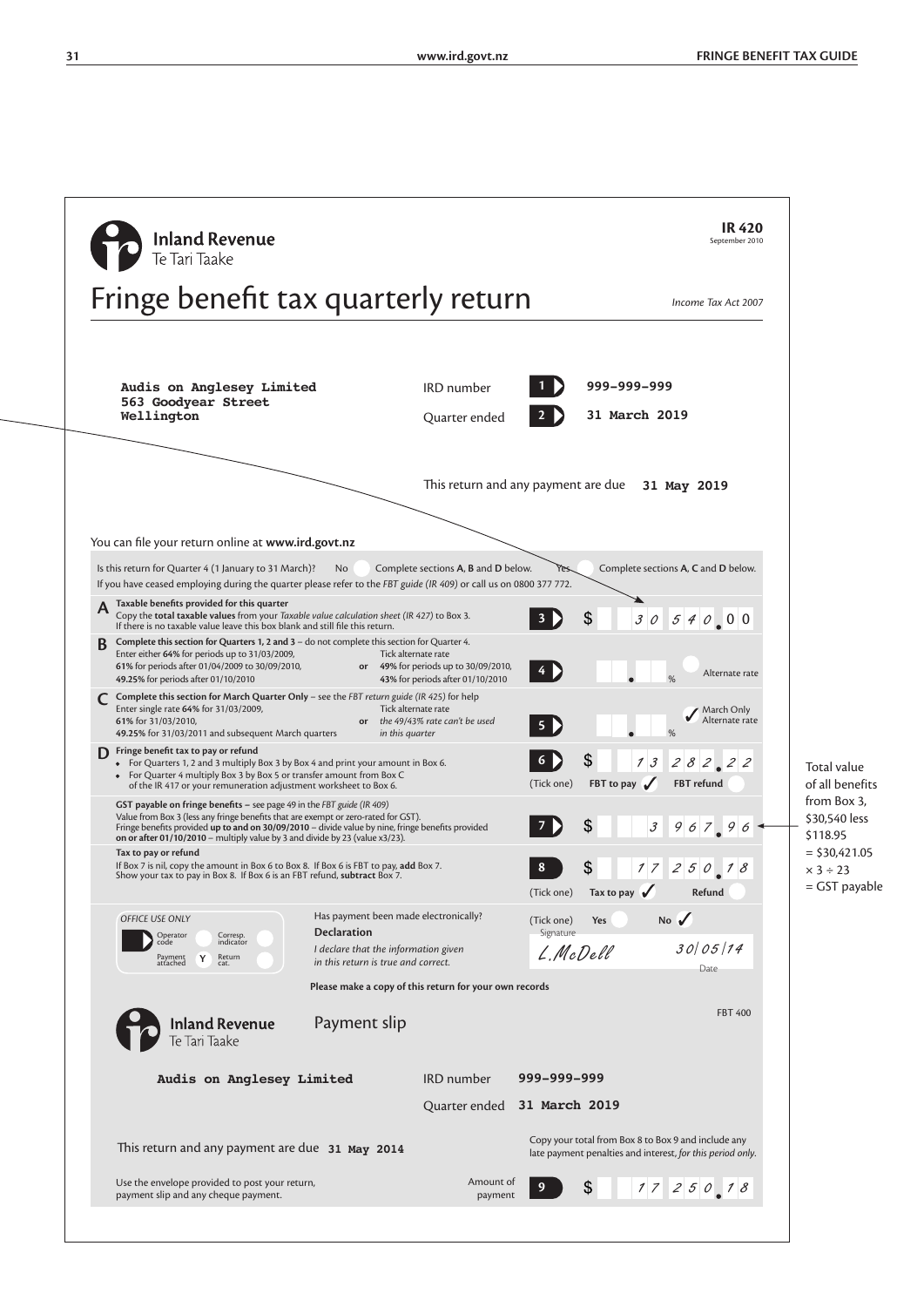**31 www.ird.govt.nz FRINGE BENEFIT TAX GUIDE**

| <b>Inland Revenue</b>                                                                                                                                                                                                                                                                                                                                |                                                                                                 |                       |                        | <b>IR 420</b><br>September 2010                                                                                   |                                          |
|------------------------------------------------------------------------------------------------------------------------------------------------------------------------------------------------------------------------------------------------------------------------------------------------------------------------------------------------------|-------------------------------------------------------------------------------------------------|-----------------------|------------------------|-------------------------------------------------------------------------------------------------------------------|------------------------------------------|
| Te Tari Taake                                                                                                                                                                                                                                                                                                                                        |                                                                                                 |                       |                        |                                                                                                                   |                                          |
| Fringe benefit tax quarterly return                                                                                                                                                                                                                                                                                                                  |                                                                                                 |                       |                        | Income Tax Act 2007                                                                                               |                                          |
|                                                                                                                                                                                                                                                                                                                                                      |                                                                                                 |                       |                        |                                                                                                                   |                                          |
| Audis on Anglesey Limited<br>563 Goodyear Street                                                                                                                                                                                                                                                                                                     | <b>IRD</b> number                                                                               |                       | 999-999-999            |                                                                                                                   |                                          |
| Wellington                                                                                                                                                                                                                                                                                                                                           | Quarter ended                                                                                   |                       | 31 March 2019          |                                                                                                                   |                                          |
|                                                                                                                                                                                                                                                                                                                                                      | This return and any payment are due 31 May 2019                                                 |                       |                        |                                                                                                                   |                                          |
| You can file your return online at www.ird.govt.nz                                                                                                                                                                                                                                                                                                   |                                                                                                 |                       |                        |                                                                                                                   |                                          |
| Is this return for Quarter 4 (1 January to 31 March)?<br>No.                                                                                                                                                                                                                                                                                         | Complete sections A, B and D below.                                                             |                       |                        | Complete sections A, C and D below.                                                                               |                                          |
| If you have ceased employing during the quarter please refer to the FBT guide (IR 409) or call us on 0800 377 772.<br>Taxable benefits provided for this quarter                                                                                                                                                                                     |                                                                                                 |                       |                        |                                                                                                                   |                                          |
| Copy the total taxable values from your Taxable value calculation sheet (IR 427) to Box 3.<br>If there is no taxable value leave this box blank and still file this return.                                                                                                                                                                          |                                                                                                 |                       | \$<br>30               | 54000                                                                                                             |                                          |
| Complete this section for Quarters 1, 2 and 3 - do not complete this section for Quarter 4.<br>Enter either 64% for periods up to 31/03/2009,<br>61% for periods after 01/04/2009 to 30/09/2010,<br>49.25% for periods after 01/10/2010                                                                                                              | Tick alternate rate<br>or 49% for periods up to 30/09/2010,<br>43% for periods after 01/10/2010 | 4 D                   |                        | Alternate rate                                                                                                    |                                          |
| Complete this section for March Quarter Only - see the FBT return guide (IR 425) for help<br>Enter single rate 64% for 31/03/2009,<br>61% for 31/03/2010,<br>or<br>49.25% for 31/03/2011 and subsequent March quarters                                                                                                                               | Tick alternate rate<br>the 49/43% rate can't be used<br>in this quarter                         |                       |                        | March Only<br>Alternate rate                                                                                      |                                          |
| Fringe benefit tax to pay or refund<br>D<br>• For Quarters 1, 2 and 3 multiply Box 3 by Box 4 and print your amount in Box 6.<br>• For Quarter 4 multiply Box 3 by Box 5 or transfer amount from Box C<br>of the IR 417 or your remuneration adjustment worksheet to Box 6.                                                                          |                                                                                                 | (Tick one)            | \$<br>13<br>FBT to pay | 282, 22<br>FBT refund                                                                                             | Total value<br>of all benefits           |
| GST payable on fringe benefits - see page 49 in the FBT guide (IR 409)<br>Value from Box 3 (less any fringe benefits that are exempt or zero-rated for GST).<br>Fringe benefits provided up to and on 30/09/2010 - divide value by nine, fringe benefits provided<br>on or after 01/10/2010 – multiply value by 3 and divide by 23 (value $x3/23$ ). |                                                                                                 |                       | \$<br>$\mathcal J$     | 96796                                                                                                             | from Box 3,<br>\$30,540 less<br>\$118.95 |
| Tax to pay or refund<br>If Box 7 is nil, copy the amount in Box 6 to Box 8. If Box 6 is FBT to pay, add Box 7.                                                                                                                                                                                                                                       |                                                                                                 |                       | \$                     | 1725018                                                                                                           | $=$ \$30,421.05<br>$x 3 \div 23$         |
| Show your tax to pay in Box 8. If Box 6 is an FBT refund, subtract Box 7.                                                                                                                                                                                                                                                                            |                                                                                                 | (Tick one)            | Tax to pay $\sqrt{ }$  | Refund                                                                                                            | = GST payable                            |
| <b>OFFICE USE ONLY</b>                                                                                                                                                                                                                                                                                                                               | Has payment been made electronically?                                                           | (Tick one)            | Yes                    | No $\sqrt$                                                                                                        |                                          |
| <b>Declaration</b><br>Corresp.<br>indicator<br>Operator<br>Return<br>Payment<br>attached<br>Y                                                                                                                                                                                                                                                        | I declare that the information given                                                            | Signature<br>L.McDell |                        | 30/05/14                                                                                                          |                                          |
| in this return is true and correct.<br>cat.                                                                                                                                                                                                                                                                                                          | Please make a copy of this return for your own records                                          |                       |                        | Date                                                                                                              |                                          |
| <b>Inland Revenue</b><br>Payment slip<br>Te Tari Taake                                                                                                                                                                                                                                                                                               |                                                                                                 |                       |                        | <b>FBT 400</b>                                                                                                    |                                          |
| Audis on Anglesey Limited                                                                                                                                                                                                                                                                                                                            | <b>IRD</b> number                                                                               | 999–999–999           |                        |                                                                                                                   |                                          |
|                                                                                                                                                                                                                                                                                                                                                      | Quarter ended                                                                                   | 31 March 2019         |                        |                                                                                                                   |                                          |
| This return and any payment are due 31 May 2014                                                                                                                                                                                                                                                                                                      |                                                                                                 |                       |                        | Copy your total from Box 8 to Box 9 and include any<br>late payment penalties and interest, for this period only. |                                          |
| Use the envelope provided to post your return,                                                                                                                                                                                                                                                                                                       | Amount of                                                                                       |                       | \$                     | 1725018                                                                                                           |                                          |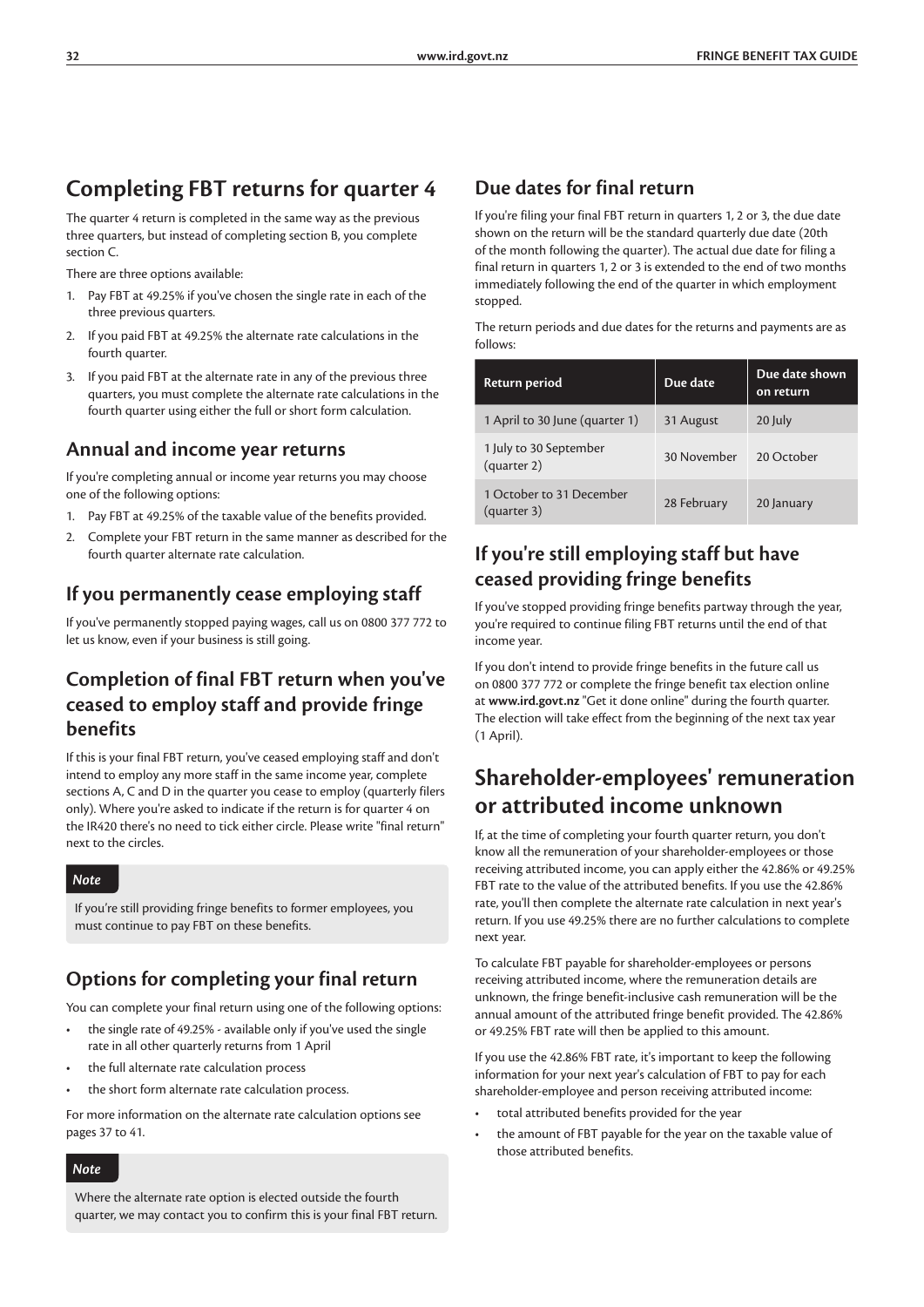### **Completing FBT returns for quarter 4**

The quarter 4 return is completed in the same way as the previous three quarters, but instead of completing section B, you complete section C.

There are three options available:

- 1. Pay FBT at 49.25% if you've chosen the single rate in each of the three previous quarters.
- 2. If you paid FBT at 49.25% the alternate rate calculations in the fourth quarter.
- 3. If you paid FBT at the alternate rate in any of the previous three quarters, you must complete the alternate rate calculations in the fourth quarter using either the full or short form calculation.

#### **Annual and income year returns**

If you're completing annual or income year returns you may choose one of the following options:

- 1. Pay FBT at 49.25% of the taxable value of the benefits provided.
- 2. Complete your FBT return in the same manner as described for the fourth quarter alternate rate calculation.

### **If you permanently cease employing staff**

If you've permanently stopped paying wages, call us on 0800 377 772 to let us know, even if your business is still going.

### **Completion of final FBT return when you've ceased to employ staff and provide fringe benefits**

If this is your final FBT return, you've ceased employing staff and don't intend to employ any more staff in the same income year, complete sections A, C and D in the quarter you cease to employ (quarterly filers only). Where you're asked to indicate if the return is for quarter 4 on the IR420 there's no need to tick either circle. Please write "final return" next to the circles.

#### *Note*

If you're still providing fringe benefits to former employees, you must continue to pay FBT on these benefits.

### **Options for completing your final return**

You can complete your final return using one of the following options:

- the single rate of 49.25% available only if you've used the single rate in all other quarterly returns from 1 April
- the full alternate rate calculation process
- the short form alternate rate calculation process.

For more information on the alternate rate calculation options see pages 37 to 41.

*Note*

Where the alternate rate option is elected outside the fourth quarter, we may contact you to confirm this is your final FBT return.

### **Due dates for final return**

If you're filing your final FBT return in quarters 1, 2 or 3, the due date shown on the return will be the standard quarterly due date (20th of the month following the quarter). The actual due date for filing a final return in quarters 1, 2 or 3 is extended to the end of two months immediately following the end of the quarter in which employment stopped.

The return periods and due dates for the returns and payments are as follows:

| Return period                           | Due date    | Due date shown<br>on return |
|-----------------------------------------|-------------|-----------------------------|
| 1 April to 30 June (quarter 1)          | 31 August   | 20 July                     |
| 1 July to 30 September<br>(quarter 2)   | 30 November | 20 October                  |
| 1 October to 31 December<br>(quarter 3) | 28 February | 20 January                  |

### **If you're still employing staff but have ceased providing fringe benefits**

If you've stopped providing fringe benefits partway through the year, you're required to continue filing FBT returns until the end of that income year.

If you don't intend to provide fringe benefits in the future call us on 0800 377 772 or complete the fringe benefit tax election online at **www.ird.govt.nz** "Get it done online" during the fourth quarter. The election will take effect from the beginning of the next tax year (1 April).

### **Shareholder-employees' remuneration or attributed income unknown**

If, at the time of completing your fourth quarter return, you don't know all the remuneration of your shareholder-employees or those receiving attributed income, you can apply either the 42.86% or 49.25% FBT rate to the value of the attributed benefits. If you use the 42.86% rate, you'll then complete the alternate rate calculation in next year's return. If you use 49.25% there are no further calculations to complete next year.

To calculate FBT payable for shareholder-employees or persons receiving attributed income, where the remuneration details are unknown, the fringe benefit-inclusive cash remuneration will be the annual amount of the attributed fringe benefit provided. The 42.86% or 49.25% FBT rate will then be applied to this amount.

If you use the 42.86% FBT rate, it's important to keep the following information for your next year's calculation of FBT to pay for each shareholder-employee and person receiving attributed income:

- total attributed benefits provided for the year
- the amount of FBT payable for the year on the taxable value of those attributed benefits.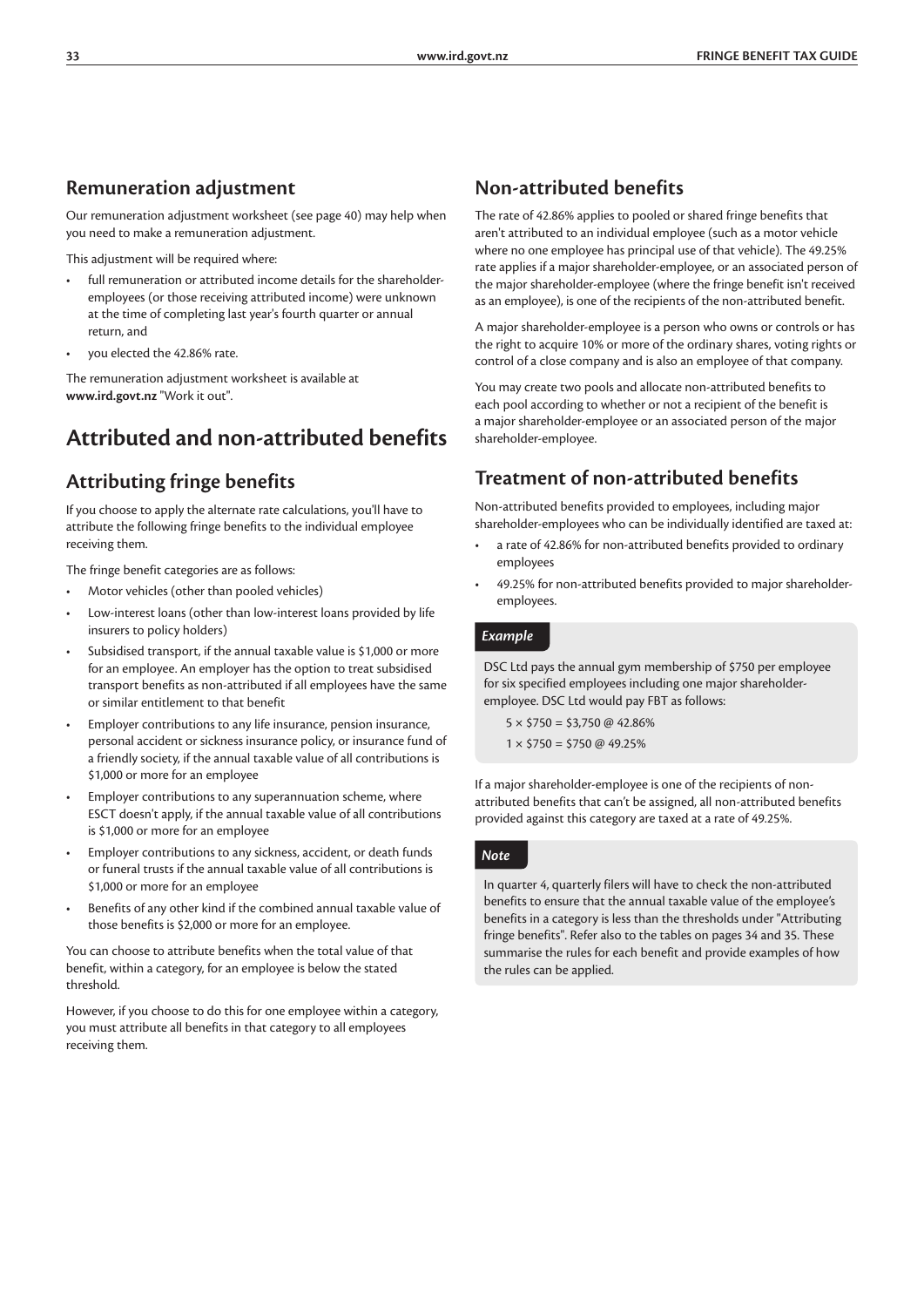#### **Remuneration adjustment**

Our remuneration adjustment worksheet (see page 40) may help when you need to make a remuneration adjustment.

This adjustment will be required where:

- full remuneration or attributed income details for the shareholderemployees (or those receiving attributed income) were unknown at the time of completing last year's fourth quarter or annual return, and
- you elected the 42.86% rate.

The remuneration adjustment worksheet is available at **www.ird.govt.nz** "Work it out".

### **Attributed and non-attributed benefits**

### **Attributing fringe benefits**

If you choose to apply the alternate rate calculations, you'll have to attribute the following fringe benefits to the individual employee receiving them.

The fringe benefit categories are as follows:

- Motor vehicles (other than pooled vehicles)
- Low-interest loans (other than low-interest loans provided by life insurers to policy holders)
- Subsidised transport, if the annual taxable value is \$1,000 or more for an employee. An employer has the option to treat subsidised transport benefits as non-attributed if all employees have the same or similar entitlement to that benefit
- Employer contributions to any life insurance, pension insurance, personal accident or sickness insurance policy, or insurance fund of a friendly society, if the annual taxable value of all contributions is \$1,000 or more for an employee
- Employer contributions to any superannuation scheme, where ESCT doesn't apply, if the annual taxable value of all contributions is \$1,000 or more for an employee
- Employer contributions to any sickness, accident, or death funds or funeral trusts if the annual taxable value of all contributions is \$1,000 or more for an employee
- Benefits of any other kind if the combined annual taxable value of those benefits is \$2,000 or more for an employee.

You can choose to attribute benefits when the total value of that benefit, within a category, for an employee is below the stated threshold.

However, if you choose to do this for one employee within a category, you must attribute all benefits in that category to all employees receiving them.

### **Non-attributed benefits**

The rate of 42.86% applies to pooled or shared fringe benefits that aren't attributed to an individual employee (such as a motor vehicle where no one employee has principal use of that vehicle). The 49.25% rate applies if a major shareholder-employee, or an associated person of the major shareholder-employee (where the fringe benefit isn't received as an employee), is one of the recipients of the non-attributed benefit.

A major shareholder-employee is a person who owns or controls or has the right to acquire 10% or more of the ordinary shares, voting rights or control of a close company and is also an employee of that company.

You may create two pools and allocate non-attributed benefits to each pool according to whether or not a recipient of the benefit is a major shareholder-employee or an associated person of the major shareholder-employee.

### **Treatment of non-attributed benefits**

Non-attributed benefits provided to employees, including major shareholder-employees who can be individually identified are taxed at:

- a rate of 42.86% for non-attributed benefits provided to ordinary employees
- 49.25% for non-attributed benefits provided to major shareholderemployees.

#### *Example*

DSC Ltd pays the annual gym membership of \$750 per employee for six specified employees including one major shareholderemployee. DSC Ltd would pay FBT as follows:

 $5 \times $750 = $3,750 \text{ @ } 42.86\%$  $1 \times $750 = $750 \text{ @ } 49.25\%$ 

If a major shareholder-employee is one of the recipients of nonattributed benefits that can't be assigned, all non-attributed benefits provided against this category are taxed at a rate of 49.25%.

#### *Note*

In quarter 4, quarterly filers will have to check the non-attributed benefits to ensure that the annual taxable value of the employee's benefits in a category is less than the thresholds under "Attributing fringe benefits". Refer also to the tables on pages 34 and 35. These summarise the rules for each benefit and provide examples of how the rules can be applied.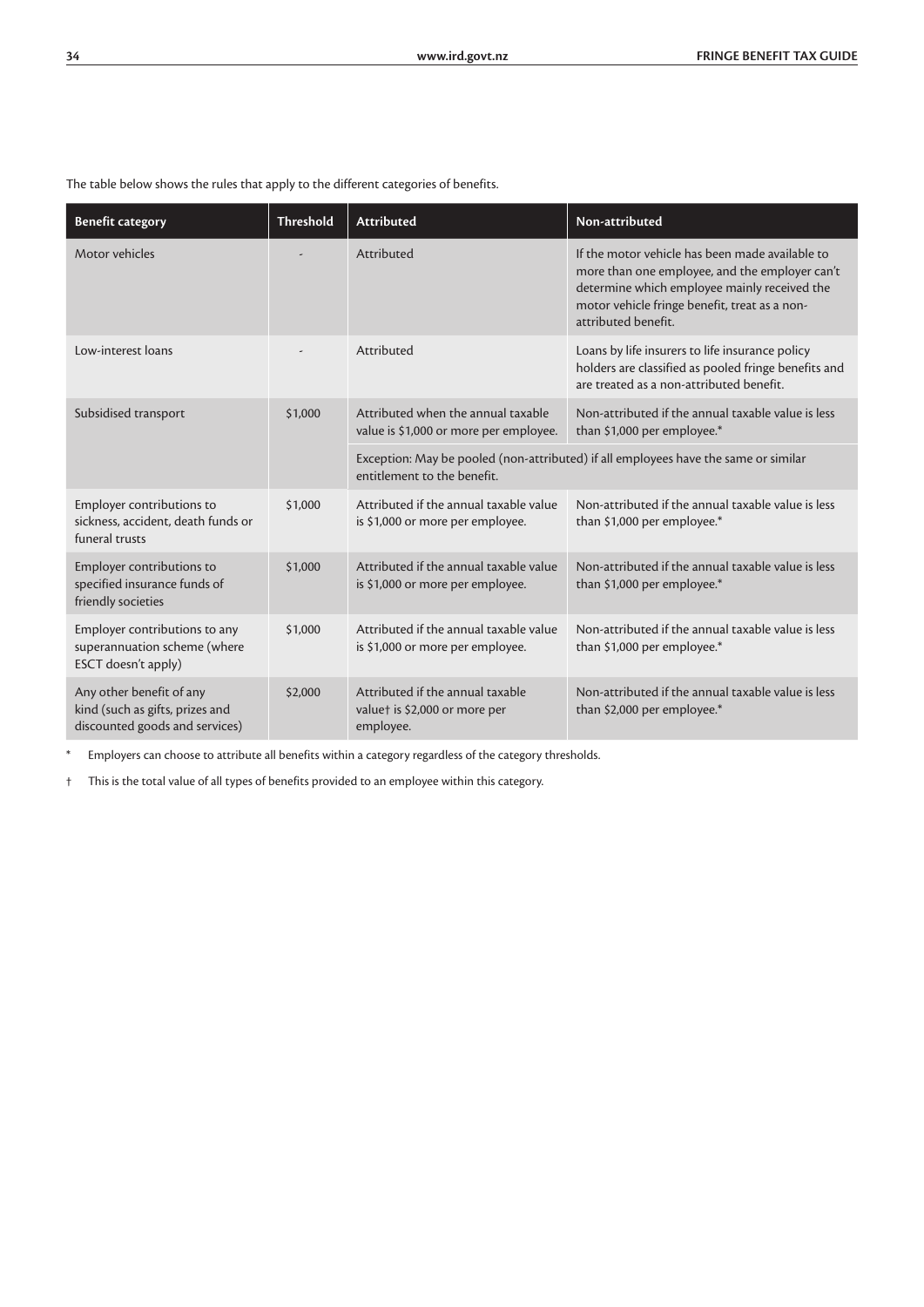The table below shows the rules that apply to the different categories of benefits.

| <b>Benefit category</b>                                                                       | <b>Threshold</b> | <b>Attributed</b>                                                              | Non-attributed                                                                                                                                                                                                            |  |  |  |  |  |
|-----------------------------------------------------------------------------------------------|------------------|--------------------------------------------------------------------------------|---------------------------------------------------------------------------------------------------------------------------------------------------------------------------------------------------------------------------|--|--|--|--|--|
| Motor vehicles                                                                                |                  | Attributed                                                                     | If the motor vehicle has been made available to<br>more than one employee, and the employer can't<br>determine which employee mainly received the<br>motor vehicle fringe benefit, treat as a non-<br>attributed benefit. |  |  |  |  |  |
| Low-interest loans                                                                            |                  | Attributed                                                                     | Loans by life insurers to life insurance policy<br>holders are classified as pooled fringe benefits and<br>are treated as a non-attributed benefit.                                                                       |  |  |  |  |  |
| Subsidised transport<br>\$1,000                                                               |                  | Attributed when the annual taxable<br>value is \$1,000 or more per employee.   | Non-attributed if the annual taxable value is less<br>than \$1,000 per employee.*                                                                                                                                         |  |  |  |  |  |
|                                                                                               |                  | entitlement to the benefit.                                                    | Exception: May be pooled (non-attributed) if all employees have the same or similar                                                                                                                                       |  |  |  |  |  |
| Employer contributions to<br>sickness, accident, death funds or<br>funeral trusts             | \$1,000          | Attributed if the annual taxable value<br>is \$1,000 or more per employee.     | Non-attributed if the annual taxable value is less<br>than \$1,000 per employee.*                                                                                                                                         |  |  |  |  |  |
| Employer contributions to<br>specified insurance funds of<br>friendly societies               | \$1,000          | Attributed if the annual taxable value<br>is \$1,000 or more per employee.     | Non-attributed if the annual taxable value is less<br>than \$1,000 per employee.*                                                                                                                                         |  |  |  |  |  |
| Employer contributions to any<br>superannuation scheme (where<br>ESCT doesn't apply)          | \$1,000          | Attributed if the annual taxable value<br>is \$1,000 or more per employee.     | Non-attributed if the annual taxable value is less<br>than \$1,000 per employee.*                                                                                                                                         |  |  |  |  |  |
| Any other benefit of any<br>kind (such as gifts, prizes and<br>discounted goods and services) | \$2,000          | Attributed if the annual taxable<br>valuet is \$2,000 or more per<br>employee. | Non-attributed if the annual taxable value is less<br>than \$2,000 per employee.*                                                                                                                                         |  |  |  |  |  |

\* Employers can choose to attribute all benefits within a category regardless of the category thresholds.

† This is the total value of all types of benefits provided to an employee within this category.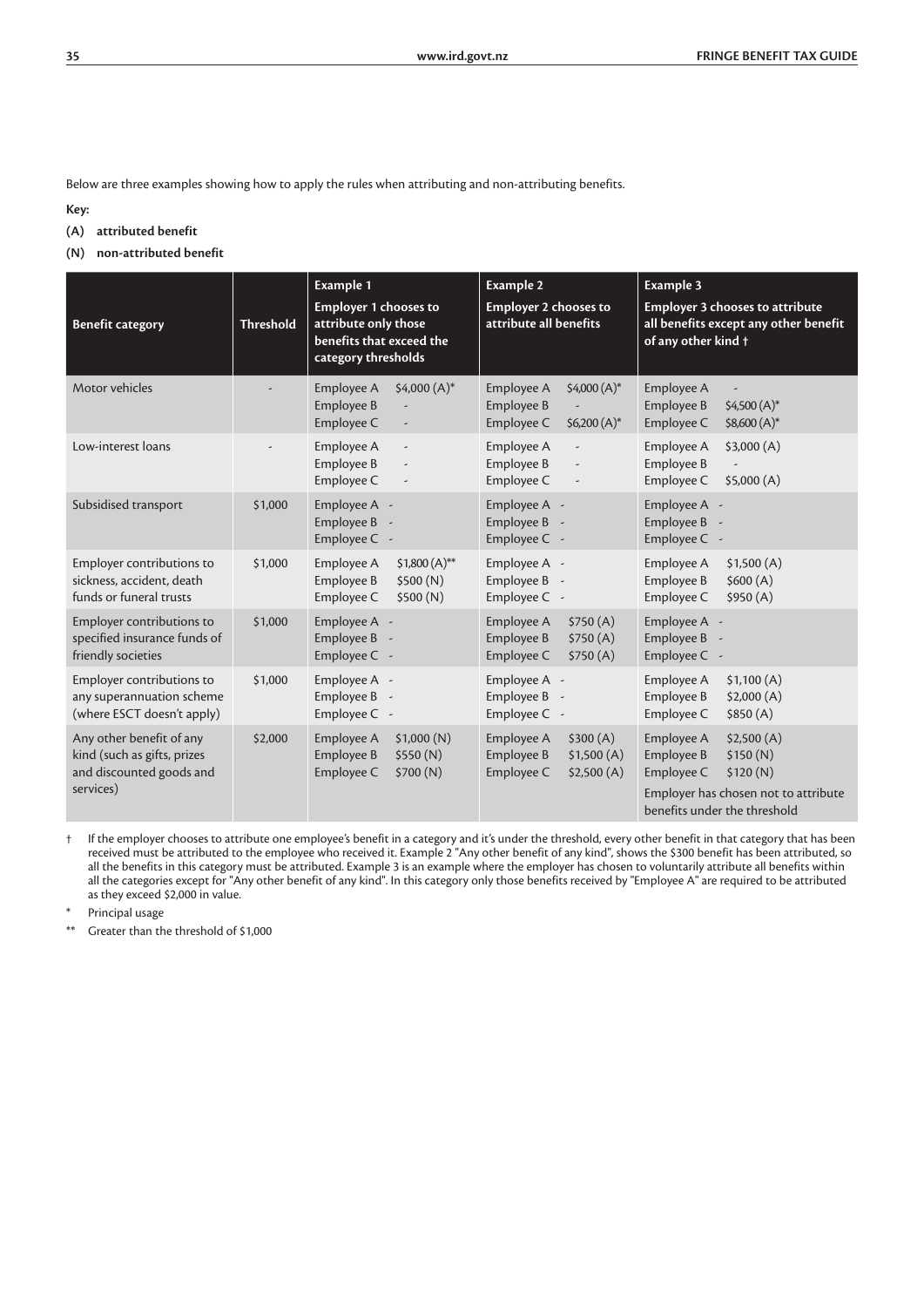Below are three examples showing how to apply the rules when attributing and non-attributing benefits.

**Key:**

- **(A) attributed benefit**
- **(N) non-attributed benefit**

| <b>Benefit category</b>                                                                          | <b>Threshold</b> | <b>Example 1</b><br><b>Employer 1 chooses to</b><br>attribute only those<br>benefits that exceed the<br>category thresholds | <b>Example 2</b><br><b>Employer 2 chooses to</b><br>attribute all benefits                     | Example 3<br><b>Employer 3 chooses to attribute</b><br>all benefits except any other benefit<br>of any other kind +                                  |
|--------------------------------------------------------------------------------------------------|------------------|-----------------------------------------------------------------------------------------------------------------------------|------------------------------------------------------------------------------------------------|------------------------------------------------------------------------------------------------------------------------------------------------------|
| Motor vehicles                                                                                   |                  | $$4,000(A)*$<br>Employee A<br>Employee B<br>Employee C                                                                      | $$4,000(A)*$<br>Employee A<br>Employee B<br>$$6,200(A)*$<br>Employee C                         | Employee A<br>Employee B<br>$$4,500(A)*$<br>\$8,600 (A)*<br>Employee C                                                                               |
| Low-interest loans                                                                               |                  | Employee A<br>$\overline{a}$<br>Employee B<br>$\overline{\phantom{a}}$<br>Employee C                                        | Employee A<br>$\overline{\phantom{a}}$<br>Employee B<br>$\overline{\phantom{a}}$<br>Employee C | \$3,000(A)<br>Employee A<br>Employee B<br>Employee C<br>\$5,000(A)                                                                                   |
| Subsidised transport                                                                             | \$1,000          | Employee A -<br>Employee B<br>$\sim$<br>Employee C -                                                                        | Employee A -<br>Employee B<br>$\overline{\phantom{a}}$<br>Employee C -                         | Employee A -<br>Employee B<br>Employee C -                                                                                                           |
| Employer contributions to<br>sickness, accident, death<br>funds or funeral trusts                | \$1,000          | Employee A<br>$$1,800(A)*$<br>Employee B<br>\$500(N)<br>Employee C<br>\$500(N)                                              | Employee A -<br>Employee B<br>$\overline{\phantom{a}}$<br>Employee C -                         | Employee A<br>\$1,500(A)<br>Employee B<br>\$600(A)<br>Employee C<br>\$950(A)                                                                         |
| Employer contributions to<br>specified insurance funds of<br>friendly societies                  | \$1,000          | Employee A -<br>Employee B -<br>Employee C -                                                                                | Employee A<br>\$750(A)<br>Employee B<br>\$750(A)<br>Employee C<br>\$750(A)                     | Employee A -<br>Employee B<br>Employee C -                                                                                                           |
| Employer contributions to<br>any superannuation scheme<br>(where ESCT doesn't apply)             | \$1,000          | Employee A -<br>Employee B -<br>Employee C -                                                                                | Employee A -<br>Employee B<br>$\sim$<br>Employee C -                                           | Employee A<br>\$1,100(A)<br>Employee B<br>\$2,000(A)<br>\$850(A)<br>Employee C                                                                       |
| Any other benefit of any<br>kind (such as gifts, prizes<br>and discounted goods and<br>services) | \$2,000          | Employee A<br>\$1,000(N)<br>Employee B<br>\$550(N)<br>Employee C<br>\$700(N)                                                | Employee A<br>\$300(A)<br>Employee B<br>\$1,500(A)<br>Employee C<br>\$2,500(A)                 | Employee A<br>\$2,500(A)<br>Employee B<br>\$150(N)<br>Employee C<br>\$120(N)<br>Employer has chosen not to attribute<br>benefits under the threshold |

† If the employer chooses to attribute one employee's benefit in a category and it's under the threshold, every other benefit in that category that has been received must be attributed to the employee who received it. Example 2 "Any other benefit of any kind", shows the \$300 benefit has been attributed, so all the benefits in this category must be attributed. Example 3 is an example where the employer has chosen to voluntarily attribute all benefits within all the categories except for "Any other benefit of any kind". In this category only those benefits received by "Employee A" are required to be attributed as they exceed \$2,000 in value.

Principal usage

\*\* Greater than the threshold of \$1,000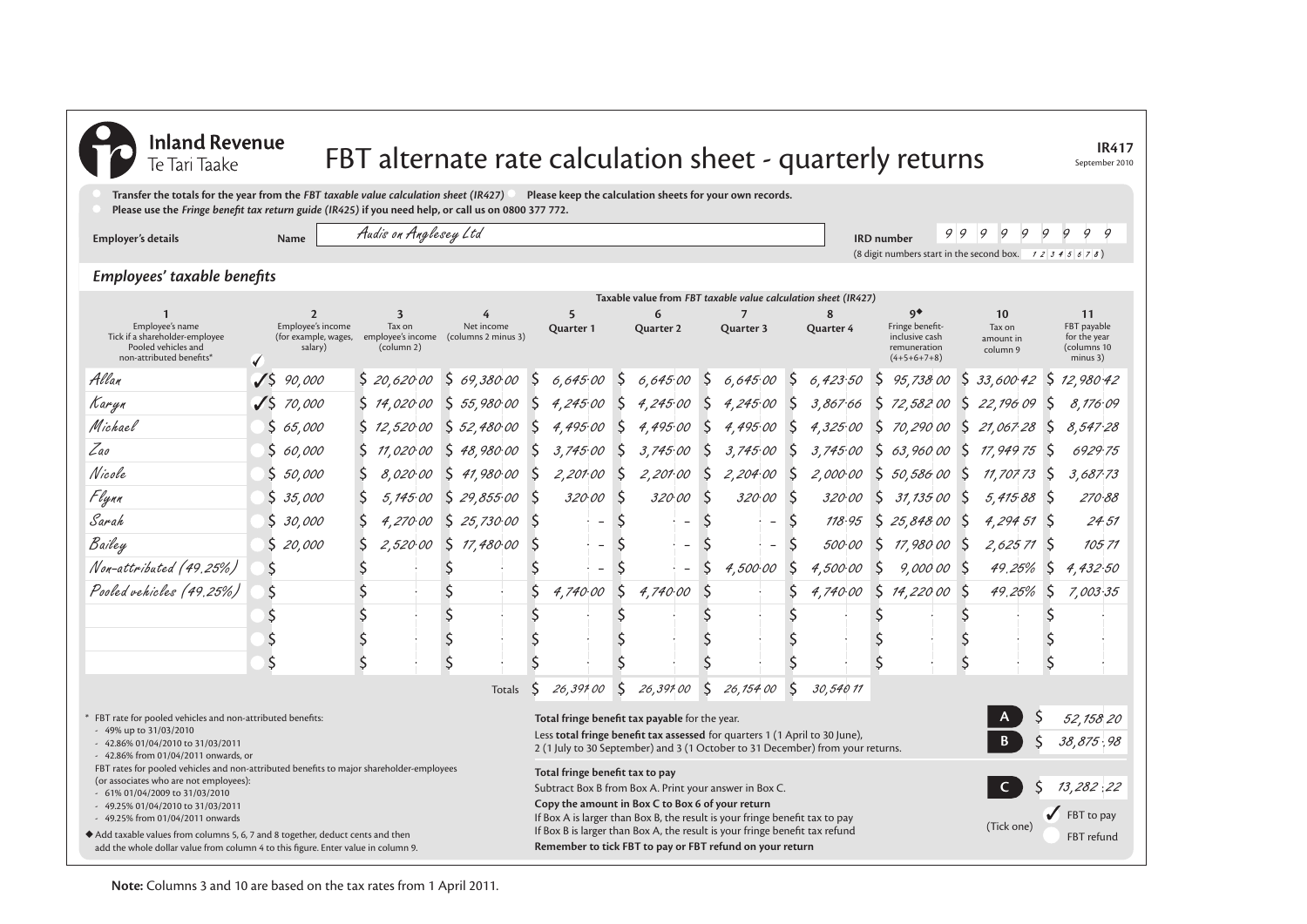| <b>Inland Revenue</b><br>Te Tari Taake                                                                                                                                                                    |                    |                                                                                                              |    |                                                 |              |             |              |                                 |              |                                                                                                                                                                                                                        |              |                             |              | FBT alternate rate calculation sheet - quarterly returns                       |               |                                                                                                                                     |                |                                       |              |              | September 2010                                               | <b>IR417</b> |
|-----------------------------------------------------------------------------------------------------------------------------------------------------------------------------------------------------------|--------------------|--------------------------------------------------------------------------------------------------------------|----|-------------------------------------------------|--------------|-------------|--------------|---------------------------------|--------------|------------------------------------------------------------------------------------------------------------------------------------------------------------------------------------------------------------------------|--------------|-----------------------------|--------------|--------------------------------------------------------------------------------|---------------|-------------------------------------------------------------------------------------------------------------------------------------|----------------|---------------------------------------|--------------|--------------|--------------------------------------------------------------|--------------|
| Transfer the totals for the year from the FBT taxable value calculation sheet (IR427)<br>Please use the Fringe benefit tax return guide (IR425) if you need help, or call us on 0800 377 772.             |                    |                                                                                                              |    |                                                 |              |             |              |                                 |              | Please keep the calculation sheets for your own records.                                                                                                                                                               |              |                             |              |                                                                                |               |                                                                                                                                     |                |                                       |              |              |                                                              |              |
| Employer's details                                                                                                                                                                                        |                    | <b>Name</b>                                                                                                  |    | Audis on Anglesey Ltd                           |              |             |              |                                 |              |                                                                                                                                                                                                                        |              |                             |              |                                                                                |               | 9<br><b>IRD</b> number<br>(8 digit numbers start in the second box. $\begin{array}{cc} 7 & 2 & 3 & 4 & 5 & 6 & 7 & 8 \end{array}$ ) | $\overline{Q}$ | 9<br>9                                | 9            | 9            | $\mathcal Q$<br>9                                            | 9            |
| Employees' taxable benefits                                                                                                                                                                               |                    |                                                                                                              |    |                                                 |              |             |              |                                 |              |                                                                                                                                                                                                                        |              |                             |              |                                                                                |               |                                                                                                                                     |                |                                       |              |              |                                                              |              |
|                                                                                                                                                                                                           |                    |                                                                                                              |    |                                                 |              |             |              |                                 |              |                                                                                                                                                                                                                        |              |                             |              | Taxable value from FBT taxable value calculation sheet (IR427)                 |               |                                                                                                                                     |                |                                       |              |              |                                                              |              |
| Employee's name<br>Tick if a shareholder-employee<br>Pooled vehicles and<br>non-attributed benefits*                                                                                                      | √                  | $\overline{2}$<br>Employee's income<br>(for example, wages, employee's income (columns 2 minus 3)<br>salary) |    | $\overline{\mathbf{3}}$<br>Tax on<br>(column 2) |              | Net income  |              | 5<br>Quarter 1                  |              | 6<br>Quarter 2                                                                                                                                                                                                         |              | $\overline{7}$<br>Quarter 3 |              | 8<br>Quarter 4                                                                 |               | $9^*$<br>Fringe benefit-<br>inclusive cash<br>remuneration<br>$(4+5+6+7+8)$                                                         |                | 10<br>Tax on<br>amount in<br>column 9 |              |              | 11<br>FBT payable<br>for the year<br>(columns 10<br>minus 3) |              |
| Allan                                                                                                                                                                                                     | $\sqrt{5}$         | 90,000                                                                                                       |    | \$20,62000                                      |              | 569,38000   | <sub>S</sub> | 6,645.00                        | <sub>S</sub> | 6,645.00                                                                                                                                                                                                               | S            | 6,645.00                    | S            | 6,423.50                                                                       | <sup>\$</sup> | 95,738 00                                                                                                                           | S              | 33,600 42                             |              | S            | 12,980.42                                                    |              |
| Karyn                                                                                                                                                                                                     | J S                | 70,000                                                                                                       |    | 5, 14, 020, 00                                  |              | 5 55,98000  | S            | 4,245.00                        |              | 4,245.00                                                                                                                                                                                                               |              | 4,245.00                    |              | 3,867.66                                                                       | \$            | 72,58200                                                                                                                            | \$.            | 22,196 09                             |              | $\zeta$      | 8,176.09                                                     |              |
| Michael                                                                                                                                                                                                   | S                  | 65,000                                                                                                       |    | \$12,520.00                                     |              | 552,480.00  | -S           | 4,495.00                        | -S           | 4,495.00                                                                                                                                                                                                               |              | 4,495.00                    |              | 4.325.00                                                                       | Ś.            | 70,29000                                                                                                                            | S.             | 21,067.28                             |              | -S           | 8,547.28                                                     |              |
| Zao                                                                                                                                                                                                       | S                  | 60,000                                                                                                       | S  | 11,020.00                                       | <sub>S</sub> | 48,980.00   | <sub>S</sub> | 3,745.00                        | <sub>S</sub> | 3,745.00                                                                                                                                                                                                               | S            | 3,745.00                    | <sub>S</sub> | 3,745.00                                                                       | \$            | 63,96000                                                                                                                            | S              | 17,949 75                             |              | <sub>S</sub> | 6929.75                                                      |              |
| Nicole                                                                                                                                                                                                    |                    | 50,000                                                                                                       | Ŝ  | 8.020.00                                        | $\zeta$      | 41,980.00   | -S           | 2,201.00                        | -Ś           | 2,201.00                                                                                                                                                                                                               | $\zeta$      | 2,204.00                    |              | 2,000.00                                                                       | \$            | 50,586.00                                                                                                                           | S              | 11,707 73                             |              | <sub>S</sub> | 3,687.73                                                     |              |
| Flynn                                                                                                                                                                                                     | S                  | 35,000                                                                                                       | Ŝ  | 5.145.00                                        | $\zeta$      | 29,855.00   | -S           | 320.00                          | -S           | 320.00                                                                                                                                                                                                                 | <sub>S</sub> | 320.00                      |              | 320.00                                                                         | Ś             | 31,135,00                                                                                                                           | <sup>S</sup>   |                                       | $5,41588$ \$ |              | 270.88                                                       |              |
| Sarah                                                                                                                                                                                                     |                    | 30,000                                                                                                       | Ŝ  | 4,270.00                                        |              | \$25,730.00 | <sub>S</sub> | $\overline{\phantom{a}}$        | S            | $\overline{\phantom{a}}$                                                                                                                                                                                               | S            | $\overline{\phantom{a}}$    |              | 118.95                                                                         | <sup>S</sup>  | 25,848.00                                                                                                                           | -S             |                                       | $4,29451$ \$ |              | 24.51                                                        |              |
| Bailey                                                                                                                                                                                                    | S                  | 20,000                                                                                                       |    | 2,520.00                                        |              | \$17,48000  | <sub>S</sub> | $\overline{\phantom{a}}$        | -S           | $\overline{\phantom{a}}$                                                                                                                                                                                               |              | $\overline{\phantom{0}}$    |              | <i>500.00</i>                                                                  | <sup>S</sup>  | 17,980 00                                                                                                                           | <b>S</b>       |                                       | $2,62571$ \$ |              | 10571                                                        |              |
| Non-attributed (49.25%)                                                                                                                                                                                   | \$.                |                                                                                                              |    |                                                 |              |             |              | $\overline{a}$                  |              | $\overline{\phantom{a}}$                                                                                                                                                                                               |              | 4,500.00                    |              | 4.500.00                                                                       | \$            | 9,000 00 \$                                                                                                                         |                |                                       | 49.25%       | -\$          | 4,432.50                                                     |              |
| Pooled vehicles (49.25%)                                                                                                                                                                                  | \$                 |                                                                                                              | \$ |                                                 |              |             |              | 4.740.00                        |              | 4.740.00                                                                                                                                                                                                               |              |                             |              | 4,740.00                                                                       | \$            | 14,22000 S                                                                                                                          |                |                                       | 49,25%       | <sup>S</sup> | 7,003.35                                                     |              |
|                                                                                                                                                                                                           |                    |                                                                                                              | \$ |                                                 |              |             |              |                                 |              |                                                                                                                                                                                                                        |              |                             |              |                                                                                |               |                                                                                                                                     |                |                                       |              |              |                                                              |              |
|                                                                                                                                                                                                           | \$                 |                                                                                                              | \$ |                                                 | \$           |             |              |                                 |              |                                                                                                                                                                                                                        |              |                             |              |                                                                                |               |                                                                                                                                     |                |                                       |              |              |                                                              |              |
|                                                                                                                                                                                                           | $\mathsf{\hat{S}}$ |                                                                                                              | Ś  |                                                 | $\varsigma$  |             |              |                                 |              |                                                                                                                                                                                                                        |              |                             |              |                                                                                |               |                                                                                                                                     | ς              |                                       |              |              |                                                              |              |
|                                                                                                                                                                                                           |                    |                                                                                                              |    |                                                 |              | Totals      |              | 26,39100                        | S            | 26,39100                                                                                                                                                                                                               | S            | 26,154 00                   |              | 30,540 11                                                                      |               |                                                                                                                                     |                |                                       |              |              |                                                              |              |
| FBT rate for pooled vehicles and non-attributed benefits:<br>- 49% up to 31/03/2010<br>- 42.86% 01/04/2010 to 31/03/2011<br>- 42.86% from 01/04/2011 onwards, or                                          |                    |                                                                                                              |    |                                                 |              |             |              |                                 |              | Total fringe benefit tax payable for the year.<br>Less total fringe benefit tax assessed for quarters 1 (1 April to 30 June),                                                                                          |              |                             |              | 2 (1 July to 30 September) and 3 (1 October to 31 December) from your returns. |               |                                                                                                                                     |                |                                       |              |              | 52,158 20<br>38,875,98                                       |              |
| FBT rates for pooled vehicles and non-attributed benefits to major shareholder-employees<br>(or associates who are not employees):<br>- 61% 01/04/2009 to 31/03/2010<br>- 49.25% 01/04/2010 to 31/03/2011 |                    |                                                                                                              |    |                                                 |              |             |              | Total fringe benefit tax to pay |              | Subtract Box B from Box A. Print your answer in Box C.<br>Copy the amount in Box C to Box 6 of your return                                                                                                             |              |                             |              |                                                                                |               |                                                                                                                                     |                |                                       |              |              | 13,282:22                                                    |              |
| - 49.25% from 01/04/2011 onwards<br>Add taxable values from columns 5, 6, 7 and 8 together, deduct cents and then<br>add the whole dollar value from column 4 to this figure. Enter value in column 9.    |                    |                                                                                                              |    |                                                 |              |             |              |                                 |              | If Box A is larger than Box B, the result is your fringe benefit tax to pay<br>If Box B is larger than Box A, the result is your fringe benefit tax refund<br>Remember to tick FBT to pay or FBT refund on your return |              |                             |              |                                                                                |               |                                                                                                                                     |                | (Tick one)                            |              |              | FBT to pay<br>FBT refund                                     |              |

**Note:** Columns 3 and 10 are based on the tax rates from 1 April 2011.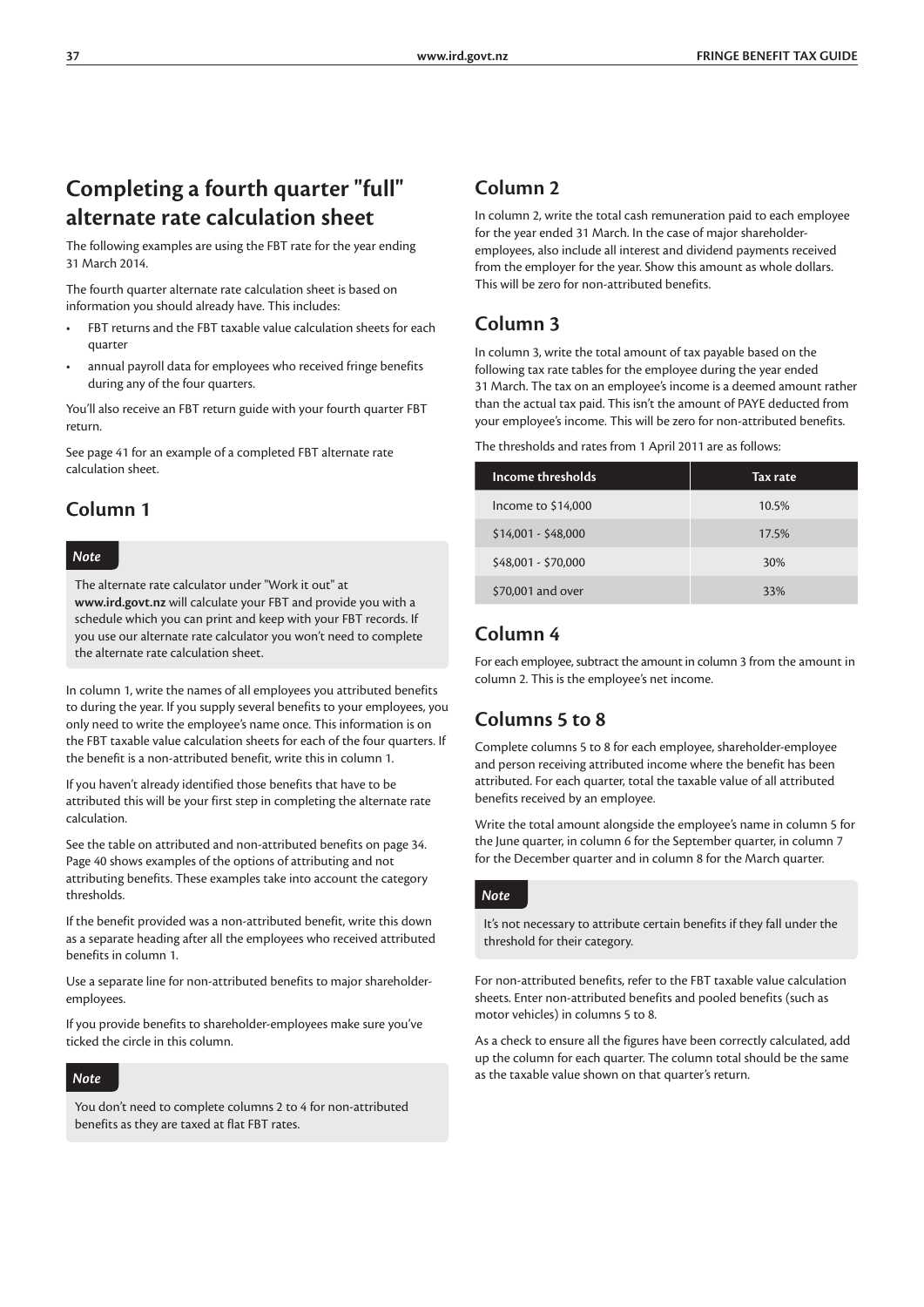### **Completing a fourth quarter "full" alternate rate calculation sheet**

The following examples are using the FBT rate for the year ending 31 March 2014.

The fourth quarter alternate rate calculation sheet is based on information you should already have. This includes:

- FBT returns and the FBT taxable value calculation sheets for each quarter
- annual payroll data for employees who received fringe benefits during any of the four quarters.

You'll also receive an FBT return guide with your fourth quarter FBT return.

See page 41 for an example of a completed FBT alternate rate calculation sheet.

### **Column 1**

#### *Note*

The alternate rate calculator under "Work it out" at **www.ird.govt.nz** will calculate your FBT and provide you with a schedule which you can print and keep with your FBT records. If you use our alternate rate calculator you won't need to complete the alternate rate calculation sheet.

In column 1, write the names of all employees you attributed benefits to during the year. If you supply several benefits to your employees, you only need to write the employee's name once. This information is on the FBT taxable value calculation sheets for each of the four quarters. If the benefit is a non-attributed benefit, write this in column 1.

If you haven't already identified those benefits that have to be attributed this will be your first step in completing the alternate rate calculation.

See the table on attributed and non-attributed benefits on page 34. Page 40 shows examples of the options of attributing and not attributing benefits. These examples take into account the category thresholds.

If the benefit provided was a non-attributed benefit, write this down as a separate heading after all the employees who received attributed benefits in column 1.

Use a separate line for non-attributed benefits to major shareholderemployees.

If you provide benefits to shareholder-employees make sure you've ticked the circle in this column.

#### *Note*

You don't need to complete columns 2 to 4 for non-attributed benefits as they are taxed at flat FBT rates.

### **Column 2**

In column 2, write the total cash remuneration paid to each employee for the year ended 31 March. In the case of major shareholderemployees, also include all interest and dividend payments received from the employer for the year. Show this amount as whole dollars. This will be zero for non-attributed benefits.

### **Column 3**

In column 3, write the total amount of tax payable based on the following tax rate tables for the employee during the year ended 31 March. The tax on an employee's income is a deemed amount rather than the actual tax paid. This isn't the amount of PAYE deducted from your employee's income. This will be zero for non-attributed benefits.

| Income thresholds   | Tax rate |  |  |  |  |  |  |
|---------------------|----------|--|--|--|--|--|--|
| Income to \$14,000  | 10.5%    |  |  |  |  |  |  |
| $$14,001 - $48,000$ | 17.5%    |  |  |  |  |  |  |
| \$48,001 - \$70,000 | 30%      |  |  |  |  |  |  |
| \$70,001 and over   | 33%      |  |  |  |  |  |  |

#### **Column 4**

For each employee, subtract the amount in column 3 from the amount in column 2. This is the employee's net income.

### **Columns 5 to 8**

Complete columns 5 to 8 for each employee, shareholder-employee and person receiving attributed income where the benefit has been attributed. For each quarter, total the taxable value of all attributed benefits received by an employee.

Write the total amount alongside the employee's name in column 5 for the June quarter, in column 6 for the September quarter, in column 7 for the December quarter and in column 8 for the March quarter.

#### *Note*

It's not necessary to attribute certain benefits if they fall under the threshold for their category.

For non-attributed benefits, refer to the FBT taxable value calculation sheets. Enter non-attributed benefits and pooled benefits (such as motor vehicles) in columns 5 to 8.

As a check to ensure all the figures have been correctly calculated, add up the column for each quarter. The column total should be the same as the taxable value shown on that quarter's return.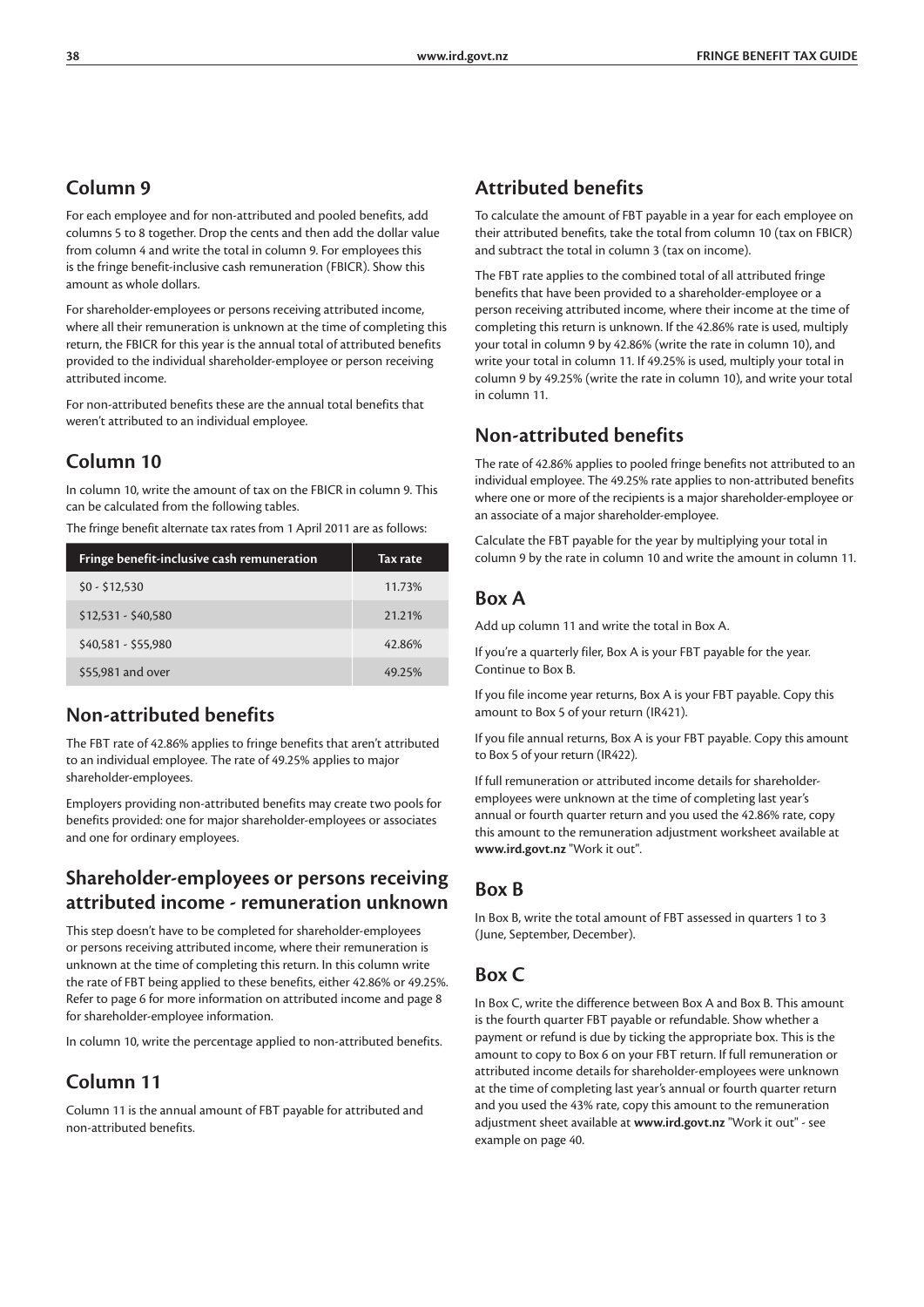### **Column 9**

For each employee and for non-attributed and pooled benefits, add columns 5 to 8 together. Drop the cents and then add the dollar value from column 4 and write the total in column 9. For employees this is the fringe benefit-inclusive cash remuneration (FBICR). Show this amount as whole dollars.

For shareholder-employees or persons receiving attributed income, where all their remuneration is unknown at the time of completing this return, the FBICR for this year is the annual total of attributed benefits provided to the individual shareholder-employee or person receiving attributed income.

For non-attributed benefits these are the annual total benefits that weren't attributed to an individual employee.

### **Column 10**

In column 10, write the amount of tax on the FBICR in column 9. This can be calculated from the following tables.

The fringe benefit alternate tax rates from 1 April 2011 are as follows:

| Fringe benefit-inclusive cash remuneration | Tax rate |
|--------------------------------------------|----------|
| $$0 - $12,530$                             | 11.73%   |
| $$12,531 - $40,580$                        | 21.21%   |
| \$40,581 - \$55,980                        | 42.86%   |
| \$55,981 and over                          | 49.25%   |

### **Non-attributed benefits**

The FBT rate of 42.86% applies to fringe benefits that aren't attributed to an individual employee. The rate of 49.25% applies to major shareholder-employees.

Employers providing non-attributed benefits may create two pools for benefits provided: one for major shareholder-employees or associates and one for ordinary employees.

### **Shareholder-employees or persons receiving attributed income - remuneration unknown**

This step doesn't have to be completed for shareholder-employees or persons receiving attributed income, where their remuneration is unknown at the time of completing this return. In this column write the rate of FBT being applied to these benefits, either 42.86% or 49.25%. Refer to page 6 for more information on attributed income and page 8 for shareholder-employee information.

In column 10, write the percentage applied to non-attributed benefits.

### **Column 11**

Column 11 is the annual amount of FBT payable for attributed and non-attributed benefits.

### **Attributed benefits**

To calculate the amount of FBT payable in a year for each employee on their attributed benefits, take the total from column 10 (tax on FBICR) and subtract the total in column 3 (tax on income).

The FBT rate applies to the combined total of all attributed fringe benefits that have been provided to a shareholder-employee or a person receiving attributed income, where their income at the time of completing this return is unknown. If the 42.86% rate is used, multiply your total in column 9 by 42.86% (write the rate in column 10), and write your total in column 11. If 49.25% is used, multiply your total in column 9 by 49.25% (write the rate in column 10), and write your total in column 11.

### **Non-attributed benefits**

The rate of 42.86% applies to pooled fringe benefits not attributed to an individual employee. The 49.25% rate applies to non-attributed benefits where one or more of the recipients is a major shareholder-employee or an associate of a major shareholder-employee.

Calculate the FBT payable for the year by multiplying your total in column 9 by the rate in column 10 and write the amount in column 11.

### **Box A**

Add up column 11 and write the total in Box A.

If you're a quarterly filer, Box A is your FBT payable for the year. Continue to Box B.

If you file income year returns, Box A is your FBT payable. Copy this amount to Box 5 of your return (IR421).

If you file annual returns, Box A is your FBT payable. Copy this amount to Box 5 of your return (IR422).

If full remuneration or attributed income details for shareholderemployees were unknown at the time of completing last year's annual or fourth quarter return and you used the 42.86% rate, copy this amount to the remuneration adjustment worksheet available at **www.ird.govt.nz** "Work it out".

### **Box B**

In Box B, write the total amount of FBT assessed in quarters 1 to 3 (June, September, December).

### **Box C**

In Box C, write the difference between Box A and Box B. This amount is the fourth quarter FBT payable or refundable. Show whether a payment or refund is due by ticking the appropriate box. This is the amount to copy to Box 6 on your FBT return. If full remuneration or attributed income details for shareholder-employees were unknown at the time of completing last year's annual or fourth quarter return and you used the 43% rate, copy this amount to the remuneration adjustment sheet available at **www.ird.govt.nz** "Work it out" - see example on page 40.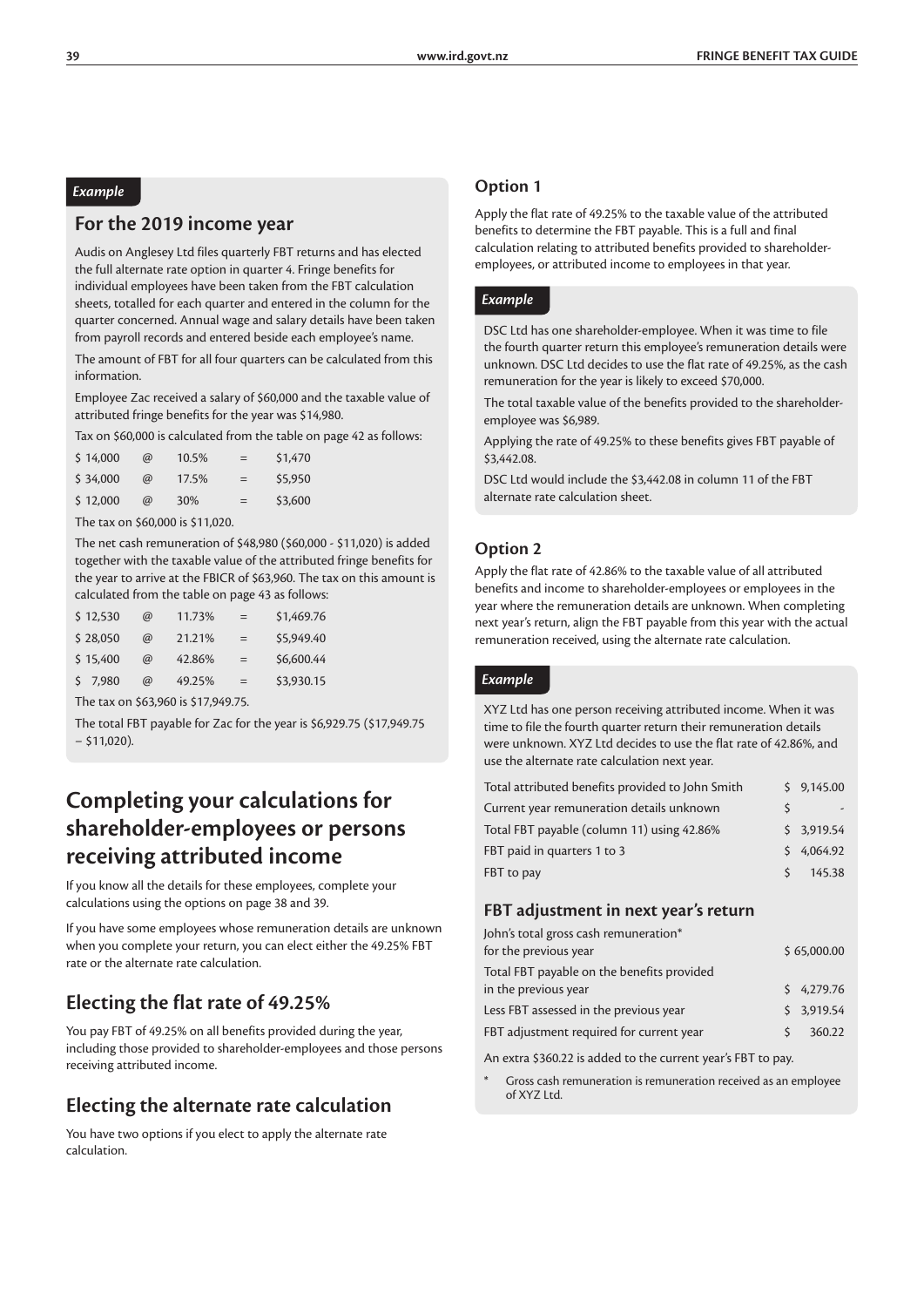#### *Example*

#### **For the 2019 income year**

Audis on Anglesey Ltd files quarterly FBT returns and has elected the full alternate rate option in quarter 4. Fringe benefits for individual employees have been taken from the FBT calculation sheets, totalled for each quarter and entered in the column for the quarter concerned. Annual wage and salary details have been taken from payroll records and entered beside each employee's name.

The amount of FBT for all four quarters can be calculated from this information.

Employee Zac received a salary of \$60,000 and the taxable value of attributed fringe benefits for the year was \$14,980.

Tax on \$60,000 is calculated from the table on page 42 as follows:

| \$14,000 | $\omega$ | 10.5% | $=$ | \$1,470 |
|----------|----------|-------|-----|---------|
| \$34,000 | $\omega$ | 17.5% | $=$ | \$5,950 |
| \$12,000 | $\omega$ | 30%   | $=$ | \$3,600 |

The tax on \$60,000 is \$11,020.

The net cash remuneration of \$48,980 (\$60,000 - \$11,020) is added together with the taxable value of the attributed fringe benefits for the year to arrive at the FBICR of \$63,960. The tax on this amount is calculated from the table on page 43 as follows:

| \$12,530 | $\omega$ | 11.73%                             | $=$ | \$1,469.76 |
|----------|----------|------------------------------------|-----|------------|
| \$28,050 | $\omega$ | 21.21%                             | $=$ | \$5,949.40 |
| \$15,400 | $\omega$ | 42.86%                             | $=$ | \$6,600.44 |
| 57.980   | $\omega$ | 49.25%                             | $=$ | \$3,930.15 |
|          |          | The tay on \$63,960 is \$17,949.75 |     |            |

The tax on \$63,960 is \$17,949.75.

The total FBT payable for Zac for the year is \$6,929.75 (\$17,949.75 − \$11,020).

### **Completing your calculations for shareholder-employees or persons receiving attributed income**

If you know all the details for these employees, complete your calculations using the options on page 38 and 39.

If you have some employees whose remuneration details are unknown when you complete your return, you can elect either the 49.25% FBT rate or the alternate rate calculation.

### **Electing the flat rate of 49.25%**

You pay FBT of 49.25% on all benefits provided during the year, including those provided to shareholder-employees and those persons receiving attributed income.

### **Electing the alternate rate calculation**

You have two options if you elect to apply the alternate rate calculation.

#### **Option 1**

Apply the flat rate of 49.25% to the taxable value of the attributed benefits to determine the FBT payable. This is a full and final calculation relating to attributed benefits provided to shareholderemployees, or attributed income to employees in that year.

#### *Example*

DSC Ltd has one shareholder-employee. When it was time to file the fourth quarter return this employee's remuneration details were unknown. DSC Ltd decides to use the flat rate of 49.25%, as the cash remuneration for the year is likely to exceed \$70,000.

The total taxable value of the benefits provided to the shareholderemployee was \$6,989.

Applying the rate of 49.25% to these benefits gives FBT payable of \$3,442.08

DSC Ltd would include the \$3,442.08 in column 11 of the FBT alternate rate calculation sheet.

#### **Option 2**

Apply the flat rate of 42.86% to the taxable value of all attributed benefits and income to shareholder-employees or employees in the year where the remuneration details are unknown. When completing next year's return, align the FBT payable from this year with the actual remuneration received, using the alternate rate calculation.

#### *Example*

XYZ Ltd has one person receiving attributed income. When it was time to file the fourth quarter return their remuneration details were unknown. XYZ Ltd decides to use the flat rate of 42.86%, and use the alternate rate calculation next year.

| Total attributed benefits provided to John Smith |    | \$9,145.00 |
|--------------------------------------------------|----|------------|
| Current year remuneration details unknown        | ς  |            |
| Total FBT payable (column 11) using 42.86%       |    | \$3,919.54 |
| FBT paid in quarters 1 to 3                      |    | \$4.064.92 |
| FBT to pay                                       | S. | 145.38     |

#### **FBT adjustment in next year's return**

| John's total gross cash remuneration*      |    |             |
|--------------------------------------------|----|-------------|
| for the previous year                      |    | \$65,000.00 |
| Total FBT payable on the benefits provided |    |             |
| in the previous year                       |    | \$4,279.76  |
| Less FBT assessed in the previous year     |    | \$3,919.54  |
| FBT adjustment required for current year   | S. | 360.22      |
|                                            |    |             |

An extra \$360.22 is added to the current year's FBT to pay.

Gross cash remuneration is remuneration received as an employee of XYZ Ltd.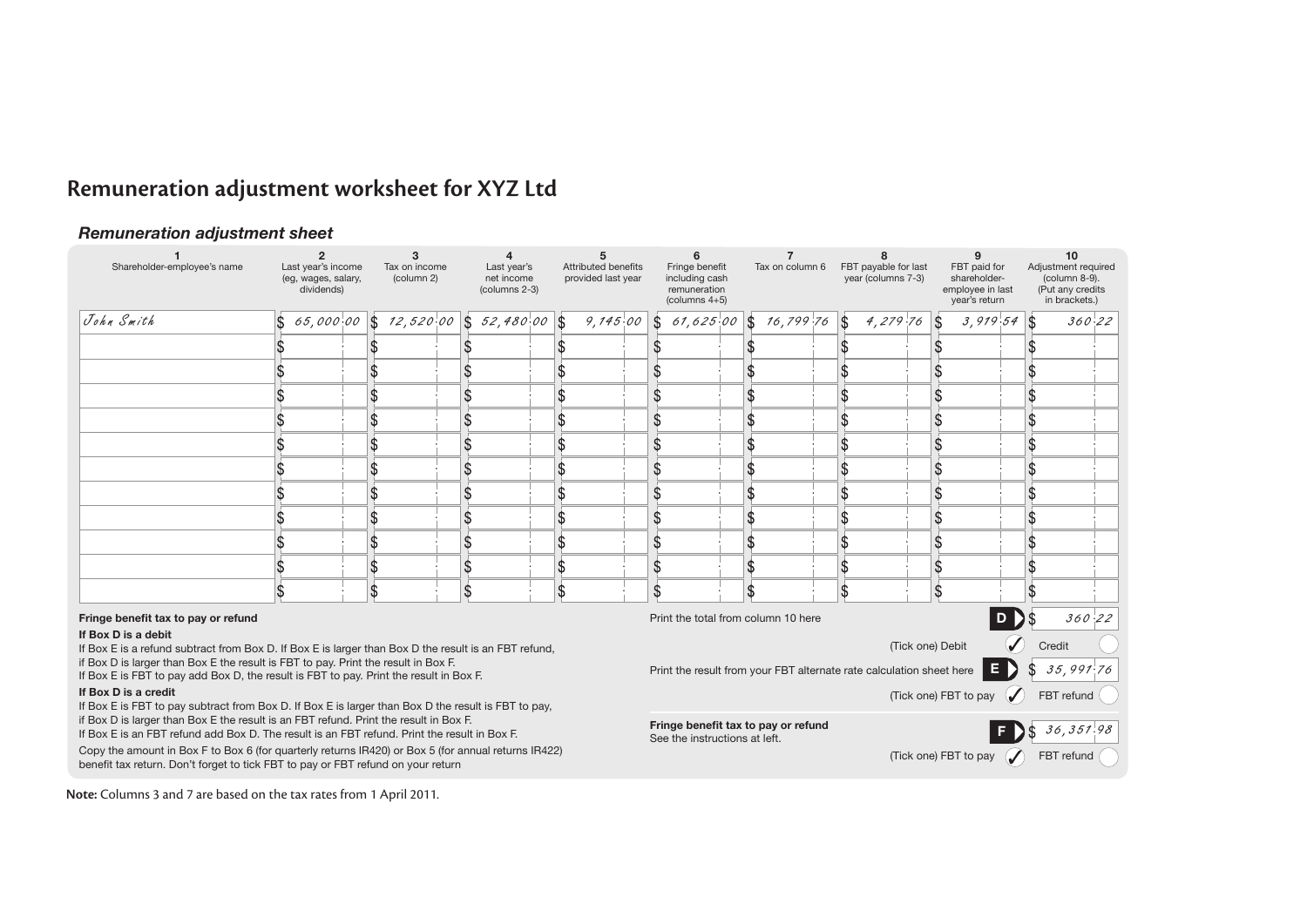# **Remuneration adjustment worksheet for XYZ Ltd**

### *Remuneration adjustment sheet*

| Shareholder-employee's name                                                                                                                                                             | Last year's income<br>(eg, wages, salary,<br>dividends) |  | 3<br>Tax on income<br>(column 2) | Last year's<br>net income<br>(columns 2-3) | Attributed benefits<br>provided last year |   | 6<br>Fringe benefit<br>including cash<br>remuneration<br>(columns $4+5$ ) | Tax on column 6                     | FBT payable for last<br>year (columns 7-3)                           | FBT paid for<br>shareholder-<br>employee in last<br>year's return |                | 10<br>Adjustment required<br>(column 8-9).<br>(Put any credits<br>in brackets.) |
|-----------------------------------------------------------------------------------------------------------------------------------------------------------------------------------------|---------------------------------------------------------|--|----------------------------------|--------------------------------------------|-------------------------------------------|---|---------------------------------------------------------------------------|-------------------------------------|----------------------------------------------------------------------|-------------------------------------------------------------------|----------------|---------------------------------------------------------------------------------|
| John Smith                                                                                                                                                                              |                                                         |  |                                  | 65,000.00 \$ 12,520.00 \$ 52,480.00 \$     | $9, 745.00$ \$                            |   | $61,625.00$ \$                                                            | $16,799.76$ \$                      | $4,279.76$ \$                                                        | $3,919.54$ \$                                                     |                | 360.22                                                                          |
|                                                                                                                                                                                         |                                                         |  |                                  |                                            |                                           |   |                                                                           |                                     |                                                                      |                                                                   |                |                                                                                 |
|                                                                                                                                                                                         |                                                         |  |                                  |                                            |                                           |   |                                                                           |                                     |                                                                      |                                                                   |                |                                                                                 |
|                                                                                                                                                                                         |                                                         |  |                                  |                                            |                                           |   |                                                                           |                                     |                                                                      |                                                                   |                |                                                                                 |
|                                                                                                                                                                                         |                                                         |  |                                  |                                            |                                           |   |                                                                           |                                     |                                                                      |                                                                   |                |                                                                                 |
|                                                                                                                                                                                         |                                                         |  |                                  |                                            |                                           |   |                                                                           |                                     |                                                                      |                                                                   |                |                                                                                 |
|                                                                                                                                                                                         |                                                         |  |                                  |                                            |                                           |   |                                                                           |                                     |                                                                      |                                                                   |                |                                                                                 |
|                                                                                                                                                                                         |                                                         |  |                                  |                                            |                                           |   |                                                                           |                                     |                                                                      |                                                                   |                |                                                                                 |
|                                                                                                                                                                                         |                                                         |  |                                  |                                            |                                           |   |                                                                           |                                     |                                                                      |                                                                   |                |                                                                                 |
|                                                                                                                                                                                         |                                                         |  |                                  |                                            |                                           |   |                                                                           |                                     |                                                                      |                                                                   |                |                                                                                 |
|                                                                                                                                                                                         |                                                         |  |                                  |                                            |                                           | S |                                                                           |                                     |                                                                      |                                                                   |                |                                                                                 |
|                                                                                                                                                                                         |                                                         |  |                                  |                                            |                                           |   |                                                                           |                                     |                                                                      |                                                                   |                |                                                                                 |
| Fringe benefit tax to pay or refund                                                                                                                                                     |                                                         |  |                                  |                                            |                                           |   |                                                                           | Print the total from column 10 here |                                                                      |                                                                   |                | 360.22                                                                          |
| If Box D is a debit<br>If Box E is a refund subtract from Box D. If Box E is larger than Box D the result is an FBT refund,                                                             |                                                         |  |                                  |                                            |                                           |   |                                                                           |                                     |                                                                      | (Tick one) Debit                                                  |                | Credit                                                                          |
| if Box D is larger than Box E the result is FBT to pay. Print the result in Box F.<br>If Box E is FBT to pay add Box D, the result is FBT to pay. Print the result in Box F.            |                                                         |  |                                  |                                            |                                           |   |                                                                           |                                     | Print the result from your FBT alternate rate calculation sheet here | E)                                                                |                | \$<br>35,991.76                                                                 |
| If Box D is a credit<br>If Box E is FBT to pay subtract from Box D. If Box E is larger than Box D the result is FBT to pay,                                                             |                                                         |  |                                  |                                            |                                           |   |                                                                           |                                     |                                                                      | (Tick one) FBT to pay                                             |                | FBT refund                                                                      |
| if Box D is larger than Box E the result is an FBT refund. Print the result in Box F.<br>If Box E is an FBT refund add Box D. The result is an FBT refund. Print the result in Box F.   |                                                         |  |                                  |                                            |                                           |   | See the instructions at left.                                             | Fringe benefit tax to pay or refund |                                                                      |                                                                   | $\blacksquare$ | 36,351.98                                                                       |
| Copy the amount in Box F to Box 6 (for quarterly returns IR420) or Box 5 (for annual returns IR422)<br>benefit tax return. Don't forget to tick FBT to pay or FBT refund on your return |                                                         |  |                                  |                                            |                                           |   |                                                                           |                                     |                                                                      | (Tick one) FBT to pay                                             | $\mathcal{L}$  | FBT refund                                                                      |

**Note:** Columns 3 and 7 are based on the tax rates from 1 April 2011.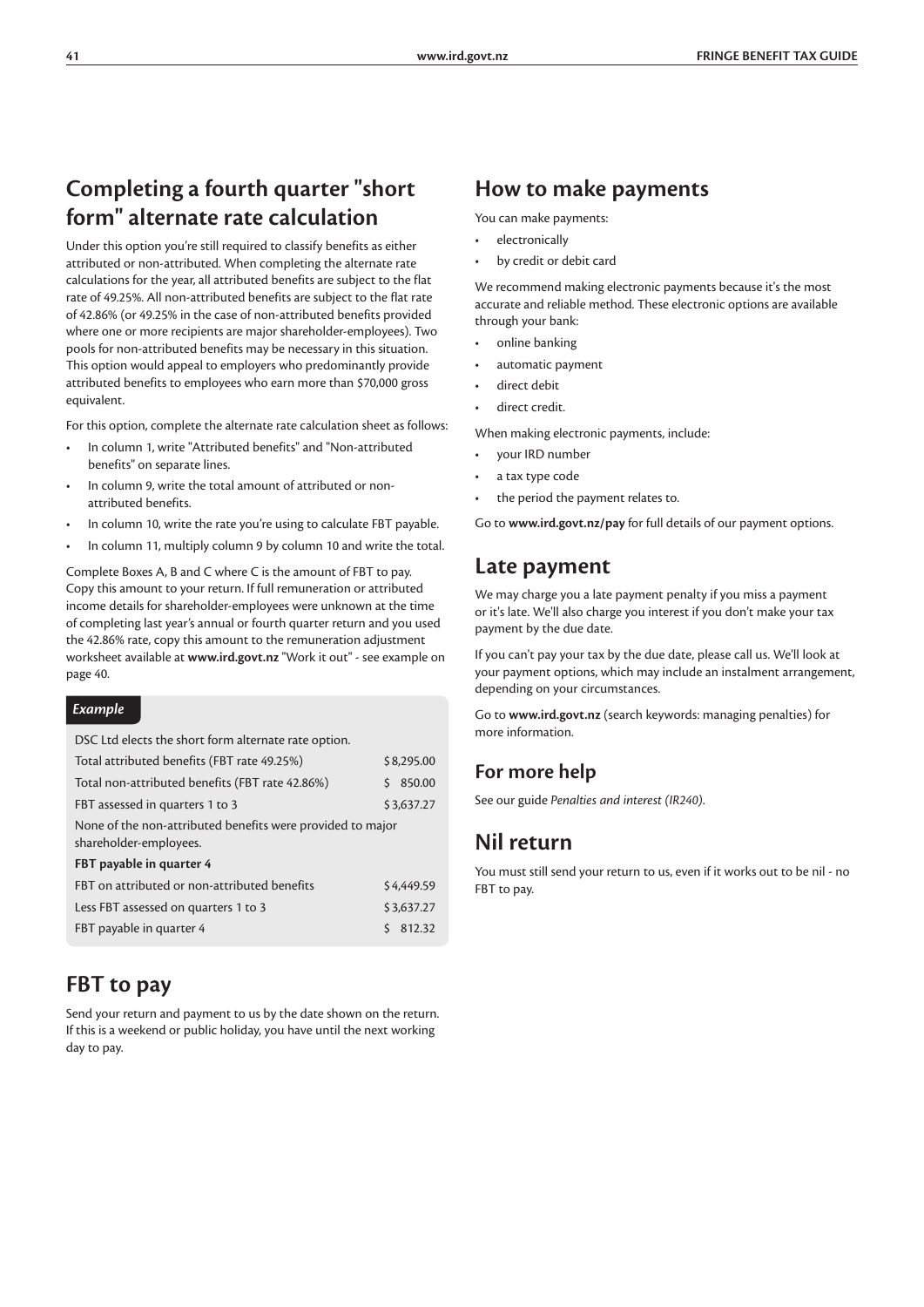### **Completing a fourth quarter "short form" alternate rate calculation**

Under this option you're still required to classify benefits as either attributed or non-attributed. When completing the alternate rate calculations for the year, all attributed benefits are subject to the flat rate of 49.25%. All non-attributed benefits are subject to the flat rate of 42.86% (or 49.25% in the case of non-attributed benefits provided where one or more recipients are major shareholder-employees). Two pools for non-attributed benefits may be necessary in this situation. This option would appeal to employers who predominantly provide attributed benefits to employees who earn more than \$70,000 gross equivalent.

For this option, complete the alternate rate calculation sheet as follows:

- In column 1, write "Attributed benefits" and "Non-attributed benefits" on separate lines.
- In column 9, write the total amount of attributed or nonattributed benefits.
- In column 10, write the rate you're using to calculate FBT payable.
- In column 11, multiply column 9 by column 10 and write the total.

Complete Boxes A, B and C where C is the amount of FBT to pay. Copy this amount to your return. If full remuneration or attributed income details for shareholder-employees were unknown at the time of completing last year's annual or fourth quarter return and you used the 42.86% rate, copy this amount to the remuneration adjustment worksheet available at **www.ird.govt.nz** "Work it out" - see example on page 40.

#### *Example*

DSC Ltd elects the short form alternate rate option.

| Total attributed benefits (FBT rate 49.25%)                                          |   | \$8,295.00 |
|--------------------------------------------------------------------------------------|---|------------|
| Total non-attributed benefits (FBT rate 42.86%)                                      | S | 850.00     |
| FBT assessed in quarters 1 to 3                                                      |   | \$3,637.27 |
| None of the non-attributed benefits were provided to major<br>shareholder-employees. |   |            |
| FBT payable in quarter 4                                                             |   |            |
| FBT on attributed or non-attributed benefits                                         |   | \$4,449.59 |
| Less FBT assessed on quarters 1 to 3                                                 |   | \$3,637.27 |
| FBT payable in quarter 4                                                             | Ś | 812.32     |

### **FBT to pay**

Send your return and payment to us by the date shown on the return. If this is a weekend or public holiday, you have until the next working day to pay.

### **How to make payments**

You can make payments:

- electronically
- by credit or debit card

We recommend making electronic payments because it's the most accurate and reliable method. These electronic options are available through your bank:

- online banking
- automatic payment
- direct debit
- direct credit.

When making electronic payments, include:

- your IRD number
- a tax type code
- the period the payment relates to.

Go to **www.ird.govt.nz/pay** for full details of our payment options.

### **Late payment**

We may charge you a late payment penalty if you miss a payment or it's late. We'll also charge you interest if you don't make your tax payment by the due date.

If you can't pay your tax by the due date, please call us. We'll look at your payment options, which may include an instalment arrangement, depending on your circumstances.

Go to **www.ird.govt.nz** (search keywords: managing penalties) for more information.

### **For more help**

See our guide *Penalties and interest (IR240)*.

### **Nil return**

You must still send your return to us, even if it works out to be nil - no FBT to pay.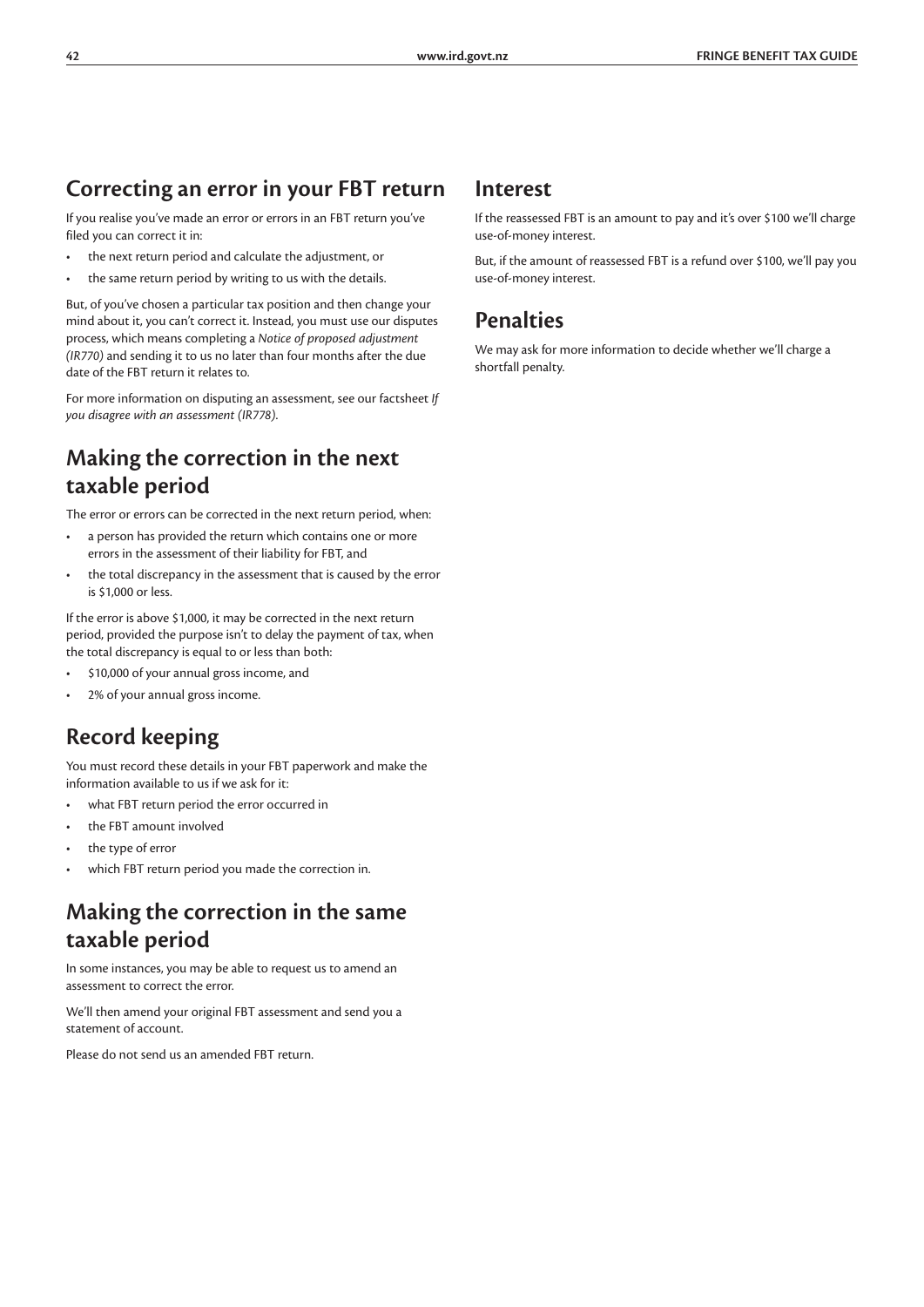### **Correcting an error in your FBT return**

If you realise you've made an error or errors in an FBT return you've filed you can correct it in:

- the next return period and calculate the adjustment, or
- the same return period by writing to us with the details.

But, of you've chosen a particular tax position and then change your mind about it, you can't correct it. Instead, you must use our disputes process, which means completing a *Notice of proposed adjustment (IR770)* and sending it to us no later than four months after the due date of the FBT return it relates to.

For more information on disputing an assessment, see our factsheet *If you disagree with an assessment (IR778)*.

### **Making the correction in the next taxable period**

The error or errors can be corrected in the next return period, when:

- a person has provided the return which contains one or more errors in the assessment of their liability for FBT, and
- the total discrepancy in the assessment that is caused by the error is \$1,000 or less.

If the error is above \$1,000, it may be corrected in the next return period, provided the purpose isn't to delay the payment of tax, when the total discrepancy is equal to or less than both:

- \$10,000 of your annual gross income, and
- 2% of your annual gross income.

### **Record keeping**

You must record these details in your FBT paperwork and make the information available to us if we ask for it:

- what FBT return period the error occurred in
- the FBT amount involved
- the type of error
- which FBT return period you made the correction in.

### **Making the correction in the same taxable period**

In some instances, you may be able to request us to amend an assessment to correct the error.

We'll then amend your original FBT assessment and send you a statement of account.

Please do not send us an amended FBT return.

#### **Interest**

If the reassessed FBT is an amount to pay and it's over \$100 we'll charge use-of-money interest.

But, if the amount of reassessed FBT is a refund over \$100, we'll pay you use-of-money interest.

### **Penalties**

We may ask for more information to decide whether we'll charge a shortfall penalty.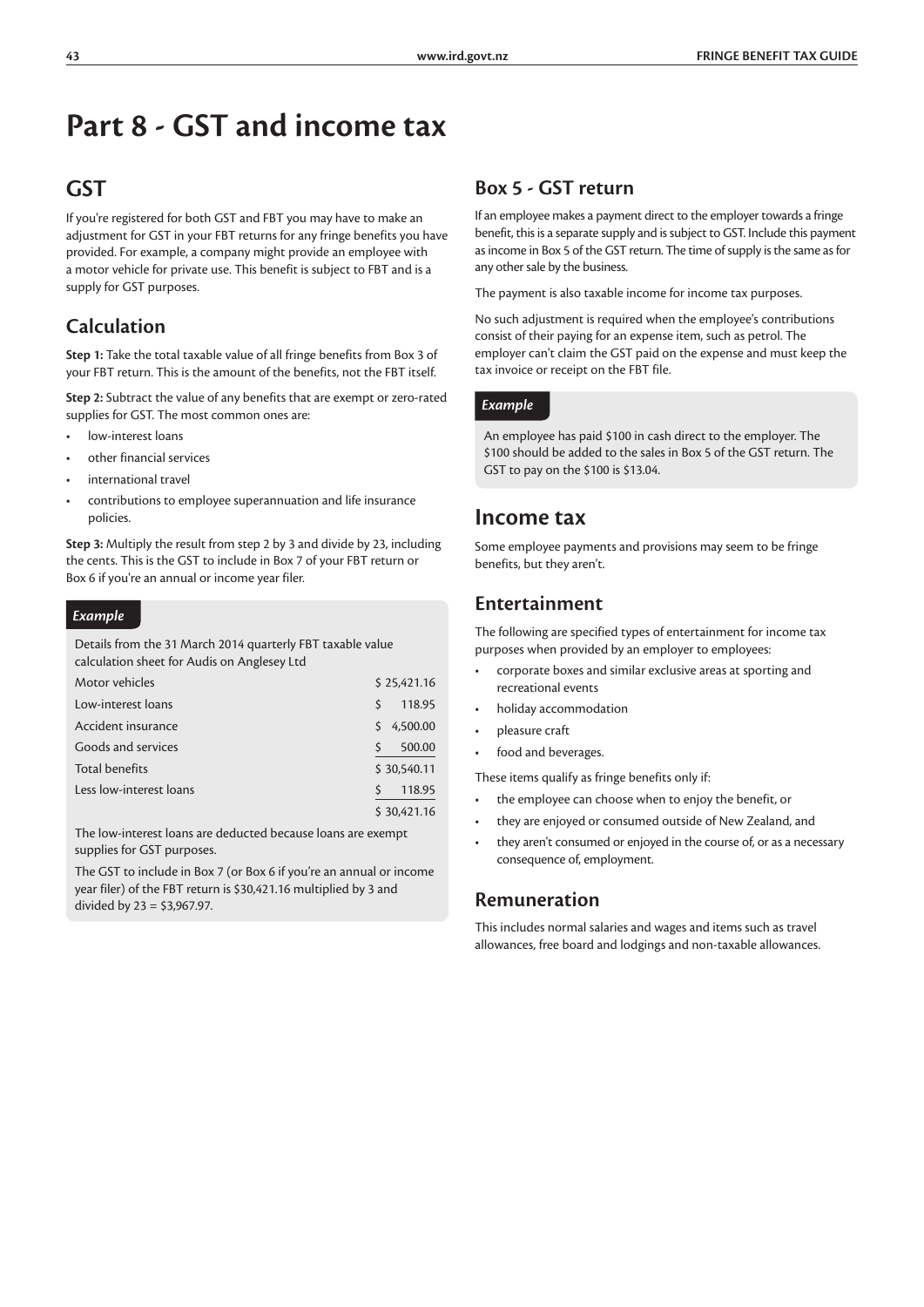# **Part 8 - GST and income tax**

### **GST**

If you're registered for both GST and FBT you may have to make an adjustment for GST in your FBT returns for any fringe benefits you have provided. For example, a company might provide an employee with a motor vehicle for private use. This benefit is subject to FBT and is a supply for GST purposes.

### **Calculation**

**Step 1:** Take the total taxable value of all fringe benefits from Box 3 of your FBT return. This is the amount of the benefits, not the FBT itself.

**Step 2:** Subtract the value of any benefits that are exempt or zero-rated supplies for GST. The most common ones are:

- low-interest loans
- other financial services
- international travel
- contributions to employee superannuation and life insurance policies.

**Step 3:** Multiply the result from step 2 by 3 and divide by 23, including the cents. This is the GST to include in Box 7 of your FBT return or Box 6 if you're an annual or income year filer.

#### *Example*

Details from the 31 March 2014 quarterly FBT taxable value calculation sheet for Audis on Anglesey Ltd

| Motor vehicles          |    | \$25,421.16 |
|-------------------------|----|-------------|
| Low-interest loans      | Ŝ  | 118.95      |
| Accident insurance      | S. | 4,500.00    |
| Goods and services      |    | 500.00      |
| <b>Total benefits</b>   |    | \$30,540.11 |
| Less low-interest loans |    | 118.95      |
|                         |    | \$30,421.16 |

The low-interest loans are deducted because loans are exempt supplies for GST purposes.

The GST to include in Box 7 (or Box 6 if you're an annual or income year filer) of the FBT return is \$30,421.16 multiplied by 3 and divided by 23 = \$3,967.97.

### **Box 5 - GST return**

If an employee makes a payment direct to the employer towards a fringe benefit, this is a separate supply and is subject to GST. Include this payment as income in Box 5 of the GST return. The time of supply is the same as for any other sale by the business.

The payment is also taxable income for income tax purposes.

No such adjustment is required when the employee's contributions consist of their paying for an expense item, such as petrol. The employer can't claim the GST paid on the expense and must keep the tax invoice or receipt on the FBT file.

#### *Example*

An employee has paid \$100 in cash direct to the employer. The \$100 should be added to the sales in Box 5 of the GST return. The GST to pay on the \$100 is \$13.04.

### **Income tax**

Some employee payments and provisions may seem to be fringe benefits, but they aren't.

### **Entertainment**

The following are specified types of entertainment for income tax purposes when provided by an employer to employees:

- corporate boxes and similar exclusive areas at sporting and recreational events
- holiday accommodation
- pleasure craft
- food and beverages.

These items qualify as fringe benefits only if:

- the employee can choose when to enjoy the benefit, or
- they are enjoyed or consumed outside of New Zealand, and
- they aren't consumed or enjoyed in the course of, or as a necessary consequence of, employment.

#### **Remuneration**

This includes normal salaries and wages and items such as travel allowances, free board and lodgings and non-taxable allowances.